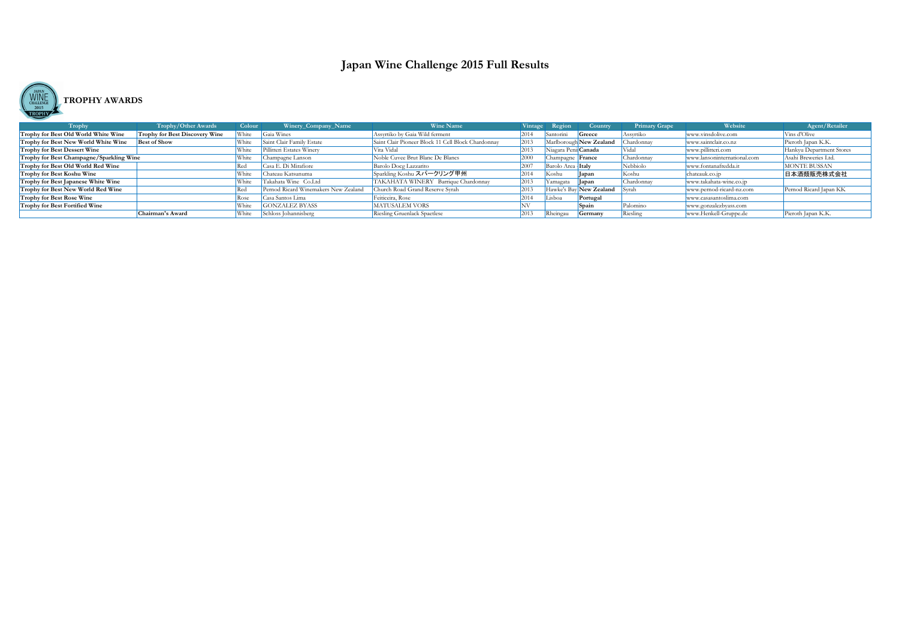

| Trophy                                   | <b>Trophy/Other Awards</b>            | Colour | Winery_Company_Name                  | <b>Wine Name</b>                                   | Vintage   | Region                   | Country                 | <b>Primary Grape</b> | Website                     | Agent/Retailer           |
|------------------------------------------|---------------------------------------|--------|--------------------------------------|----------------------------------------------------|-----------|--------------------------|-------------------------|----------------------|-----------------------------|--------------------------|
| Trophy for Best Old World White Wine     | <b>Trophy for Best Discovery Wine</b> | ,White | Gaia Wines                           | Assyrtiko by Gaia Wild ferment                     | 2014      | Santorini                | Greece                  | Assyrtiko            | www.vinsdolive.com          | Vins d'Olive             |
| Trophy for Best New World White Wine     | <b>Best of Show</b>                   | White  | Saint Clair Family Estate            | Saint Clair Pioneer Block 11 Cell Block Chardonnay | $ 201 ^2$ |                          | Marlborough New Zealand | Chardonnay           | www.saintclair.co.nz        | Pieroth Japan K.K.       |
| Trophy for Best Dessert Wine             |                                       | White  | Pillitteri Estates Winery            | Vita Vidal                                         | 2013      | Niagara Peni: Canada     |                         | Vidal                | www.pillitteri.com          | Hankyu Department Stores |
| Trophy for Best Champagne/Sparkling Wine |                                       | White  | Champagne Lanson                     | Noble Cuvee Brut Blanc De Blancs                   | 2000      | Champagne <b>France</b>  |                         | Chardonnay           | www.lansoninternational.com | Asahi Breweries Ltd.     |
| Trophy for Best Old World Red Wine       |                                       | rea    | Casa E. Di Mirafiore                 | Barolo Docg Lazzarito                              | 2007      | Barolo Area <b>Italy</b> |                         | Nebbiolo             | www.fontanafredda.it        | <b>MONTE BUSSAN</b>      |
| Trophy for Best Koshu Wine               |                                       | White  | Chateau Katsunuma                    | Sparkling Koshu スパークリング甲州                          | 2014      | Koshu                    | $\vert$ apan            | Koshu                | chateauk.co.jp              | 日本酒類販売株式会社               |
| Trophy for Best Japanese White Wine      |                                       | White  | Takahata Wine Co.Ltd                 | TAKAHATA WINERY Barrique Chardonnay                | 2013      | Yamagata                 | <b>Japan</b>            | Chardonnay           | www.takahata-wine.co.jp     |                          |
| Trophy for Best New World Red Wine       |                                       | rea    | Pernod Ricard Winemakers New Zealand | Church Road Grand Reserve Syrah                    | 2013      |                          | Hawke's Bay New Zealand | <b>S</b> yrah        | www.pernod-ricard-nz.com    | Pernod Ricard Japan KK   |
| <b>Trophy for Best Rose Wine</b>         |                                       | kose   | Casa Santos Lima                     | Feiticeira, Rose                                   | 2014      | Lisboa                   | Portugal                |                      | www.casasantoslima.com      |                          |
| Trophy for Best Fortified Wine           |                                       | White  | <b>GONZALEZ BYASS</b>                | <b>MATUSALEM VORS</b>                              |           |                          | <b>Spain</b>            | Palomino             | www.gonzalezbyass.com       |                          |
|                                          | Chairman's Award                      | White  | Schloss Johannisberg                 | Riesling Gruenlack Spaetlese                       | 2013      | <b>Rheingau</b>          | Germany                 | Riesling             | www.Henkell-Gruppe.de       | Pieroth Japan K.K.       |

# **Japan Wine Challenge 2015 Full Results**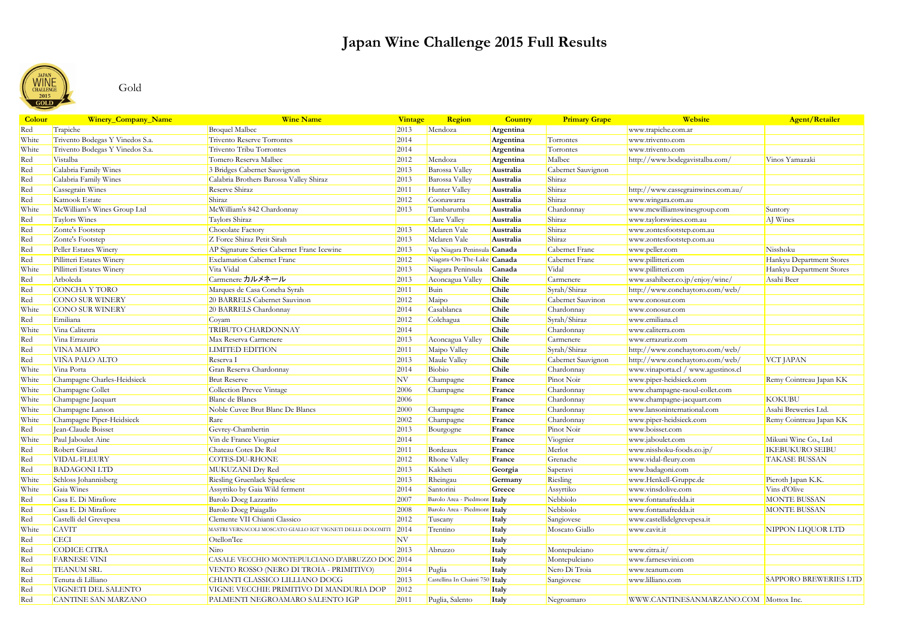## Gold

| <b>Colour</b> | Winery_Company_Name             | <b>Wine Name</b>                                           | Vintage   | <b>Region</b>                   | <b>Country</b> | <b>Primary Grape</b> | Website                               | <b>Agent/Retailer</b>        |
|---------------|---------------------------------|------------------------------------------------------------|-----------|---------------------------------|----------------|----------------------|---------------------------------------|------------------------------|
| Red           | Trapiche                        | <b>Broquel Malbec</b>                                      | 2013      | Mendoza                         | Argentina      |                      | www.trapiche.com.ar                   |                              |
| White         | Trivento Bodegas Y Vinedos S.a. | Trivento Reserve Torrontes                                 | 2014      |                                 | Argentina      | Torrontes            | www.trivento.com                      |                              |
| White         | Trivento Bodegas Y Vinedos S.a. | Trivento Tribu Torrontes                                   | 2014      |                                 | Argentina      | Torrontes            | www.trivento.com                      |                              |
| Red           | Vistalba                        | Tomero Reserva Malbec                                      | 2012      | Mendoza                         | Argentina      | Malbec               | http://www.bodegavistalba.com/        | Vinos Yamazaki               |
| Red           | Calabria Family Wines           | 3 Bridges Cabernet Sauvignon                               | 2013      | Barossa Valley                  | Australia      | Cabernet Sauvignon   |                                       |                              |
| Red           | Calabria Family Wines           | Calabria Brothers Barossa Valley Shiraz                    | 2013      | Barossa Valley                  | Australia      | Shiraz               |                                       |                              |
| Red           | Cassegrain Wines                | Reserve Shiraz                                             | 2011      | Hunter Valley                   | Australia      | Shiraz               | http://www.cassegrainwines.com.au/    |                              |
| Red           | Katnook Estate                  | Shiraz                                                     | 2012      | Coonawarra                      | Australia      | Shiraz               | www.wingara.com.au                    |                              |
| White         | McWilliam's Wines Group Ltd     | McWilliam's 842 Chardonnay                                 | 2013      | Tumbarumba                      | Australia      | Chardonnay           | www.mcwilliamswinesgroup.com          | Suntory                      |
| Red           | Taylors Wines                   | Taylors Shiraz                                             |           | Clare Valley                    | Australia      | Shiraz               | www.taylorswines.com.au               | AJ Wines                     |
| Red           | Zonte's Footstep                | Chocolate Factory                                          | 2013      | Mclaren Vale                    | Australia      | Shiraz               | www.zontesfootstep.com.au             |                              |
| Red           | Zonte's Footstep                | Z Force Shiraz Petit Sirah                                 | 2013      | Mclaren Vale                    | Australia      | Shiraz               | www.zontesfootstep.com.au             |                              |
| Red           | Peller Estates Winery           | AP Signature Series Cabernet Franc Icewine                 | 2013      | Vqa Niagara Peninsula Canada    |                | Cabernet Franc       | www.peller.com                        | Nisshoku                     |
| Red           | Pillitteri Estates Winery       | <b>Exclamation Cabernet Franc</b>                          | 2012      | Niagara-On-The-Lake Canada      |                | Cabernet Franc       | www.pillitteri.com                    | Hankyu Department Stores     |
| White         | Pillitteri Estates Winery       | Vita Vidal                                                 | 2013      | Niagara Peninsula               | Canada         | Vidal                | www.pillitteri.com                    | Hankyu Department Stores     |
| Red           | Arboleda                        | Carmenere カルメネール                                           | 2013      | Aconcagua Valley                | Chile          | Carmenere            | www.asahibeer.co.jp/enjoy/wine/       | Asahi Beer                   |
| Red           | CONCHA Y TORO                   | Marques de Casa Concha Syrah                               | 2011      | Buin                            | Chile          | Syrah/Shiraz         | http://www.conchaytoro.com/web/       |                              |
| Red           | <b>CONO SUR WINERY</b>          | 20 BARRELS Cabernet Sauvinon                               | 2012      | Maipo                           | Chile          | Cabernet Sauvinon    | www.conosur.com                       |                              |
| White         | <b>CONO SUR WINERY</b>          | 20 BARRELS Chardonnay                                      | 2014      | Casablanca                      | Chile          | Chardonnay           | www.conosur.com                       |                              |
| Red           | Emiliana                        | Coyam                                                      | 2012      | Colchagua                       | Chile          | Syrah/Shiraz         | www.emiliana.cl                       |                              |
| White         | Vina Caliterra                  | TRIBUTO CHARDONNAY                                         | 2014      |                                 | Chile          | Chardonnay           | www.caliterra.com                     |                              |
| Red           | Vina Errazuriz                  | Max Reserva Carmenere                                      | 2013      | Aconcagua Valley                | Chile          | Carmenere            | www.errazuriz.com                     |                              |
| Red           | <b>VINA MAIPO</b>               | <b>LIMITED EDITION</b>                                     | 2011      | Maipo Valley                    | Chile          | Syrah/Shiraz         | http://www.conchaytoro.com/web/       |                              |
| Red           | VIÑA PALO ALTO                  | Reserva I                                                  | 2013      | Maule Valley                    | Chile          | Cabernet Sauvignon   | http://www.conchaytoro.com/web/       | <b>VCT JAPAN</b>             |
| White         | Vina Porta                      | Gran Reserva Chardonnay                                    | 2014      | Biobio                          | Chile          | Chardonnay           | www.vinaporta.cl / www.agustinos.cl   |                              |
| White         | Champagne Charles-Heidsieck     | <b>Brut Reserve</b>                                        | <b>NV</b> | Champagne                       | France         | Pinot Noir           | www.piper-heidsieck.com               | Remy Cointreau Japan KK      |
| White         | Champagne Collet                | Collection Prevee Vintage                                  | 2006      | Champagne                       | France         | Chardonnay           | www.champagne-raoul-collet.com        |                              |
| White         | Champagne Jacquart              | Blanc de Blancs                                            | 2006      |                                 | France         | Chardonnay           | www.champagne-jacquart.com            | <b>KOKUBU</b>                |
| White         | Champagne Lanson                | Noble Cuvee Brut Blanc De Blancs                           | 2000      | Champagne                       | France         | Chardonnay           | www.lansoninternational.com           | Asahi Breweries Ltd.         |
| White         | Champagne Piper-Heidsieck       | Rare                                                       | 2002      | Champagne                       | France         | Chardonnay           | www.piper-heidsieck.com               | Remy Cointreau Japan KK      |
| Red           | Jean-Claude Boisset             | Gevrey-Chambertin                                          | 2013      | Bourgogne                       | France         | Pinot Noir           | www.boisset.com                       |                              |
| White         | Paul Jaboulet Aine              | Vin de France Viognier                                     | 2014      |                                 | France         | Viognier             | www.jaboulet.com                      | Mikuni Wine Co., Ltd         |
| Red           | Robert Giraud                   | Chateau Cotes De Rol                                       | 2011      | Bordeaux                        | France         | Merlot               | www.nisshoku-foods.co.jp/             | <b>IKEBUKURO SEIBU</b>       |
| Red           | VIDAL-FLEURY                    | <b>COTES-DU-RHONE</b>                                      | 2012      | <b>Rhone Valley</b>             | France         | Grenache             | www.vidal-fleury.com                  | <b>TAKASE BUSSAN</b>         |
| Red           | <b>BADAGONI LTD</b>             | MUKUZANI Dry Red                                           | 2013      | Kakheti                         | Georgia        | Saperavi             | www.badagoni.com                      |                              |
| White         | Schloss Johannisberg            | <b>Riesling Gruenlack Spaetlese</b>                        | 2013      | Rheingau                        | Germany        | Riesling             | www.Henkell-Gruppe.de                 | Pieroth Japan K.K.           |
| White         | Gaia Wines                      | Assyrtiko by Gaia Wild ferment                             | 2014      | Santorini                       | Greece         | Assyrtiko            | www.vinsdolive.com                    | Vins d'Olive                 |
| Red           | Casa E. Di Mirafiore            | Barolo Docg Lazzarito                                      | 2007      | Barolo Area - Piedmont Italy    |                | Nebbiolo             | www.fontanafredda.it                  | MONTE BUSSAN                 |
| Red           | Casa E. Di Mirafiore            | Barolo Docg Paiagallo                                      | 2008      | Barolo Area - Piedmont Italy    |                | Nebbiolo             | www.fontanafredda.it                  | MONTE BUSSAN                 |
| Red           | Castelli del Grevepesa          | Clemente VII Chianti Classico                              | 2012      | Tuscany                         | Italy          | Sangiovese           | www.castellidelgrevepesa.it           |                              |
| White         | <b>CAVIT</b>                    | MASTRI VERNACOLI MOSCATO GIALLO IGT VIGNETI DELLE DOLOMITI | 2014      | Trentino                        | <i>Italy</i>   | Moscato Giallo       | www.cavit.it                          | NIPPON LIQUOR LTD            |
| Red           | <b>CECI</b>                     | Otellon'Ice                                                | NV        |                                 | <b>Italy</b>   |                      |                                       |                              |
| Red           | CODICE CITRA                    | Niro                                                       | 2013      | Abruzzo                         | Italy          | Montepulciano        | www.citra.it/                         |                              |
| Red           | <b>FARNESE VINI</b>             | CASALE VECCHIO MONTEPULCIANO D'ABRUZZO DOC 2014            |           |                                 | Italy          | Montepulciano        | www.farnesevini.com                   |                              |
| Red           | <b>TEANUM SRL</b>               | VENTO ROSSO (NERO DI TROIA - PRIMITIVO)                    | 2014      | Puglia                          | Italy          | Nero Di Troia        | www.teanum.com                        |                              |
| Red           | Tenuta di Lilliano              | CHIANTI CLASSICO LILLIANO DOCG                             | 2013      | Castellina In Chainti 750 Italy |                | Sangiovese           | www.lilliano.com                      | <b>SAPPORO BREWERIES LTD</b> |
| Red           | VIGNETI DEL SALENTO             | VIGNE VECCHIE PRIMITIVO DI MANDURIA DOP                    | 2012      |                                 | Italy          |                      |                                       |                              |
| Red           | CANTINE SAN MARZANO             | PALMENTI NEGROAMARO SALENTO IGP                            | 2011      | Puglia, Salento                 | <i>Italy</i>   | Negroamaro           | WWW.CANTINESANMARZANO.COM Mottox Inc. |                              |

# **Japan Wine Challenge 2015 Full Results**

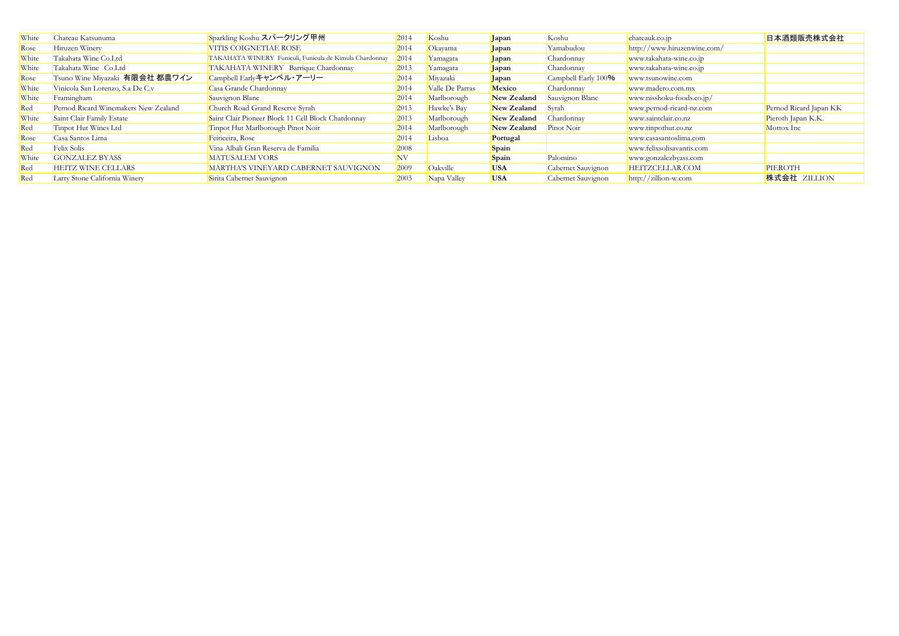| White | Chateau Katsunuma                    | Sparkling Koshu スパークリング甲州                               | <b>2014</b> | Koshu           | Japan       | Koshu               | chateauk.co.jp              | 日本酒類販売株式会社             |
|-------|--------------------------------------|---------------------------------------------------------|-------------|-----------------|-------------|---------------------|-----------------------------|------------------------|
| Rose  | Hiruzen Winery                       | VITIS COIGNETIAE ROSE                                   | 2014        | Okayama         | Japan       | Yamabudou           | http://www.hiruzenwine.com/ |                        |
| White | Takahata Wine Co.Ltd                 | TAKAHATA WINERY Funiculi, Funicula de Kimula Chardonnay | 2014        | Yamagata        | Japan       | Chardonnay          | www.takahata-wine.co.jp     |                        |
| White | Takahata Wine Co.Ltd                 | TAKAHATA WINERY Barrique Chardonnay                     | 2013        | Yamagata        | Japan       | Chardonnay          | www.takahata-wine.co.jp     |                        |
| Rose  | Tsuno Wine Miyazaki 有限会社 都農ワイン       | Campbell Earlyキャンベル・アーリー                                | 2014        | Miyazaki        | Japan       | Campbell Early 100% | www.tsunowine.com           |                        |
| White | Vinicola San Lorenzo, S.a De C.v     | Casa Grande Chardonnay                                  | 2014        | Valle De Parras | Mexico      | Chardonnay          | www.madero.com.mx           |                        |
| White | Framingham                           | Sauvignon Blanc                                         | 2014        | Marlborough     | New Zealand | Sauvignon Blanc     | www.nisshoku-foods.co.jp/   |                        |
| Red   | Pernod Ricard Winemakers New Zealand | Church Road Grand Reserve Syrah                         | 2013        | Hawke's Bay     | New Zealand | Syrah               | www.pernod-ricard-nz.com    | Pernod Ricard Japan KK |
| White | Saint Clair Family Estate            | Saint Clair Pioneer Block 11 Cell Block Chardonnay      | 2013        | Marlborough     | New Zealand | Chardonnay          | www.saintclair.co.nz        | Pieroth Japan K.K.     |
| Red   | Tinpot Hut Wines Ltd                 | Tinpot Hut Marlborough Pinot Noir                       | 2014        | Marlborough     | New Zealand | Pinot Noir          | www.tinpothut.co.nz         | Mottox Inc             |
| Rose  | Casa Santos Lima                     | Feiticeira, Rose                                        | 2014        | Lisboa          | Portugal    |                     | www.casasantoslima.com      |                        |
| Red   | Felix Solis                          | Vina Albali Gran Reserva de Familia                     | 2008        |                 | Spain       |                     | www.felixsolisavantis.com   |                        |
| White | <b>GONZALEZ BYASS</b>                | <b>MATUSALEM VORS</b>                                   | NV          |                 | Spain       | Palomino            | www.gonzalezbyass.com       |                        |
| Red   | HEITZ WINE CELLARS                   | MARTHA'S VINEYARD CABERNET SAUVIGNON                    | 2009        | Oakville        | <b>USA</b>  | Cabernet Sauvignon  | HEITZCELLAR.COM             | PIEROTH                |
| Red   | Larry Stone California Winery        | Sirita Cabernet Sauvignon                               | 2003        | Napa Valley     | <b>USA</b>  | Cabernet Sauvignon  | $http://zillion-w.com$      | 株式会社 ZILLION           |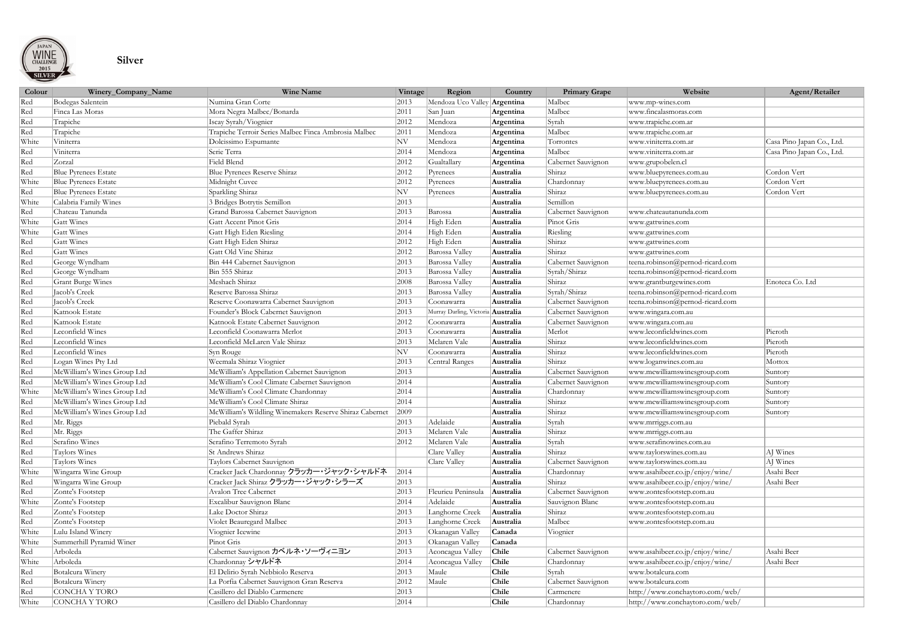

### **Silver**

| Colour | Winery_Company_Name         | <b>Wine Name</b>                                        | Vintage        | Region                       | Country   | <b>Primary Grape</b> | Website                          | Agent/Retailer            |
|--------|-----------------------------|---------------------------------------------------------|----------------|------------------------------|-----------|----------------------|----------------------------------|---------------------------|
| Red    | Bodegas Salentein           | Numina Gran Corte                                       | 2013           | Mendoza Uco Valley Argentina |           | Malbec               | www.mp-wines.com                 |                           |
| Red    | Finca Las Moras             | Mora Negra Malbec/Bonarda                               | 2011           | San Juan                     | Argentina | Malbec               | www.fincalasmoras.com            |                           |
| Red    | Trapiche                    | Iscay Syrah/Viognier                                    | 2012           | Mendoza                      | Argentina | Syrah                | www.trapiche.com.ar              |                           |
| Red    | Trapiche                    | Trapiche Terroir Series Malbec Finca Ambrosia Malbec    | 2011           | Mendoza                      | Argentina | Malbec               | www.trapiche.com.ar              |                           |
| White  | Viniterra                   | Dolcissimo Espumante                                    | N V            | Mendoza                      | Argentina | Torrontes            | www.viniterra.com.ar             | Casa Pino Japan Co., Ltd. |
| Red    | Viniterra                   | Serie Terra                                             | 2014           | Mendoza                      | Argentina | Malbec               | www.viniterra.com.ar             | Casa Pino Japan Co., Ltd. |
| Red    | Zorzal                      | <b>Field Blend</b>                                      | 2012           | Gualtallary                  | Argentina | Cabernet Sauvignon   | www.grupobelen.cl                |                           |
| Red    | <b>Blue Pyrenees Estate</b> | Blue Pyrenees Reserve Shiraz                            | 2012           | Pyrenees                     | Australia | Shiraz               | www.bluepyrenees.com.au          | Cordon Vert               |
| White  | <b>Blue Pyrenees Estate</b> | Midnight Cuvee                                          | 2012           | Pyrenees                     | Australia | Chardonnay           | www.bluepyrenees.com.au          | Cordon Vert               |
| Red    | <b>Blue Pyrenees Estate</b> | Sparkling Shiraz                                        | N V            | Pyrenees                     | Australia | Shiraz               | www.bluepyrenees.com.au          | Cordon Vert               |
| White  | Calabria Family Wines       | 3 Bridges Botrytis Semillon                             | 2013           |                              | Australia | Semillon             |                                  |                           |
| Red    | Chateau Tanunda             | Grand Barossa Cabernet Sauvignon                        | 2013           | Barossa                      | Australia | Cabernet Sauvignon   | www.chateautanunda.com           |                           |
| White  | Gatt Wines                  | Gatt Accent Pinot Gris                                  | 2014           | High Eden                    | Australia | Pinot Gris           | www.gattwines.com                |                           |
| White  | Gatt Wines                  | Gatt High Eden Riesling                                 | 2014           | High Eden                    | Australia | Riesling             | www.gattwines.com                |                           |
| Red    | Gatt Wines                  | Gatt High Eden Shiraz                                   | 2012           | High Eden                    | Australia | Shiraz               | www.gattwines.com                |                           |
| Red    | Gatt Wines                  | Gatt Old Vine Shiraz                                    | 2012           | <b>Barossa Valley</b>        | Australia | Shiraz               | www.gattwines.com                |                           |
| Red    | George Wyndham              | Bin 444 Cabernet Sauvignon                              | 2013           | Barossa Valley               | Australia | Cabernet Sauvignon   | teena.robinson@pernod-ricard.com |                           |
| Red    | George Wyndham              | Bin 555 Shiraz                                          | 2013           | Barossa Valley               | Australia | Syrah/Shiraz         | teena.robinson@pernod-ricard.com |                           |
| Red    | <b>Grant Burge Wines</b>    | Meshach Shiraz                                          | 2008           | <b>Barossa Valley</b>        | Australia | Shiraz               | www.grantburgewines.com          | Enoteca Co. Ltd           |
| Red    | Jacob's Creek               | Reserve Barossa Shiraz                                  | 2013           | Barossa Valley               | Australia | Syrah/Shiraz         | teena.robinson@pernod-ricard.com |                           |
| Red    | Jacob's Creek               | Reserve Coonawarra Cabernet Sauvignon                   | 2013           | Coonawarra                   | Australia | Cabernet Sauvignon   | teena.robinson@pernod-ricard.com |                           |
| Red    | Katnook Estate              | Founder's Block Cabernet Sauvignon                      | 2013           | Murray Darling, Victoria     | Australia | Cabernet Sauvignon   | www.wingara.com.au               |                           |
| Red    | Katnook Estate              | Katnook Estate Cabernet Sauvignon                       | 2012           | Coonawarra                   | Australia | Cabernet Sauvignon   | www.wingara.com.au               |                           |
| Red    | Leconfield Wines            | Leconfield Coonawarra Merlot                            | 2013           | Coonawarra                   | Australia | Merlot               | www.leconfieldwines.com          | Pieroth                   |
| Red    | Leconfield Wines            | Leconfield McLaren Vale Shiraz                          | 2013           | Mclaren Vale                 | Australia | Shiraz               | www.leconfieldwines.com          | Pieroth                   |
| Red    | Leconfield Wines            | Syn Rouge                                               | N V            | Coonawarra                   | Australia | Shiraz               | www.leconfieldwines.com          | Pieroth                   |
| Red    | Logan Wines Pty Ltd         | Weemala Shiraz Viognier                                 | 2013           | <b>Central Ranges</b>        | Australia | Shiraz               | www.loganwines.com.au            | Mottox                    |
| Red    | McWilliam's Wines Group Ltd | McWilliam's Appellation Cabernet Sauvignon              | 2013           |                              | Australia | Cabernet Sauvignon   | www.mcwilliamswinesgroup.com     | Suntory                   |
| Red    | McWilliam's Wines Group Ltd | McWilliam's Cool Climate Cabernet Sauvignon             | 2014           |                              | Australia | Cabernet Sauvignon   | www.mcwilliamswinesgroup.com     | Suntory                   |
| White  | McWilliam's Wines Group Ltd | McWilliam's Cool Climate Chardonnay                     | 2014           |                              | Australia | Chardonnay           | www.mcwilliamswinesgroup.com     | Suntory                   |
| Red    | McWilliam's Wines Group Ltd | McWilliam's Cool Climate Shiraz                         | 2014           |                              | Australia | Shiraz               | www.mcwilliamswinesgroup.com     | Suntory                   |
| Red    | McWilliam's Wines Group Ltd | McWilliam's Wildling Winemakers Reserve Shiraz Cabernet | $ 2009\rangle$ |                              | Australia | Shiraz               | www.mcwilliamswinesgroup.com     | Suntory                   |
| Red    | Mr. Riggs                   | Piebald Syrah                                           | 2013           | Adelaide                     | Australia | Syrah                | www.mrriggs.com.au               |                           |
| Red    | Mr. Riggs                   | The Gaffer Shiraz                                       | 2013           | Mclaren Vale                 | Australia | Shiraz               | www.mrriggs.com.au               |                           |
| Red    | Serafino Wines              | Serafino Terremoto Syrah                                | 2012           | Mclaren Vale                 | Australia | Syrah                | www.serafinowines.com.au         |                           |
| Red    | Taylors Wines               | St Andrews Shiraz                                       |                | Clare Valley                 | Australia | Shiraz               | www.taylorswines.com.au          | AJ Wines                  |
| Red    | Taylors Wines               | Taylors Cabernet Sauvignon                              |                | Clare Valley                 | Australia | Cabernet Sauvignon   | www.taylorswines.com.au          | AJ Wines                  |
| White  | Wingarra Wine Group         | Cracker Jack Chardonnay クラッカー・ジャック・シャルドネ                | 2014           |                              | Australia | Chardonnay           | www.asahibeer.co.jp/enjoy/wine/  | Asahi Beer                |
| Red    | Wingarra Wine Group         | Cracker Jack Shiraz クラッカー・ジャック・シラーズ                     | 2013           |                              | Australia | Shiraz               | www.asahibeer.co.jp/enjoy/wine/  | Asahi Beer                |
| Red    | Zonte's Footstep            | <b>Avalon Tree Cabernet</b>                             | 2013           | Fleurieu Peninsula           | Australia | Cabernet Sauvignon   | www.zontesfootstep.com.au        |                           |
| White  | Zonte's Footstep            | Excalibur Sauvignon Blanc                               | 2014           | Adelaide                     | Australia | Sauvignon Blanc      | www.zontesfootstep.com.au        |                           |
| Red    | Zonte's Footstep            | Lake Doctor Shiraz                                      | 2013           | Langhorne Creek              | Australia | Shiraz               | www.zontesfootstep.com.au        |                           |
| Red    | Zonte's Footstep            | Violet Beauregard Malbec                                | 2013           | Langhorne Creek              | Australia | Malbec               | www.zontesfootstep.com.au        |                           |
| White  | Lulu Island Winery          | Viognier Icewine                                        | 2013           | Okanagan Valley              | Canada    | Viognier             |                                  |                           |
| White  | Summerhill Pyramid Winer    | Pinot Gris                                              | 2013           | Okanagan Valley              | Canada    |                      |                                  |                           |
| Red    | Arboleda                    | Cabernet Sauvignon カベルネ・ソーヴィニヨン                         | 2013           | Aconcagua Valley             | Chile     | Cabernet Sauvignon   | www.asahibeer.co.jp/enjoy/wine/  | Asahi Beer                |
| White  | Arboleda                    | Chardonnay シャルドネ                                        | 2014           | Aconcagua Valley             | Chile     | Chardonnay           | www.asahibeer.co.jp/enjoy/wine/  | Asahi Beer                |
| Red    | Botalcura Winery            | El Delirio Syrah Nebbiolo Reserva                       | 2013           | Maule                        | Chile     | Syrah                | www.botalcura.com                |                           |
| Red    | Botalcura Winery            | La Porfia Cabernet Sauvignon Gran Reserva               | 2012           | Maule                        | Chile     | Cabernet Sauvignon   | www.botalcura.com                |                           |
| Red    | CONCHA Y TORO               | Casillero del Diablo Carmenere                          | 2013           |                              | Chile     | Carmenere            | http://www.conchaytoro.com/web/  |                           |
| White  | CONCHA Y TORO               | Casillero del Diablo Chardonnay                         | 2014           |                              | Chile     | Chardonnay           | http://www.conchaytoro.com/web/  |                           |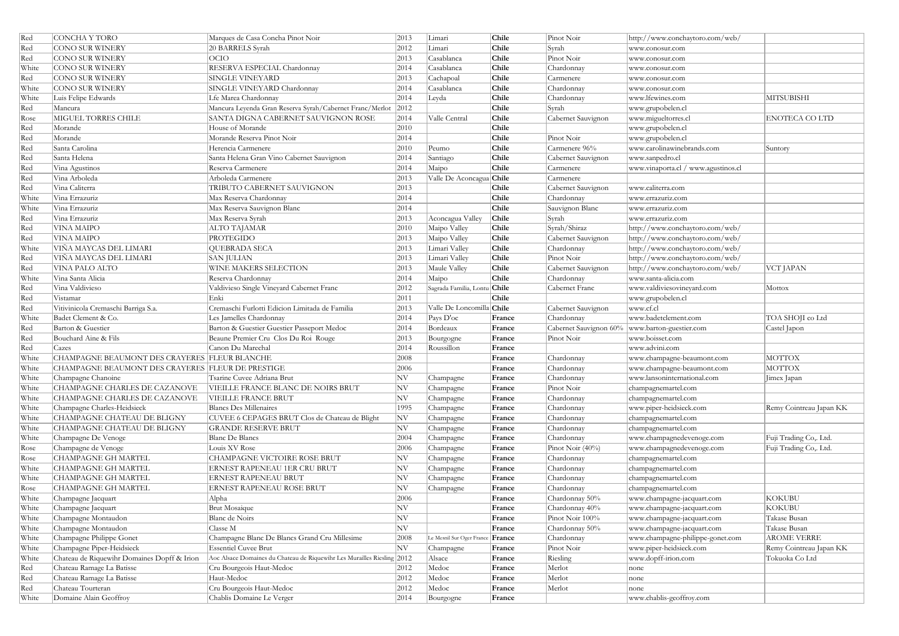| Red   | CONCHA Y TORO                                     | Marques de Casa Concha Pinot Noir                                       | 2013           | Limari                       | Chile        | Pinot Noir                                       | http://www.conchaytoro.com/web/     |                         |
|-------|---------------------------------------------------|-------------------------------------------------------------------------|----------------|------------------------------|--------------|--------------------------------------------------|-------------------------------------|-------------------------|
| Red   | CONO SUR WINERY                                   | 20 BARRELS Syrah                                                        | 2012           | Limari                       | Chile        | Syrah                                            | www.conosur.com                     |                         |
| Red   | CONO SUR WINERY                                   | <b>OCIO</b>                                                             | 2013           | Casablanca                   | Chile        | Pinot Noir                                       | www.conosur.com                     |                         |
| White | CONO SUR WINERY                                   | RESERVA ESPECIAL Chardonnay                                             | 2014           | Casablanca                   | Chile        | Chardonnay                                       | www.conosur.com                     |                         |
| Red   | CONO SUR WINERY                                   | <b>SINGLE VINEYARD</b>                                                  | 2013           | Cachapoal                    | Chile        | Carmenere                                        | www.conosur.com                     |                         |
| White | CONO SUR WINERY                                   | SINGLE VINEYARD Chardonnay                                              | 2014           | Casablanca                   | Chile        | Chardonnay                                       | www.conosur.com                     |                         |
| White | Luis Felipe Edwards                               | Lfe Marea Chardonnay                                                    | 2014           | Leyda                        | Chile        | Chardonnay                                       | www.lfewines.com                    | <b>MITSUBISHI</b>       |
| Red   | Mancura                                           | Mancura Leyenda Gran Reserva Syrah/Cabernet Franc/Merlot                | 2012           |                              | Chile        | Syrah                                            | www.grupobelen.cl                   |                         |
| Rose  | <b>MIGUEL TORRES CHILE</b>                        | SANTA DIGNA CABERNET SAUVIGNON ROSE                                     | 2014           | Valle Central                | Chile        | Cabernet Sauvignon                               | www.migueltorres.cl                 | <b>ENOTECA CO LTD</b>   |
| Red   | Morande                                           | House of Morande                                                        | 2010           |                              | Chile        |                                                  | www.grupobelen.cl                   |                         |
| Red   | Morande                                           | Morande Reserva Pinot Noir                                              | 2014           |                              | Chile        | Pinot Noir                                       | www.grupobelen.cl                   |                         |
| Red   | Santa Carolina                                    | Herencia Carmenere                                                      | 2010           | Peumo                        | Chile        | Carmenere 96%                                    | www.carolinawinebrands.com          | Suntory                 |
| Red   | Santa Helena                                      | Santa Helena Gran Vino Cabernet Sauvignon                               | 2014           | Santiago                     | Chile        | Cabernet Sauvignon                               | www.sanpedro.cl                     |                         |
| Red   | Vina Agustinos                                    | Reserva Carmenere                                                       | 2014           | Maipo                        | Chile        | Carmenere                                        | www.vinaporta.cl / www.agustinos.cl |                         |
| Red   | Vina Arboleda                                     | Arboleda Carmenere                                                      | 2013           | Valle De Aconcagua Chile     |              | Carmenere                                        |                                     |                         |
| Red   | Vina Caliterra                                    | TRIBUTO CABERNET SAUVIGNON                                              | 2013           |                              | <b>Chile</b> | Cabernet Sauvignon                               | www.caliterra.com                   |                         |
| White | Vina Errazuriz                                    | Max Reserva Chardonnay                                                  | 2014           |                              | Chile        | Chardonnay                                       | www.errazuriz.com                   |                         |
| White | Vina Errazuriz                                    | Max Reserva Sauvignon Blanc                                             | 2014           |                              | Chile        | Sauvignon Blanc                                  | www.errazuriz.com                   |                         |
| Red   | Vina Errazuriz                                    | Max Reserva Syrah                                                       | 2013           | Aconcagua Valley             | Chile        | Syrah                                            | www.errazuriz.com                   |                         |
| Red   | <b>VINA MAIPO</b>                                 | <b>ALTO TAJAMAR</b>                                                     | 2010           | Maipo Valley                 | Chile        | Syrah/Shiraz                                     | http://www.conchaytoro.com/web/     |                         |
| Red   | <b>VINA MAIPO</b>                                 | PROTEGIDO                                                               | 2013           | Maipo Valley                 | Chile        | Cabernet Sauvignon                               | http://www.conchaytoro.com/web/     |                         |
| White | VIÑA MAYCAS DEL LIMARI                            | <b>QUEBRADA SECA</b>                                                    | 2013           | Limari Valley                | Chile        | Chardonnay                                       | http://www.conchaytoro.com/web/     |                         |
| Red   | VIÑA MAYCAS DEL LIMARI                            | <b>SAN JULIAN</b>                                                       | 2013           | Limari Valley                | Chile        | Pinot Noir                                       | http://www.conchaytoro.com/web/     |                         |
| Red   | <b>VINA PALO ALTO</b>                             | <b>WINE MAKERS SELECTION</b>                                            | 2013           | Maule Valley                 | Chile        | Cabernet Sauvignon                               | http://www.conchaytoro.com/web/     | VCT JAPAN               |
| White | Vina Santa Alicia                                 | Reserva Chardonnay                                                      | 2014           | Maipo                        | Chile        | Chardonnay                                       | www.santa-alicia.com                |                         |
| Red   | Vina Valdivieso                                   | Valdivieso Single Vineyard Cabernet Franc                               | 2012           | Sagrada Familia, Lontu Chile |              | Cabernet Franc                                   | www.valdiviesovineyard.com          | Mottox                  |
| Red   | Vistamar                                          | Enki                                                                    | 2011           |                              | Chile        |                                                  | www.grupobelen.cl                   |                         |
| Red   | Vitivinicola Cremaschi Barriga S.a.               | Cremaschi Furlotti Edicion Limitada de Familia                          | 2013           | Valle De Loncomilla Chile    |              | Cabernet Sauvignon                               | www.cf.cl                           |                         |
| White | Badet Clement & Co.                               | Les Jamelles Chardonnay                                                 | 2014           | Pays D'oc                    | France       | Chardonnay                                       | www.badetclement.com                | TOA SHOJI co Ltd        |
| Red   | Barton & Guestier                                 | Barton & Guestier Guestier Passeport Medoc                              | 2014           | Bordeaux                     | France       | Cabernet Sauvignon 60%   www.barton-guestier.com |                                     | Castel Japon            |
| Red   | Bouchard Aine & Fils                              | Beaune Premier Cru Clos Du Roi Rouge                                    | 2013           | Bourgogne                    | France       | Pinot Noir                                       | www.boisset.com                     |                         |
| Red   | Cazes                                             | Canon Du Marechal                                                       | 2014           | Roussillon                   | France       |                                                  | www.advini.com                      |                         |
| White | CHAMPAGNE BEAUMONT DES CRAYERES FLEUR BLANCHE     |                                                                         | 2008           |                              | France       | Chardonnay                                       | www.champagne-beaumont.com          | <b>MOTTOX</b>           |
| White | CHAMPAGNE BEAUMONT DES CRAYERES FLEUR DE PRESTIGE |                                                                         | 2006           |                              | France       | Chardonnay                                       | www.champagne-beaumont.com          | <b>MOTTOX</b>           |
| White | Champagne Chanoine                                | Tsarine Cuvee Adriana Brut                                              | $ {\rm NV} \>$ | Champagne                    | France       | Chardonnay                                       | www.lansoninternational.com         | Jimex Japan             |
| White | CHAMPAGNE CHARLES DE CAZANOVE                     | VIEILLE FRANCE BLANC DE NOIRS BRUT                                      | $ {\rm NV} \>$ | Champagne                    | France       | Pinot Noir                                       | champagnemartel.com                 |                         |
| White | CHAMPAGNE CHARLES DE CAZANOVE                     | <b>VIEILLE FRANCE BRUT</b>                                              | $ {\rm NV} \>$ | Champagne                    | France       | Chardonnay                                       | champagnemartel.com                 |                         |
| White | Champagne Charles-Heidsieck                       | <b>Blancs Des Millenaires</b>                                           | 1995           | Champagne                    | France       | Chardonnay                                       | www.piper-heidsieck.com             | Remy Cointreau Japan KK |
| White | CHAMPAGNE CHATEAU DE BLIGNY                       | CUVEE 6 CEPAGES BRUT Clos de Chateau de Blight                          | NV             | Champagne                    | France       | Chardonnay                                       | champagnemartel.com                 |                         |
| White | CHAMPAGNE CHATEAU DE BLIGNY                       | <b>GRANDE RESERVE BRUT</b>                                              | NV             | Champagne                    | France       | Chardonnay                                       | champagnemartel.com                 |                         |
| White | Champagne De Venoge                               | <b>Blanc De Blancs</b>                                                  | 2004           | Champagne                    | France       | Chardonnay                                       | www.champagnedevenoge.com           | Fuji Trading Co,. Ltd.  |
| Rose  | Champagne de Venoge                               | Louis XV Rose                                                           | 2006           | Champagne                    | France       | Pinot Noir $(40\%)$                              | www.champagnedevenoge.com           | Fuji Trading Co,. Ltd.  |
| Rose  | CHAMPAGNE GH MARTEL                               | CHAMPAGNE VICTOIRE ROSE BRUT                                            | $ {\rm NV} $   | Champagne                    | France       | Chardonnay                                       | champagnemartel.com                 |                         |
| White | <b>CHAMPAGNE GH MARTEL</b>                        | ERNEST RAPENEAU 1ER CRU BRUT                                            | $ {\rm NV} $   | Champagne                    | France       | Chardonnay                                       | champagnemartel.com                 |                         |
| White | <b>CHAMPAGNE GH MARTEL</b>                        | ERNEST RAPENEAU BRUT                                                    | NV             | Champagne                    | France       | Chardonnay                                       | champagnemartel.com                 |                         |
| Rose  | CHAMPAGNE GH MARTEL                               | ERNEST RAPENEAU ROSE BRUT                                               | $ {\rm NV} \>$ | Champagne                    | France       | Chardonnay                                       | champagnemartel.com                 |                         |
| White | Champagne Jacquart                                | Alpha                                                                   | 2006           |                              | France       | Chardonnay 50%                                   | www.champagne-jacquart.com          | <b>KOKUBU</b>           |
| White | Champagne Jacquart                                | <b>Brut Mosaique</b>                                                    | N V            |                              | France       | Chardonnay 40%                                   | www.champagne-jacquart.com          | <b>KOKUBU</b>           |
| White | Champagne Montaudon                               | Blanc de Noirs                                                          | N V            |                              | France       | Pinot Noir 100%                                  | www.champagne-jacquart.com          | Takase Busan            |
| White | Champagne Montaudon                               | Classe M                                                                | $ {\rm NV} $   |                              | France       | Chardonnay 50%                                   | www.champagne-jacquart.com          | Takase Busan            |
| White | Champagne Philippe Gonet                          | Champagne Blanc De Blancs Grand Cru Millesime                           | 2008           | Le Mesnil Sur Oger France    | France       | Chardonnay                                       | www.champagne-philippe-gonet.com    | <b>AROME VERRE</b>      |
| White | Champagne Piper-Heidsieck                         | <b>Essentiel Cuvee Brut</b>                                             | $ {\rm NV} $   | Champagne                    | France       | Pinot Noir                                       | www.piper-heidsieck.com             | Remy Cointreau Japan KK |
| White | Chateau de Riquewihr Domaines Dopff & Irion       | Aoc Alsace Domaines du Chateau de Riquewihr Les Murailles Riesling 2012 |                | Alsace                       | France       | Riesling                                         | www.dopff-irion.com                 | Tokuoka Co Ltd          |
| Red   | Chateau Ramage La Batisse                         | Cru Bourgeois Haut-Medoc                                                | 2012           | Medoc                        | France       | Merlot                                           | none                                |                         |
| Red   | Chateau Ramage La Batisse                         | Haut-Medoc                                                              | 2012           | Medoc                        | France       | Merlot                                           | none                                |                         |
| Red   | Chateau Tourteran                                 | Cru Bourgeois Haut-Medoc                                                | 2012           | Medoc                        | France       | Merlot                                           | none                                |                         |
| White | Domaine Alain Geoffroy                            | Chablis Domaine Le Verger                                               | 2014           | Bourgogne                    | France       |                                                  | www.chablis-geoffroy.com            |                         |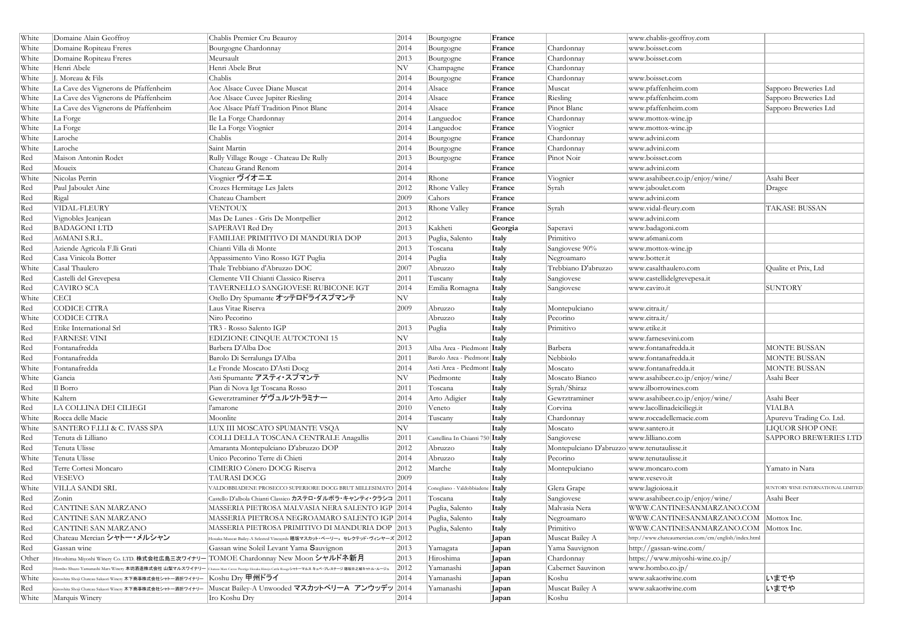| White | Domaine Alain Geoffroy                                                                                            | Chablis Premier Cru Beauroy                                                                                                                           | 2014         | Bourgogne                                   | France       |                                             | www.chablis-geoffroy.com                            |                                   |
|-------|-------------------------------------------------------------------------------------------------------------------|-------------------------------------------------------------------------------------------------------------------------------------------------------|--------------|---------------------------------------------|--------------|---------------------------------------------|-----------------------------------------------------|-----------------------------------|
| White | Domaine Ropiteau Freres                                                                                           | Bourgogne Chardonnay                                                                                                                                  | 2014         | Bourgogne                                   | France       | Chardonnay                                  | www.boisset.com                                     |                                   |
| White | Domaine Ropiteau Freres                                                                                           | Meursault                                                                                                                                             | 2013         | Bourgogne                                   | France       | Chardonnay                                  | www.boisset.com                                     |                                   |
| White | Henri Abele                                                                                                       | Henri Abele Brut                                                                                                                                      | $ {\rm NV} $ | Champagne                                   | France       | Chardonnay                                  |                                                     |                                   |
| White | J. Moreau & Fils                                                                                                  | Chablis                                                                                                                                               | 2014         | Bourgogne                                   | France       | Chardonnay                                  | www.boisset.com                                     |                                   |
| White | La Cave des Vignerons de Pfaffenheim                                                                              | Aoc Alsace Cuvee Diane Muscat                                                                                                                         | 2014         | Alsace                                      | France       | Muscat                                      | www.pfaffenheim.com                                 | Sapporo Breweries Ltd             |
| White | La Cave des Vignerons de Pfaffenheim                                                                              | Aoc Alsace Cuvee Jupiter Riesling                                                                                                                     | 2014         | Alsace                                      | France       | Riesling                                    | www.pfaffenheim.com                                 | Sapporo Breweries Ltd             |
| White | La Cave des Vignerons de Pfaffenheim                                                                              | Aoc Alsace Pfaff Tradition Pinot Blanc                                                                                                                | 2014         | Alsace                                      | France       | Pinot Blanc                                 | www.pfaffenheim.com                                 | Sapporo Breweries Ltd             |
| White | La Forge                                                                                                          | Ile La Forge Chardonnay                                                                                                                               | 2014         | Languedoc                                   | France       | Chardonnay                                  | www.mottox-wine.jp                                  |                                   |
| White | La Forge                                                                                                          | Ile La Forge Viognier                                                                                                                                 | 2014         | Languedoc                                   | France       | Viognier                                    | www.mottox-wine.jp                                  |                                   |
| White | Laroche                                                                                                           | Chablis                                                                                                                                               | 2014         | Bourgogne                                   | France       | Chardonnay                                  | www.advini.com                                      |                                   |
| White | Laroche                                                                                                           | Saint Martin                                                                                                                                          | 2014         | Bourgogne                                   | France       | Chardonnay                                  | www.advini.com                                      |                                   |
| Red   | Maison Antonin Rodet                                                                                              | Rully Village Rouge - Chateau De Rully                                                                                                                | 2013         | Bourgogne                                   | France       | Pinot Noir                                  | www.boisset.com                                     |                                   |
| Red   | Moueix                                                                                                            | Chateau Grand Renom                                                                                                                                   | 2014         |                                             | France       |                                             | www.advini.com                                      |                                   |
| White | Nicolas Perrin                                                                                                    | Viognier ヴイオニエ                                                                                                                                        | 2014         | Rhone                                       | France       | Viognier                                    | www.asahibeer.co.jp/enjoy/wine/                     | Asahi Beer                        |
| Red   | Paul Jaboulet Aine                                                                                                | Crozes Hermitage Les Jalets                                                                                                                           | 2012         | Rhone Valley                                | France       | Syrah                                       | www.jaboulet.com                                    | Dragee                            |
| Red   | Rigal                                                                                                             | Chateau Chambert                                                                                                                                      | 2009         | Cahors                                      | France       |                                             | www.advini.com                                      |                                   |
| Red   | VIDAL-FLEURY                                                                                                      | VENTOUX                                                                                                                                               | 2013         | Rhone Valley                                | France       | Syrah                                       | www.vidal-fleury.com                                | <b>TAKASE BUSSAN</b>              |
| Red   | Vignobles Jeanjean                                                                                                | Mas De Lunes - Gris De Montpellier                                                                                                                    | 2012         |                                             | France       |                                             | www.advini.com                                      |                                   |
| Red   | <b>BADAGONI LTD</b>                                                                                               | <b>SAPERAVI Red Dry</b>                                                                                                                               | 2013         | Kakheti                                     | Georgia      | Saperavi                                    | www.badagoni.com                                    |                                   |
| Red   | A6MANI S.R.L                                                                                                      | FAMILIAE PRIMITIVO DI MANDURIA DOP                                                                                                                    | 2013         | Puglia, Salento                             | Italy        | Primitivo                                   | www.a6mani.com                                      |                                   |
| Red   | Aziende Agricola F.lli Grati                                                                                      | Chianti Villa di Monte                                                                                                                                | 2013         | Toscana                                     | Italy        | Sangiovese 90%                              | www.mottox-wine.jp                                  |                                   |
| Red   | Casa Vinicola Botter                                                                                              | Appassimento Vino Rosso IGT Puglia                                                                                                                    | 2014         | Puglia                                      | Italy        | Negroamaro                                  | www.botter.it                                       |                                   |
| White | Casal Thaulero                                                                                                    | Thale Trebbiano d'Abruzzo DOC                                                                                                                         | 2007         | Abruzzo                                     | Italy        | Trebbiano D'abruzzo                         | www.casalthaulero.com                               | Qualite et Prix, Ltd              |
| Red   | Castelli del Grevepesa                                                                                            | Clemente VII Chianti Classico Riserva                                                                                                                 | 2011         | Tuscany                                     | Italy        | Sangiovese                                  | www.castellidelgrevepesa.it                         |                                   |
| Red   | <b>CAVIRO SCA</b>                                                                                                 | TAVERNELLO SANGIOVESE RUBICONE IGT                                                                                                                    | 2014         | Emilia Romagna                              | Italy        | Sangiovese                                  | www.caviro.it                                       | <b>SUNTORY</b>                    |
| White | <b>CECI</b>                                                                                                       | $ \mathrm{O}$ tello Dry Spumante オッテロドライスプマンテ                                                                                                         | NV           |                                             | Italy        |                                             |                                                     |                                   |
| Red   | <b>CODICE CITRA</b>                                                                                               | Laus Vitae Riserva                                                                                                                                    | 2009         | Abruzzo                                     | Italy        | Montepulciano                               | www.citra.it/                                       |                                   |
| White | <b>CODICE CITRA</b>                                                                                               | Niro Pecorino                                                                                                                                         |              | Abruzzo                                     | Italy        | Pecorino                                    | www.citra.it/                                       |                                   |
| Red   | Etike International Srl                                                                                           | TR3 - Rosso Salento IGP                                                                                                                               | 2013         | Puglia                                      | Italy        | Primitivo                                   | www.etike.it                                        |                                   |
| Red   | <b>FARNESE VINI</b>                                                                                               | EDIZIONE CINQUE AUTOCTONI 15                                                                                                                          | NV           |                                             | Italy        |                                             | www.farnesevini.com                                 |                                   |
| Red   | Fontanafredda                                                                                                     | Barbera D'Alba Doc                                                                                                                                    | 2013         | Alba Area - Piedmont <b>Italy</b>           |              | Barbera                                     | www.fontanafredda.it                                | <b>MONTE BUSSAN</b>               |
| Red   | Fontanafredda                                                                                                     | Barolo Di Serralunga D'Alba                                                                                                                           | 2011         | Barolo Area - Piedmont Italy                |              | Nebbiolo                                    | www.fontanafredda.it                                | <b>MONTE BUSSAN</b>               |
| White | Fontanafredda                                                                                                     | Le Fronde Moscato D'Asti Docg                                                                                                                         | 2014         | Asti Area - Piedmont Italy                  |              | Moscato                                     | www.fontanafredda.it                                | <b>MONTE BUSSAN</b>               |
| White | Gancia                                                                                                            | $ {\rm Asti}$ Spumante アスティ・スプマンテ                                                                                                                     | NV           | Piedmonte                                   | Italy        | Moscato Bianco                              | www.asahibeer.co.jp/enjoy/wine/                     | Asahi Beer                        |
| Red   | Il Borro                                                                                                          | Pian di Nova Igt Toscana Rosso                                                                                                                        | 2011         | Toscana                                     | Italy        | Syrah/Shiraz                                | www.ilborrowines.com                                |                                   |
| White | Kaltern                                                                                                           | Gewerztraminer ゲヴュルツトラミナー                                                                                                                             | 2014         | Arto Adigier                                | Italy        | Gewrztraminer                               | www.asahibeer.co.jp/enjoy/wine/                     | Asahi Beer                        |
| Red   | LA COLLINA DEI CILIEGI                                                                                            | l'amarone                                                                                                                                             | 2010         | Veneto                                      | Italy        | Corvina                                     | www.lacollinadeiciliegi.it                          | <b>VIALBA</b>                     |
| White | Rocca delle Macie                                                                                                 | Moonlite                                                                                                                                              | 2014         | Tuscany                                     | Italy        | Chardonnay                                  | www.roccadellemacie.com                             | Apurevu Trading Co. Ltd.          |
| White | SANTERO F.LLI & C. IVASS SPA                                                                                      | LUX III MOSCATO SPUMANTE VSQA                                                                                                                         | NV           |                                             | Italy        | Moscato                                     | www.santero.it                                      | LIQUOR SHOP ONE                   |
| Red   | Tenuta di Lilliano                                                                                                | COLLI DELLA TOSCANA CENTRALE Anagallis                                                                                                                | 2011         | Castellina In Chianti 750 Italy             |              | Sangiovese                                  | www.lilliano.com                                    | <b>SAPPORO BREWERIES LTD</b>      |
| Red   | Tenuta Ulisse                                                                                                     | Amaranta Montepulciano D'abruzzo DOP                                                                                                                  | 2012         | Abruzzo                                     | Italy        | Montepulciano D'abruzzo www.tenutaulisse.it |                                                     |                                   |
| White | Tenuta Ulisse                                                                                                     | Unico Pecorino Terre di Chieti                                                                                                                        | 2014         | Abruzzo                                     | Italy        | Pecorino                                    | www.tenutaulisse.it                                 |                                   |
| Red   | Terre Cortesi Moncaro                                                                                             | CIMERIO Cònero DOCG Riserva                                                                                                                           | 2012         | Marche                                      | Italy        | Montepulciano                               | www.moncaro.com                                     | Yamato in Nara                    |
| Red   | <b>VESEVO</b>                                                                                                     | <b>TAURASI DOCG</b>                                                                                                                                   | 2009         |                                             | Italy        |                                             | www.vesevo.it                                       |                                   |
| White | VILLA SANDI SRL                                                                                                   | VALDOBBIADENE PROSECCO SUPERIORE DOCG BRUT MILLESIMATO 2014                                                                                           |              | Conegliano - Valdobbiadene $ \text{Italy} $ |              | Glera Grape                                 | www.lagioiosa.it                                    | UNTORY WINE INTERNATIONAL LIMITED |
| Red   | Zonin                                                                                                             | $ $ Castello D'albola Chianti Classico カステロ・ダルボラ・キャンティ・クラシコ $ 2011\>$                                                                                 |              | Toscana                                     | Italy        | Sangiovese                                  | www.asahibeer.co.jp/enjoy/wine/                     | Asahi Beer                        |
| Red   | CANTINE SAN MARZANO                                                                                               | MASSERIA PIETROSA MALVASIA NERA SALENTO IGP 2014                                                                                                      |              | Puglia, Salento                             | Italy        | Malvasia Nera                               | WWW.CANTINESANMARZANO.COM                           |                                   |
| Red   | CANTINE SAN MARZANO                                                                                               | MASSERIA PIETROSA NEGROAMARO SALENTO IGP 2014                                                                                                         |              | Puglia, Salento                             | Italy        | Negroamaro                                  | WWW.CANTINESANMARZANO.COM   Mottox Inc.             |                                   |
| Red   | <b>CANTINE SAN MARZANO</b>                                                                                        | MASSERIA PIETROSA PRIMITIVO DI MANDURIA DOP 2013                                                                                                      |              | Puglia, Salento                             | Italy        | Primitivo                                   | WWW.CANTINESANMARZANO.COM Mottox Inc.               |                                   |
| Red   | Chateau Mercian シャトー・メルシャン                                                                                        | $ _{\rm{Hosaka~Muscat~Bailey-A~Selected~Vineayrds}}$ 穂坂マスカット・ベーリー $_a$ セレクテッド・ヴィンヤーズ $ 2012\rangle$                                                   |              |                                             | Japan        | Muscat Bailey A                             | http://www.chateaumercian.com/cm/english/index.html |                                   |
| Red   | Gassan wine                                                                                                       | Gassan wine Soleil Levant Yama Sauvignon                                                                                                              | 2013         | Yamagata                                    | <b>Japan</b> | Yama Sauvignon                              | $\frac{http://gassan-wine.com/}{$                   |                                   |
| Other |                                                                                                                   | Hiroshima Miyoshi Winery Co. LTD. 株式会社広島三次ワイナリー TOMOE Chardonnay New Moon <b>シャルドネ新月</b>                                                              | 2013         | Hiroshima                                   | <b>Japan</b> | Chardonnay                                  | https://www.miyoshi-wine.co.jp/                     |                                   |
| Red   |                                                                                                                   | Hombo Shuzo Yamanashi Mars Winery <b>本坊酒造株式会社 山梨マルスワイナリ— C</b> hateau Mars Cavee Prestige Hosaka Hinojo Cattle Rougeシャトーマルス キュベ・プレステージ 穂坂日之城キャトル・ルージュ | 2012         | Yamanashi                                   | Japan        | Cabernet Sauvinon                           | www.hombo.co.jp/                                    |                                   |
| White | Kinoshita Shoji Chateau Sakaori Winery 木下商事株式会社シャトー酒折ワイナリー $ $ $\operatorname{Kosh}$ u $\operatorname{Dry}$ 甲州ドライ |                                                                                                                                                       | 2014         | Yamanashi                                   | <b>Japan</b> | Koshu                                       | www.sakaoriwine.com                                 | いまでや                              |
| Red   | Kinoshita Shoji Chateau Sakaori Winery 木下商事株式会社シャトー酒折ワイナリー                                                        | Muscat Bailey-A Unwooded マスカットベリーA アンウッデッ 2014                                                                                                        |              | Yamanashi                                   | <b>Japan</b> | Muscat Bailey A                             | www.sakaoriwine.com                                 | いまでや                              |
| White | Marquis Winery                                                                                                    | Iro Koshu Dry                                                                                                                                         | 2014         |                                             | Japan        | Koshu                                       |                                                     |                                   |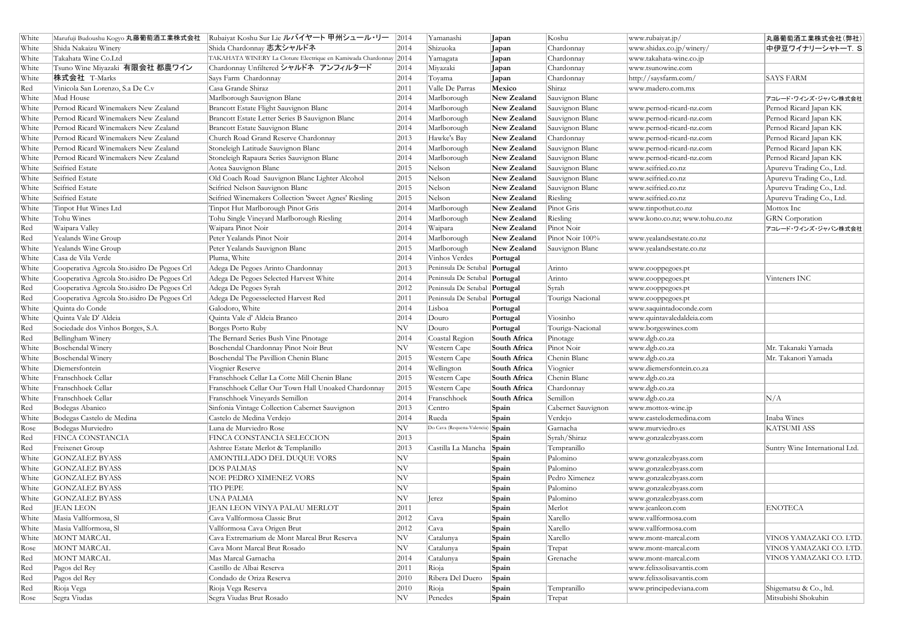| White |                                              | Marufuji Budoushu Kogyo 丸藤葡萄酒工業株式会社  Rubaiyat Koshu Sur Lie ルバイヤート 甲州シュール・リー | 2014                     | Yamanashi                        | Japan                | Koshu              | www.rubaiyat.jp/               | 丸藤葡萄酒工業株式会社(弊社)                |
|-------|----------------------------------------------|------------------------------------------------------------------------------|--------------------------|----------------------------------|----------------------|--------------------|--------------------------------|--------------------------------|
| White | Shida Nakaizu Winery                         | Shida Chardonnay 志太シャルドネ                                                     | 2014                     | Shizuoka                         | <b>Japan</b>         | Chardonnay         | www.shidax.co.jp/winery/       | 中伊豆ワイナリーシャトーT. S               |
| White | Takahata Wine Co.Ltd                         | TAKAHATA WINERY La Cloture Electrique en Kamiwada Chardonnay 2014            |                          | Yamagata                         | <b>Japan</b>         | Chardonnay         | www.takahata-wine.co.jp        |                                |
| White | Tsuno Wine Miyazaki 有限会社 都農ワイン               | Chardonnay Unfiltered シャルドネ アンフィルタード                                         | 2014                     | Miyazaki                         | Japan                | Chardonnay         | www.tsunowine.com              |                                |
| White | 株式会社 T-Marks                                 | Says Farm Chardonnay                                                         | 2014                     | Toyama                           | Japan                | Chardonnay         | http://saysfarm.com/           | <b>SAYS FARM</b>               |
| Red   | Vinicola San Lorenzo, S.a De C.v             | Casa Grande Shiraz                                                           | 2011                     | Valle De Parras                  | Mexico               | Shiraz             | www.madero.com.mx              |                                |
| White | Mud House                                    | Marlborough Sauvignon Blanc                                                  | 2014                     | Marlborough                      | New Zealand          | Sauvignon Blanc    |                                | アコレード・ワインズ・ジャパン株式会社            |
| White | Pernod Ricard Winemakers New Zealand         | Brancott Estate Flight Sauvignon Blanc                                       | 2014                     | Marlborough                      | New Zealand          | Sauvignon Blanc    | www.pernod-ricard-nz.com       | Pernod Ricard Japan KK         |
| White | Pernod Ricard Winemakers New Zealand         | Brancott Estate Letter Series B Sauvignon Blanc                              | 2014                     | Marlborough                      | New Zealand          | Sauvignon Blanc    | www.pernod-ricard-nz.com       | Pernod Ricard Japan KK         |
| White | Pernod Ricard Winemakers New Zealand         | Brancott Estate Sauvignon Blanc                                              | 2014                     | Marlborough                      | New Zealand          | Sauvignon Blanc    | www.pernod-ricard-nz.com       | Pernod Ricard Japan KK         |
| White | Pernod Ricard Winemakers New Zealand         | Church Road Grand Reserve Chardonnay                                         | 2013                     | Hawke's Bay                      | New Zealand          | Chardonnay         | www.pernod-ricard-nz.com       | Pernod Ricard Japan KK         |
| White | Pernod Ricard Winemakers New Zealand         | Stoneleigh Latitude Sauvignon Blanc                                          | 2014                     | Marlborough                      | New Zealand          | Sauvignon Blanc    | www.pernod-ricard-nz.com       | Pernod Ricard Japan KK         |
| White | Pernod Ricard Winemakers New Zealand         | Stoneleigh Rapaura Series Sauvignon Blanc                                    | 2014                     | Marlborough                      | New Zealand          | Sauvignon Blanc    | www.pernod-ricard-nz.com       | Pernod Ricard Japan KK         |
| White | Seifried Estate                              | Aotea Sauvignon Blanc                                                        | 2015                     | Nelson                           | New Zealand          | Sauvignon Blanc    | www.seifried.co.nz             | Apurevu Trading Co., Ltd.      |
| White | Seifried Estate                              | Old Coach Road Sauvignon Blanc Lighter Alcohol                               | 2015                     | Nelson                           | New Zealand          | Sauvignon Blanc    | www.seifried.co.nz             | Apurevu Trading Co., Ltd.      |
| White | Seifried Estate                              | Seifried Nelson Sauvignon Blanc                                              | 2015                     | Nelson                           | New Zealand          | Sauvignon Blanc    | www.seifried.co.nz             | Apurevu Trading Co., Ltd.      |
| White | Seifried Estate                              | Seifried Winemakers Collection 'Sweet Agnes' Riesling                        | 2015                     | Nelson                           | New Zealand          | Riesling           | www.seifried.co.nz             | Apurevu Trading Co., Ltd.      |
| White | Tinpot Hut Wines Ltd                         | Tinpot Hut Marlborough Pinot Gris                                            | 2014                     | Marlborough                      | New Zealand          | Pinot Gris         | www.tinpothut.co.nz            | Mottox Inc                     |
| White | Tohu Wines                                   | Tohu Single Vineyard Marlborough Riesling                                    | 2014                     | Marlborough                      | New Zealand          | Riesling           | www.kono.co.nz; www.tohu.co.nz | <b>GRN</b> Corporation         |
| Red   | Waipara Valley                               | Waipara Pinot Noir                                                           | 2014                     | Waipara                          | New Zealand          | Pinot Noir         |                                | アコレード・ワインズ・ジャパン株式会社            |
| Red   | Yealands Wine Group                          | Peter Yealands Pinot Noir                                                    | 2014                     | Marlborough                      | New Zealand          | Pinot Noir 100%    | www.yealandsestate.co.nz       |                                |
| White | Yealands Wine Group                          | Peter Yealands Sauvignon Blanc                                               | 2015                     | Marlborough                      | New Zealand          | Sauvignon Blanc    | www.yealandsestate.co.nz       |                                |
| White | Casa de Vila Verde                           | Pluma, White                                                                 | 2014                     | Vinhos Verdes                    | Portugal             |                    |                                |                                |
| White | Cooperativa Agreola Sto.isidro De Pegoes Crl | Adega De Pegoes Arinto Chardonnay                                            | 2013                     | Peninsula De Setubal   Portugal  |                      | Arinto             | www.cooppegoes.pt              |                                |
| White | Cooperativa Agreola Sto.isidro De Pegoes Crl | Adega De Pegoes Selected Harvest White                                       | 2014                     | Peninsula De Setubal   Portugal  |                      | Arinto             | www.cooppegoes.pt              | Vinteners INC                  |
| Red   | Cooperativa Agreola Sto.isidro De Pegoes Crl | Adega De Pegoes Syrah                                                        | 2012                     | Peninsula De Setubal   Portugal  |                      | Syrah              | www.cooppegoes.pt              |                                |
| Red   | Cooperativa Agreola Sto.isidro De Pegoes Crl | Adega De Pegoesselected Harvest Red                                          | 2011                     | Peninsula De Setubal   Portugal  |                      | Touriga Nacional   | www.cooppegoes.pt              |                                |
| White | Quinta do Conde                              | Galodoro, White                                                              | 2014                     | Lisboa                           | Portugal             |                    | www.saquintadoconde.com        |                                |
| White | Quinta Vale D' Aldeia                        | Quinta Vale d'Aldeia Branco                                                  | 2014                     | Douro                            | Portugal             | Viosinho           | www.quintavaledaldeia.com      |                                |
| Red   | Sociedade dos Vinhos Borges, S.A.            | Borges Porto Ruby                                                            | NV                       | Douro                            | Portugal             | Touriga-Nacional   | www.borgeswines.com            |                                |
| Red   | Bellingham Winery                            | The Bernard Series Bush Vine Pinotage                                        | 2014                     | Coastal Region                   | South Africa         | Pinotage           | www.dgb.co.za                  |                                |
| White | <b>Boschendal Winery</b>                     | Boschendal Chardonnay Pinot Noir Brut                                        | NV                       | Western Cape                     | South Africa         | Pinot Noir         | www.dgb.co.za                  | Mr. Takanaki Yamada            |
| White | <b>Boschendal Winery</b>                     | Boschendal The Pavillion Chenin Blanc                                        | 2015                     | Western Cape                     | South Africa         | Chenin Blanc       | www.dgb.co.za                  | Mr. Takanori Yamada            |
| White | Diemersfontein                               | Viognier Reserve                                                             | 2014                     | Wellington                       | South Africa         | Viognier           | www.diemersfontein.co.za       |                                |
| White | Franschhoek Cellar                           | Franschhoek Cellar La Cotte Mill Chenin Blanc                                | 2015                     | Western Cape                     | South Africa         | Chenin Blanc       | www.dgb.co.za                  |                                |
| White | Franschhoek Cellar                           | Franschhoek Cellar Our Town Hall Unoaked Chardonnay                          | 2015                     | Western Cape                     | South Africa         | Chardonnay         | www.dgb.co.za                  |                                |
| White | Franschhoek Cellar                           | Franschhoek Vineyards Semillon                                               | 2014                     | Franschhoek                      | South Africa         | Semillon           | www.dgb.co.za                  | N/A                            |
| Red   | Bodegas Abanico                              | Sinfonia Vintage Collection Cabernet Sauvignon                               | 2013                     | Centro                           | Spain                | Cabernet Sauvignon | www.mottox-wine.jp             |                                |
| White | Bodegas Castelo de Medina                    | Castelo de Medina Verdejo                                                    | 2014                     | Rueda                            | Spain                | Verdejo            | www.castelodemedina.com        | Inaba Wines                    |
| Rose  | Bodegas Murviedro                            | Luna de Murviedro Rose                                                       | $\ensuremath{\text{NV}}$ | Do Cava (Requena-Valencia) Spain |                      | Garnacha           | www.murviedro.es               | <b>KATSUMI ASS</b>             |
| Red   | FINCA CONSTANCIA                             | FINCA CONSTANCIA SELECCION                                                   | 2013                     |                                  | Spain                | Syrah/Shiraz       | www.gonzalezbyass.com          |                                |
| Red   | Freixenet Group                              | Ashtree Estate Merlot & Templanillo                                          | 2013                     | Castilla La Mancha               | $\sqrt{\frac{2}{1}}$ | Tempranillo        |                                | Suntry Wine International Ltd. |
| White | <b>GONZALEZ BYASS</b>                        | AMONTILLADO DEL DUQUE VORS                                                   | NV                       |                                  | Spain                | Palomino           | www.gonzalezbyass.com          |                                |
| White | <b>GONZALEZ BYASS</b>                        | <b>DOS PALMAS</b>                                                            | NV                       |                                  | Spain                | Palomino           | www.gonzalezbyass.com          |                                |
| White | <b>GONZALEZ BYASS</b>                        | <b>NOE PEDRO XIMENEZ VORS</b>                                                | NV                       |                                  | Spain                | Pedro Ximenez      | www.gonzalezbyass.com          |                                |
| White | <b>GONZALEZ BYASS</b>                        | <b>TIO PEPE</b>                                                              | NV                       |                                  | Spain                | Palomino           | www.gonzalezbyass.com          |                                |
| White | <b>GONZALEZ BYASS</b>                        | <b>UNA PALMA</b>                                                             | $ {\rm NV} $             | erez                             | Spain                | Palomino           | www.gonzalezbyass.com          |                                |
| Red   | <b>JEAN LEON</b>                             | JEAN LEON VINYA PALAU MERLOT                                                 | 2011                     |                                  | Spain                | Merlot             | www.jeanleon.com               | <b>ENOTECA</b>                 |
| White | Masia Vallformosa, Sl                        | Cava Vallformosa Classic Brut                                                | 2012                     | Cava                             | Spain                | Xarello            | www.vallformosa.com            |                                |
| White | Masia Vallformosa, Sl                        | Vallformosa Cava Origen Brut                                                 | 2012                     | Cava                             | Spain                | Xarello            | www.vallformosa.com            |                                |
| White | MONT MARCAL                                  | Cava Extremarium de Mont Marcal Brut Reserva                                 | NV                       | Catalunya                        | Spain                | Xarello            | www.mont-marcal.com            | VINOS YAMAZAKI CO. LTD.        |
| Rose  | MONT MARCAL                                  | Cava Mont Marcal Brut Rosado                                                 | $ {\rm NV} \>$           | Catalunya                        | Spain                | Trepat             | www.mont-marcal.com            | VINOS YAMAZAKI CO. LTD.        |
| Red   | MONT MARCAL                                  | Mas Marcal Garnacha                                                          | 2014                     | Catalunya                        | Spain                | Grenache           | www.mont-marcal.com            | VINOS YAMAZAKI CO. LTD.        |
| Red   | Pagos del Rey                                | Castillo de Albai Reserva                                                    | 2011                     | Rioja                            | Spain                |                    | www.felixsolisavantis.com      |                                |
| Red   | Pagos del Rey                                | Condado de Oriza Reserva                                                     | 2010                     | Ribera Del Duero                 | Spain                |                    | www.felixsolisavantis.com      |                                |
| Red   | Rioja Vega                                   | Rioja Vega Reserva                                                           | 2010                     | Rioja                            | Spain                | Tempranillo        | www.principedeviana.com        | Shigematsu & Co., ltd.         |
| Rose  | Segra Viudas                                 | Segra Viudas Brut Rosado                                                     | $ {\rm NV} $             | Penedes                          | Spain                | Trepat             |                                | Mitsubishi Shokuhin            |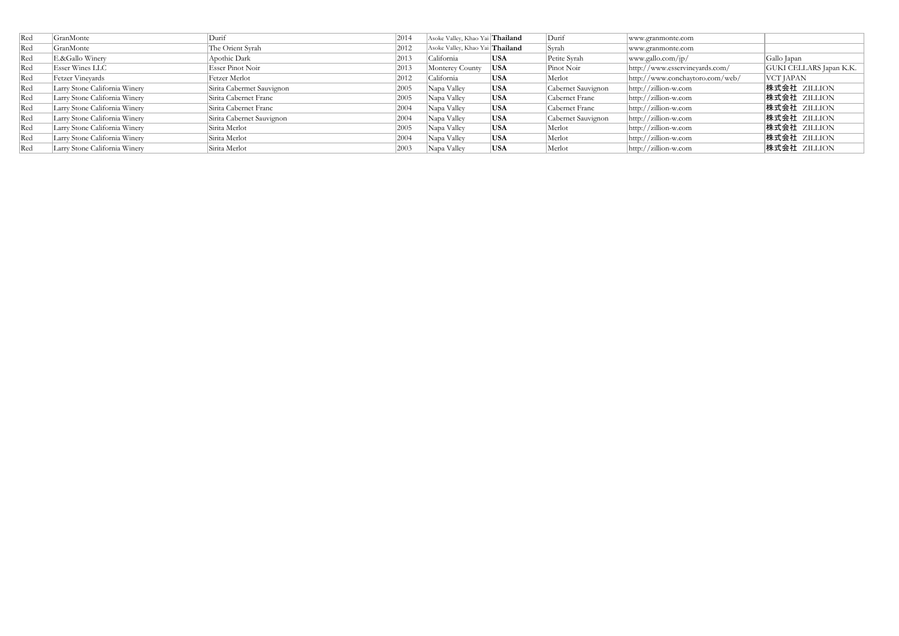| Red | GranMonte                     | Durif                     | 2014 | Asoke Valley, Khao Yai Thailand |            | Durif              | www.granmonte.com                         |                         |
|-----|-------------------------------|---------------------------|------|---------------------------------|------------|--------------------|-------------------------------------------|-------------------------|
| Red | GranMonte                     | The Orient Syrah          | 2012 | Asoke Valley, Khao Yai Thailand |            | Syrah              | www.granmonte.com                         |                         |
| Red | E.&Gallo Winery               | Apothic Dark              | 2013 | California                      | <b>USA</b> | Petite Syrah       | www.gallo.com/ip/                         | Gallo Japan             |
| Red | Esser Wines LLC               | Esser Pinot Noir          | 2013 | Monterey County                 | USA        | Pinot Noir         | http://www.esservineyards.com/            | GUKI CELLARS Japan K.K. |
| Red | Fetzer Vineyards              | Fetzer Merlot             | 2012 | California                      | <b>USA</b> | Merlot             | $\frac{http://www.conchaytoro.com/web/}{$ | VCT JAPAN               |
| Red | Larry Stone California Winery | Sirita Cabermet Sauvignon | 2005 | Napa Valley                     | <b>USA</b> | Cabernet Sauvignon | $\frac{http://zillion-w.com}{$            | 株式会社 ZILLION            |
| Red | Larry Stone California Winery | Sirita Cabernet Franc     | 2005 | Napa Valley                     | <b>USA</b> | Cabernet Franc     | $\frac{http://zillion-w.com}{$            | 株式会社 ZILLION            |
| Red | Larry Stone California Winery | Sirita Cabernet Franc     | 2004 | Napa Valley                     | <b>USA</b> | Cabernet Franc     | $\frac{http://zillion-w.com}{$            | 株式会社 ZILLION            |
| Red | Larry Stone California Winery | Sirita Cabernet Sauvignon | 2004 | Napa Valley                     | <b>USA</b> | Cabernet Sauvignon | $\frac{http://zillion-w.com}{$            | 株式会社 ZILLION            |
| Red | Larry Stone California Winery | Sirita Merlot             | 2005 | Napa Valley                     | <b>USA</b> | Merlot             | $\frac{http://zillion-w.com}{$            | 株式会社 ZILLION            |
| Red | Larry Stone California Winery | Sirita Merlot             | 2004 | Napa Valley                     | <b>USA</b> | Merlot             | $\frac{http://zillion-w.com}{$            | 株式会社 ZILLION            |
| Red | Larry Stone California Winery | Sirita Merlot             | 2003 | Napa Valley                     | <b>USA</b> | Merlot             | $\frac{http://zillion-w.com}{$            | 株式会社 ZILLION            |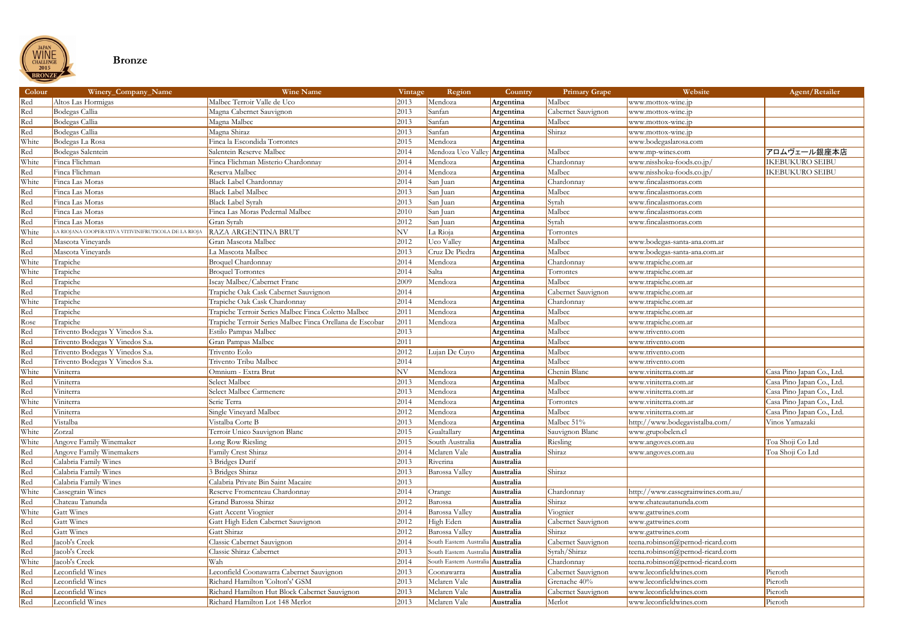

### **Bronze**

| Colour | Winery_Company_Name                                  | <b>Wine Name</b>                                         | Vintage | Region                                   | <b>Country</b> | <b>Primary Grape</b> | Website                            | Agent/Retailer            |
|--------|------------------------------------------------------|----------------------------------------------------------|---------|------------------------------------------|----------------|----------------------|------------------------------------|---------------------------|
| Red    | Altos Las Hormigas                                   | Malbec Terroir Valle de Uco                              | 2013    | Mendoza                                  | Argentina      | Malbec               | www.mottox-wine.jp                 |                           |
| Red    | Bodegas Callia                                       | Magna Cabernet Sauvignon                                 | 2013    | Sanfan                                   | Argentina      | Cabernet Sauvignon   | www.mottox-wine.jp                 |                           |
| Red    | Bodegas Callia                                       | Magna Malbec                                             | 2013    | Sanfan                                   | Argentina      | Malbec               | www.mottox-wine.jp                 |                           |
| Red    | Bodegas Callia                                       | Magna Shiraz                                             | 2013    | Sanfan                                   | Argentina      | Shiraz               | www.mottox-wine.jp                 |                           |
| White  | Bodegas La Rosa                                      | Finca la Escondida Torrontes                             | 2015    | Mendoza                                  | Argentina      |                      | www.bodegaslarosa.com              |                           |
| Red    | Bodegas Salentein                                    | Salentein Reserve Malbec                                 | 2014    | Mendoza Uco Valley                       | Argentina      | Malbec               | www.mp-wines.com                   | アロムヴェール銀座本店               |
| White  | Finca Flichman                                       | Finca Flichman Misterio Chardonnay                       | 2014    | Mendoza                                  | Argentina      | Chardonnay           | www.nisshoku-foods.co.jp/          | <b>IKEBUKURO SEIBU</b>    |
| Red    | Finca Flichman                                       | Reserva Malbec                                           | 2014    | Mendoza                                  | Argentina      | Malbec               | www.nisshoku-foods.co.jp/          | <b>IKEBUKURO SEIBU</b>    |
| White  | Finca Las Moras                                      | Black Label Chardonnay                                   | 2014    | San Juan                                 | Argentina      | Chardonnay           | www.fincalasmoras.com              |                           |
| Red    | Finca Las Moras                                      | <b>Black Label Malbec</b>                                | 2013    | San Juan                                 | Argentina      | Malbec               | www.fincalasmoras.com              |                           |
| Red    | Finca Las Moras                                      | <b>Black Label Syrah</b>                                 | 2013    | San Juan                                 | Argentina      | Syrah                | www.fincalasmoras.com              |                           |
| Red    | Finca Las Moras                                      | Finca Las Moras Pedernal Malbec                          | 2010    | San Juan                                 | Argentina      | Malbec               | www.fincalasmoras.com              |                           |
| Red    | Finca Las Moras                                      | Gran Syrah                                               | 2012    | San Juan                                 | Argentina      | Syrah                | www.fincalasmoras.com              |                           |
| White  | LA RIOJANA COOPERATIVA VITIVINIFRUTICOLA DE LA RIOJA | RAZA ARGENTINA BRUT                                      | NV      | La Rioja                                 | Argentina      | Torrontes            |                                    |                           |
| Red    | Mascota Vineyards                                    | Gran Mascota Malbec                                      | 2012    | <b>Uco Valley</b>                        | Argentina      | Malbec               | www.bodegas-santa-ana.com.ar       |                           |
| Red    | Mascota Vineyards                                    | La Mascota Malbec                                        | 2013    | Cruz De Piedra                           | Argentina      | Malbec               | www.bodegas-santa-ana.com.ar       |                           |
| White  | Trapiche                                             | <b>Broquel Chardonnay</b>                                | 2014    | Mendoza                                  | Argentina      | Chardonnay           | www.trapiche.com.ar                |                           |
| White  | Trapiche                                             | <b>Broquel Torrontes</b>                                 | 2014    | Salta                                    | Argentina      | Torrontes            | www.trapiche.com.ar                |                           |
| Red    | Trapiche                                             | Iscay Malbec/Cabernet Franc                              | 2009    | Mendoza                                  | Argentina      | Malbec               | www.trapiche.com.ar                |                           |
| Red    | Trapiche                                             | Trapiche Oak Cask Cabernet Sauvignon                     | 2014    |                                          | Argentina      | Cabernet Sauvignon   | www.trapiche.com.ar                |                           |
| White  | Trapiche                                             | Trapiche Oak Cask Chardonnay                             | 2014    | Mendoza                                  | Argentina      | Chardonnay           | www.trapiche.com.ar                |                           |
| Red    | Trapiche                                             | Trapiche Terroir Series Malbec Finca Coletto Malbec      | 2011    | Mendoza                                  | Argentina      | Malbec               | www.trapiche.com.ar                |                           |
| Rose   | Trapiche                                             | Trapiche Terroir Series Malbec Finca Orellana de Escobar | 2011    | Mendoza                                  | Argentina      | Malbec               | www.trapiche.com.ar                |                           |
| Red    | Trivento Bodegas Y Vinedos S.a.                      | Estilo Pampas Malbec                                     | 2013    |                                          | Argentina      | Malbec               | www.trivento.com                   |                           |
| Red    | Trivento Bodegas Y Vinedos S.a.                      | Gran Pampas Malbec                                       | 2011    |                                          | Argentina      | Malbec               | www.trivento.com                   |                           |
| Red    | Trivento Bodegas Y Vinedos S.a.                      | Trivento Eolo                                            | 2012    | Lujan De Cuyo                            | Argentina      | Malbec               | www.trivento.com                   |                           |
| Red    | Trivento Bodegas Y Vinedos S.a.                      | Trivento Tribu Malbec                                    | 2014    |                                          | Argentina      | Malbec               | www.trivento.com                   |                           |
| White  | Viniterra                                            | Omnium - Extra Brut                                      | NV      | Mendoza                                  | Argentina      | Chenin Blanc         | www.viniterra.com.ar               | Casa Pino Japan Co., Ltd. |
| Red    | Viniterra                                            | Select Malbec                                            | 2013    | Mendoza                                  | Argentina      | Malbec               | www.viniterra.com.ar               | Casa Pino Japan Co., Ltd. |
| Red    | Viniterra                                            | Select Malbec Carmenere                                  | 2013    | Mendoza                                  | Argentina      | Malbec               | www.viniterra.com.ar               | Casa Pino Japan Co., Ltd. |
| White  | Viniterra                                            | Serie Terra                                              | 2014    | Mendoza                                  | Argentina      | Torrontes            | www.viniterra.com.ar               | Casa Pino Japan Co., Ltd. |
| Red    | Viniterra                                            | Single Vineyard Malbec                                   | 2012    | Mendoza                                  | Argentina      | Malbec               | www.viniterra.com.ar               | Casa Pino Japan Co., Ltd. |
| Red    | Vistalba                                             | Vistalba Corte B                                         | 2013    | Mendoza                                  | Argentina      | Malbec 51%           | http://www.bodegavistalba.com/     | Vinos Yamazaki            |
| White  | Zorzal                                               | Terroir Unico Sauvignon Blanc                            | 2015    | Gualtallary                              | Argentina      | Sauvignon Blanc      | www.grupobelen.cl                  |                           |
| White  | Angove Family Winemaker                              | Long Row Riesling                                        | 2015    | South Australia                          | Australia      | Riesling             | www.angoves.com.au                 | Toa Shoji Co Ltd          |
| Red    | Angove Family Winemakers                             | Family Crest Shiraz                                      | 2014    | Mclaren Vale                             | Australia      | Shiraz               | www.angoves.com.au                 | Toa Shoji Co Ltd          |
| Red    | Calabria Family Wines                                | 3 Bridges Durif                                          | 2013    | Riverina                                 | Australia      |                      |                                    |                           |
| Red    | Calabria Family Wines                                | 3 Bridges Shiraz                                         | 2013    | Barossa Valley                           | Australia      | Shiraz               |                                    |                           |
| Red    | Calabria Family Wines                                | Calabria Private Bin Saint Macaire                       | 2013    |                                          | Australia      |                      |                                    |                           |
| White  | Cassegrain Wines                                     | Reserve Fromenteau Chardonnay                            | 2014    | Orange                                   | Australia      | Chardonnay           | http://www.cassegrainwines.com.au/ |                           |
| Red    | Chateau Tanunda                                      | Grand Barossa Shiraz                                     | 2012    | Barossa                                  | Australia      | Shiraz               | www.chateautanunda.com             |                           |
| White  | <b>Gatt Wines</b>                                    | Gatt Accent Viognier                                     | 2014    | <b>Barossa Valley</b>                    | Australia      | Viognier             | www.gattwines.com                  |                           |
| Red    | Gatt Wines                                           | Gatt High Eden Cabernet Sauvignon                        | 2012    | High Eden                                | Australia      | Cabernet Sauvignon   | www.gattwines.com                  |                           |
| Red    | <b>Gatt Wines</b>                                    | Gatt Shiraz                                              | 2012    | Barossa Valley                           | Australia      | Shiraz               | www.gattwines.com                  |                           |
| Red    | Jacob's Creek                                        | Classic Cabernet Sauvignon                               | 2014    | South Eastern Australia <b>Australia</b> |                | Cabernet Sauvignon   | teena.robinson@pernod-ricard.com   |                           |
| Red    | Jacob's Creek                                        | Classic Shiraz Cabernet                                  | 2013    | South Eastern Australia                  | a Australia    | Syrah/Shiraz         | teena.robinson@pernod-ricard.com   |                           |
| White  | Jacob's Creek                                        | Wah                                                      | 2014    | South Eastern Australia <b>Australia</b> |                | Chardonnay           | teena.robinson@pernod-ricard.com   |                           |
| Red    | Leconfield Wines                                     | Leconfield Coonawarra Cabernet Sauvignon                 | 2013    | Coonawarra                               | Australia      | Cabernet Sauvignon   | www.leconfieldwines.com            | Pieroth                   |
| Red    | Leconfield Wines                                     | Richard Hamilton 'Colton's' GSM                          | 2013    | Mclaren Vale                             | Australia      | Grenache 40%         | www.leconfieldwines.com            | Pieroth                   |
| Red    | Leconfield Wines                                     | Richard Hamilton Hut Block Cabernet Sauvignon            | 2013    | Mclaren Vale                             | Australia      | Cabernet Sauvignon   | www.leconfieldwines.com            | Pieroth                   |
| Red    | Leconfield Wines                                     | Richard Hamilton Lot 148 Merlot                          | 2013    | Mclaren Vale                             | Australia      | Merlot               | www.leconfieldwines.com            | Pieroth                   |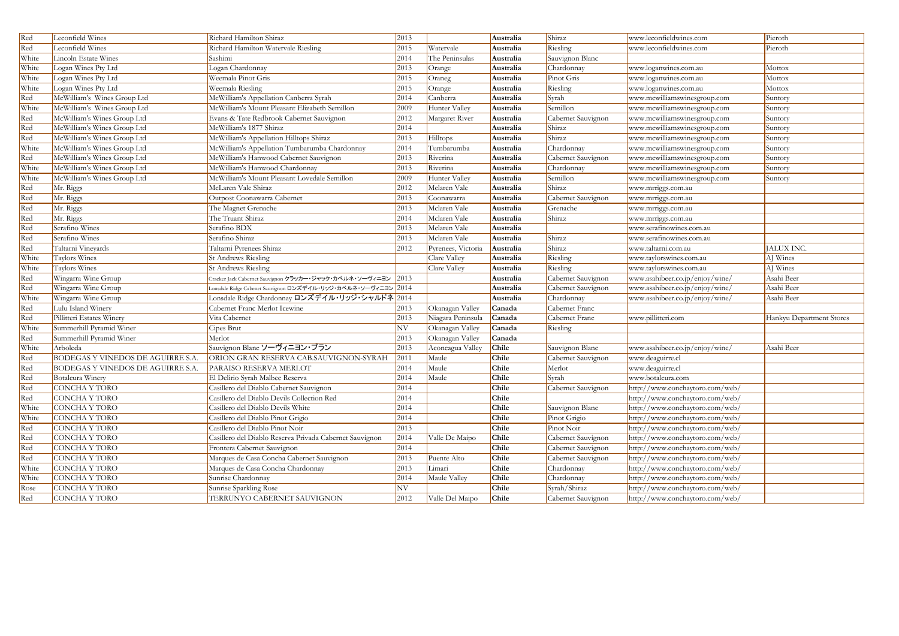| Red   | Leconfield Wines                  | Richard Hamilton Shiraz                                       | 2013         |                    | Australia    | Shiraz             | www.leconfieldwines.com         | Pieroth                  |
|-------|-----------------------------------|---------------------------------------------------------------|--------------|--------------------|--------------|--------------------|---------------------------------|--------------------------|
| Red   | Leconfield Wines                  | Richard Hamilton Watervale Riesling                           | 2015         | Watervale          | Australia    | Riesling           | www.leconfieldwines.com         | Pieroth                  |
| White | Lincoln Estate Wines              | Sashimi                                                       | 2014         | The Peninsulas     | Australia    | Sauvignon Blanc    |                                 |                          |
| White | Logan Wines Pty Ltd               | Logan Chardonnay                                              | 2013         | Orange             | Australia    | Chardonnay         | www.loganwines.com.au           | Mottox                   |
| White | Logan Wines Pty Ltd               | Weemala Pinot Gris                                            | 2015         | Oraneg             | Australia    | Pinot Gris         | www.loganwines.com.au           | Mottox                   |
| White | Logan Wines Pty Ltd               | Weemala Riesling                                              | 2015         | Orange             | Australia    | Riesling           | www.loganwines.com.au           | Mottox                   |
| Red   | McWilliam's Wines Group Ltd       | McWilliam's Appellation Canberra Syrah                        | 2014         | Canberra           | Australia    | Syrah              | www.mcwilliamswinesgroup.com    | Suntory                  |
| White | McWilliam's Wines Group Ltd       | McWilliam's Mount Pleasant Elizabeth Semillon                 | 2009         | Hunter Valley      | Australia    | Semillon           | www.mcwilliamswinesgroup.com    | Suntory                  |
| Red   | McWilliam's Wines Group Ltd       | Evans & Tate Redbrook Cabernet Sauvignon                      | 2012         | Margaret River     | Australia    | Cabernet Sauvignon | www.mcwilliamswinesgroup.com    | Suntory                  |
| Red   | McWilliam's Wines Group Ltd       | McWilliam's 1877 Shiraz                                       | 2014         |                    | Australia    | Shiraz             | www.mcwilliamswinesgroup.com    | Suntory                  |
| Red   | McWilliam's Wines Group Ltd       | McWilliam's Appellation Hilltops Shiraz                       | 2013         | Hilltops           | Australia    | Shiraz             | www.mcwilliamswinesgroup.com    | Suntory                  |
| White | McWilliam's Wines Group Ltd       | McWilliam's Appellation Tumbarumba Chardonnay                 | 2014         | Tumbarumba         | Australia    | Chardonnay         | www.mcwilliamswinesgroup.com    | Suntory                  |
| Red   | McWilliam's Wines Group Ltd       | McWilliam's Hanwood Cabernet Sauvignon                        | 2013         | Riverina           | Australia    | Cabernet Sauvignon | www.mcwilliamswinesgroup.com    | Suntory                  |
| White | McWilliam's Wines Group Ltd       | McWilliam's Hanwood Chardonnay                                | 2013         | Riverina           | Australia    | Chardonnay         | www.mcwilliamswinesgroup.com    | Suntory                  |
| White | McWilliam's Wines Group Ltd       | McWilliam's Mount Pleasant Lovedale Semillon                  | 2009         | Hunter Valley      | Australia    | Semillon           | www.mcwilliamswinesgroup.com    | Suntory                  |
| Red   | Mr. Riggs                         | McLaren Vale Shiraz                                           | 2012         | Mclaren Vale       | Australia    | Shiraz             | www.mrriggs.com.au              |                          |
| Red   | Mr. Riggs                         | Outpost Coonawarra Cabernet                                   | 2013         | Coonawarra         | Australia    | Cabernet Sauvignon | www.mrriggs.com.au              |                          |
| Red   | Mr. Riggs                         | The Magnet Grenache                                           | 2013         | Mclaren Vale       | Australia    | Grenache           | www.mrriggs.com.au              |                          |
| Red   | Mr. Riggs                         | The Truant Shiraz                                             | 2014         | Mclaren Vale       | Australia    | Shiraz             | www.mrriggs.com.au              |                          |
| Red   | Serafino Wines                    | Serafino BDX                                                  | 2013         | Mclaren Vale       | Australia    |                    | www.serafinowines.com.au        |                          |
| Red   | Serafino Wines                    | Serafino Shiraz                                               | 2013         | Mclaren Vale       | Australia    | Shiraz             | www.serafinowines.com.au        |                          |
| Red   | Taltarni Vineyards                | Taltarni Pyrenees Shiraz                                      | 2012         | Pyrenees, Victoria | Australia    | Shiraz             | www.taltarni.com.au             | JALUX INC.               |
| White | Taylors Wines                     | <b>St Andrews Riesling</b>                                    |              | Clare Valley       | Australia    | Riesling           | www.taylorswines.com.au         | AJ Wines                 |
| White | Taylors Wines                     | <b>St Andrews Riesling</b>                                    |              | Clare Valley       | Australia    | Riesling           | www.taylorswines.com.au         | AJ Wines                 |
| Red   | Wingarra Wine Group               | Cracker Jack Cabernet Sauvignon クラッカー・ジャック・カベルネ・ソーヴィニヨン 2013  |              |                    | Australia    | Cabernet Sauvignon | www.asahibeer.co.jp/enjoy/wine/ | Asahi Beer               |
| Red   | Wingarra Wine Group               | Lonsdale Ridge Cabenet Sauvignon ロンズデイル・リッジ・カベルネ・ソーヴィニヨン 2014 |              |                    | Australia    | Cabernet Sauvignon | www.asahibeer.co.jp/enjoy/wine/ | Asahi Beer               |
| White | Wingarra Wine Group               | Lonsdale Ridge Chardonnay ロンズデイル・リッジ・シャルドネ2014                |              |                    | Australia    | Chardonnay         | www.asahibeer.co.jp/enjoy/wine/ | Asahi Beer               |
| Red   | Lulu Island Winery                | Cabernet Franc Merlot Icewine                                 | 2013         | Okanagan Valley    | Canada       | Cabernet Franc     |                                 |                          |
| Red   | Pillitteri Estates Winery         | Vita Cabernet                                                 | 2013         | Niagara Peninsula  | Canada       | Cabernet Franc     | www.pillitteri.com              | Hankyu Department Stores |
| White | Summerhill Pyramid Winer          | Cipes Brut                                                    | NV           | Okanagan Valley    | Canada       | Riesling           |                                 |                          |
| Red   | Summerhill Pyramid Winer          | Merlot                                                        | 2013         | Okanagan Valley    | Canada       |                    |                                 |                          |
| White | Arboleda                          | Sauvignon Blanc ソーヴィニヨン・ブラン                                   | 2013         | Aconcagua Valley   | Chile        | Sauvignon Blanc    | www.asahibeer.co.jp/enjoy/wine/ | Asahi Beer               |
| Red   | BODEGAS Y VINEDOS DE AGUIRRE S.A. | ORION GRAN RESERVA CAB.SAUVIGNON-SYRAH                        | $\vert$ 2011 | Maule              | <b>Chile</b> | Cabernet Sauvignon | www.deaguirre.cl                |                          |
| Red   | BODEGAS Y VINEDOS DE AGUIRRE S.A. | PARAISO RESERVA MERLOT                                        | 2014         | Maule              | Chile        | Merlot             | www.deaguirre.cl                |                          |
| Red   | Botalcura Winery                  | El Delirio Syrah Malbec Reserva                               | 2014         | Maule              | Chile        | Syrah              | www.botalcura.com               |                          |
| Red   | CONCHA Y TORO                     | Casillero del Diablo Cabernet Sauvignon                       | 2014         |                    | Chile        | Cabernet Sauvignon | http://www.conchaytoro.com/web/ |                          |
| Red   | CONCHA Y TORO                     | Casillero del Diablo Devils Collection Red                    | 2014         |                    | Chile        |                    | http://www.conchaytoro.com/web/ |                          |
| White | CONCHA Y TORO                     | Casillero del Diablo Devils White                             | 2014         |                    | Chile        | Sauvignon Blanc    | http://www.conchaytoro.com/web/ |                          |
| White | <b>CONCHA Y TORO</b>              | Casillero del Diablo Pinot Grigio                             | 2014         |                    | Chile        | Pinot Grigio       | http://www.conchaytoro.com/web/ |                          |
| Red   | CONCHA Y TORO                     | Casillero del Diablo Pinot Noir                               | 2013         |                    | Chile        | Pinot Noir         | http://www.conchaytoro.com/web/ |                          |
| Red   | CONCHA Y TORO                     | Casillero del Diablo Reserva Privada Cabernet Sauvignon       | 2014         | Valle De Maipo     | Chile        | Cabernet Sauvignon | http://www.conchaytoro.com/web/ |                          |
| Red   | CONCHA Y TORO                     | Frontera Cabernet Sauvignon                                   | 2014         |                    | Chile        | Cabernet Sauvignon | http://www.conchaytoro.com/web/ |                          |
| Red   | CONCHA Y TORO                     | Marques de Casa Concha Cabernet Sauvignon                     | 2013         | Puente Alto        | Chile        | Cabernet Sauvignon | http://www.conchaytoro.com/web/ |                          |
| White | <b>CONCHA Y TORO</b>              | Marques de Casa Concha Chardonnay                             | 2013         | Limari             | Chile        | Chardonnay         | http://www.conchaytoro.com/web/ |                          |
| White | <b>CONCHA Y TORO</b>              | Sunrise Chardonnay                                            | 2014         | Maule Valley       | Chile        | Chardonnay         | http://www.conchaytoro.com/web/ |                          |
| Rose  | CONCHA Y TORO                     | Sunrise Sparkling Rose                                        | NV           |                    | Chile        | Syrah/Shiraz       | http://www.conchaytoro.com/web/ |                          |
| Red   | CONCHA Y TORO                     | TERRUNYO CABERNET SAUVIGNON                                   | 2012         | Valle Del Maipo    | Chile        | Cabernet Sauvignon | http://www.conchaytoro.com/web/ |                          |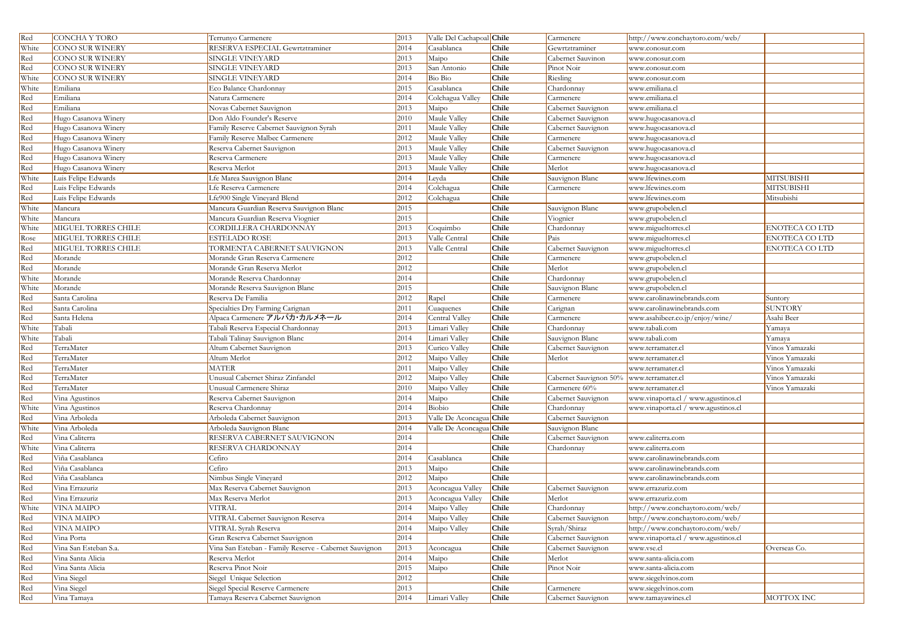| Red   | CONCHA Y TORO          | Terrunyo Carmenere                                     | 2013   | Valle Del Cachapoal Chile |              | Carmenere              | http://www.conchaytoro.com/web/     |                       |
|-------|------------------------|--------------------------------------------------------|--------|---------------------------|--------------|------------------------|-------------------------------------|-----------------------|
| White | CONO SUR WINERY        | RESERVA ESPECIAL Gewrtztraminer                        | 2014   | Casablanca                | Chile        | Gewrtztraminer         | www.conosur.com                     |                       |
| Red   | <b>CONO SUR WINERY</b> | SINGLE VINEYARD                                        | 2013   | Maipo                     | Chile        | Cabernet Sauvinon      | www.conosur.com                     |                       |
| Red   | <b>CONO SUR WINERY</b> | SINGLE VINEYARD                                        | 2013   | San Antonio               | Chile        | Pinot Noir             | www.conosur.com                     |                       |
| White | <b>CONO SUR WINERY</b> | <b>SINGLE VINEYARD</b>                                 | 2014   | Bio Bio                   | Chile        | Riesling               | www.conosur.com                     |                       |
| White | Emiliana               | Eco Balance Chardonnay                                 | 2015   | Casablanca                | Chile        | Chardonnay             | www.emiliana.cl                     |                       |
| Red   | Emiliana               | Natura Carmenere                                       | 2014   | Colchagua Valley          | Chile        | Carmenere              | www.emiliana.cl                     |                       |
| Red   | Emiliana               | Novas Cabernet Sauvignon                               | 2013   | Maipo                     | Chile        | Cabernet Sauvignon     | www.emiliana.cl                     |                       |
| Red   | Hugo Casanova Winery   | Don Aldo Founder's Reserve                             | 2010   | Maule Valley              | Chile        | Cabernet Sauvignon     | www.hugocasanova.cl                 |                       |
| Red   | Hugo Casanova Winery   | Family Reserve Cabernet Sauvignon Syrah                | 2011   | Maule Valley              | Chile        | Cabernet Sauvignon     | www.hugocasanova.cl                 |                       |
| Red   | Hugo Casanova Winery   | Family Reserve Malbec Carmenere                        | 2012   | Maule Valley              | Chile        | Carmenere              | www.hugocasanova.cl                 |                       |
| Red   | Hugo Casanova Winery   | Reserva Cabernet Sauvignon                             | 2013   | Maule Valley              | Chile        | Cabernet Sauvignon     | www.hugocasanova.cl                 |                       |
| Red   | Hugo Casanova Winery   | Reserva Carmenere                                      | 2013   | Maule Valley              | Chile        | Carmenere              | www.hugocasanova.cl                 |                       |
| Red   | Hugo Casanova Winery   | Reserva Merlot                                         | 2013   | Maule Valley              | Chile        | Merlot                 | www.hugocasanova.cl                 |                       |
| White | Luis Felipe Edwards    | Lfe Marea Sauvignon Blanc                              | 2014   | Leyda                     | Chile        | Sauvignon Blanc        | www.lfewines.com                    | <b>MITSUBISHI</b>     |
| Red   | Luis Felipe Edwards    | Lfe Reserva Carmenere                                  | 2014   | Colchagua                 | Chile        | Carmenere              | www.lfewines.com                    | <b>MITSUBISHI</b>     |
| Red   | Luis Felipe Edwards    | Lfe900 Single Vineyard Blend                           | 2012   | Colchagua                 | Chile        |                        | www.lfewines.com                    | Mitsubishi            |
| White | Mancura                | Mancura Guardian Reserva Sauvignon Blanc               | 2015   |                           | Chile        | Sauvignon Blanc        | www.grupobelen.cl                   |                       |
| White | Mancura                | Mancura Guardian Reserva Viognier                      | 2015   |                           | Chile        | Viognier               | www.grupobelen.cl                   |                       |
| White | MIGUEL TORRES CHILE    | CORDILLERA CHARDONNAY                                  | 2013   | Coquimbo                  | Chile        | Chardonnay             | www.migueltorres.cl                 | ENOTECA CO LTD        |
| Rose  | MIGUEL TORRES CHILE    | <b>ESTELADO ROSE</b>                                   | 2013   | Valle Central             | Chile        | Pais                   | www.migueltorres.cl                 | <b>ENOTECA CO LTD</b> |
| Red   | MIGUEL TORRES CHILE    | TORMENTA CABERNET SAUVIGNON                            | 2013   | Valle Central             | Chile        | Cabernet Sauvignon     | www.migueltorres.cl                 | <b>ENOTECA CO LTD</b> |
| Red   | Morande                | Morande Gran Reserva Carmenere                         | 2012   |                           | Chile        | Carmenere              | www.grupobelen.cl                   |                       |
| Red   | Morande                | Morande Gran Reserva Merlot                            | 2012   |                           | Chile        | Merlot                 | www.grupobelen.cl                   |                       |
| White | Morande                | Morande Reserva Chardonnay                             | 2014   |                           | Chile        | Chardonnay             | www.grupobelen.cl                   |                       |
| White | Morande                | Morande Reserva Sauvignon Blanc                        | 2015   |                           | Chile        | Sauvignon Blanc        | www.grupobelen.cl                   |                       |
| Red   | Santa Carolina         | Reserva De Familia                                     | 2012   | Rapel                     | Chile        | Carmenere              | www.carolinawinebrands.com          | Suntory               |
| Red   | Santa Carolina         | Specialties Dry Farming Carignan                       | 2011   | Cuaquenes                 | Chile        | Carignan               | www.carolinawinebrands.com          | <b>SUNTORY</b>        |
| Red   | Santa Helena           | Alpaca Carmenere アルパカ・カルメネール                           | 2014   | Central Valley            | Chile        | Carmenere              | www.asahibeer.co.jp/enjoy/wine/     | Asahi Beer            |
| White | Tabali                 | Tabali Reserva Especial Chardonnay                     | 2013   | Limari Valley             | Chile        | Chardonnay             | www.tabali.com                      | Yamaya                |
| White | Tabali                 | Tabali Talinay Sauvignon Blanc                         | 2014   | imari Valley              | Chile        | Sauvignon Blanc        | www.tabali.com                      | Yamaya                |
| Red   | TerraMater             | Altum Cabernet Sauvignon                               | 2013   | Curico Valley             | Chile        | Cabernet Sauvignon     | www.terramater.cl                   | Vinos Yamazaki        |
| Red   | TerraMater             | Altum Merlot                                           | 2012   | Maipo Valley              | <b>Chile</b> | Merlot                 | www.terramater.cl                   | Vinos Yamazaki        |
| Red   | TerraMater             | <b>MATER</b>                                           | 2011   | Maipo Valley              | Chile        |                        | www.terramater.cl                   | Vinos Yamazaki        |
| Red   | TerraMater             | Unusual Cabernet Shiraz Zinfandel                      | 2012   | Maipo Valley              | Chile        | Cabernet Sauvignon 50% | www.terramater.cl                   | Vinos Yamazaki        |
| Red   | TerraMater             | Unusual Carmenere Shiraz                               | 2010   | Maipo Valley              | Chile        | Carmenere 60%          | www.terramater.cl                   | Vinos Yamazaki        |
| Red   | Vina Agustinos         | Reserva Cabernet Sauvignon                             | 2014   | Maipo                     | Chile        | Cabernet Sauvignon     | www.vinaporta.cl / www.agustinos.cl |                       |
| White | Vina Agustinos         | Reserva Chardonnay                                     | 2014   | Biobio                    | Chile        | Chardonnay             | www.vinaporta.cl / www.agustinos.cl |                       |
| Red   | Vina Arboleda          | Arboleda Cabernet Sauvignon                            | 2013   | Valle De Aconcagua Chile  |              | Cabernet Sauvignon     |                                     |                       |
| White | Vina Arboleda          | Arboleda Sauvignon Blanc                               | 2014   | Valle De Aconcagua Chile  |              | Sauvignon Blanc        |                                     |                       |
| Red   | Vina Caliterra         | RESERVA CABERNET SAUVIGNON                             | 2014   |                           | Chile        | Cabernet Sauvignon     | www.caliterra.com                   |                       |
| White | Vina Caliterra         | RESERVA CHARDONNAY                                     | 2014   |                           | Chile        | Chardonnay             | www.caliterra.com                   |                       |
| Red   | Viña Casablanca        | Cefiro                                                 | 2014   | Casablanca                | Chile        |                        | www.carolinawinebrands.com          |                       |
| Red   | Viña Casablanca        | Cefiro                                                 | 2013   | Maipo                     | Chile        |                        | www.carolinawinebrands.com          |                       |
| Red   | Viña Casablanca        | Nimbus Single Vineyard                                 | 2012   | Maipo                     | Chile        |                        | www.carolinawinebrands.com          |                       |
| Red   | Vina Errazuriz         | Max Reserva Cabernet Sauvignon                         | 2013   | Aconcagua Valley          | Chile        | Cabernet Sauvignon     | www.errazuriz.com                   |                       |
| Red   | Vina Errazuriz         | Max Reserva Merlot                                     | 2013   | Aconcagua Valley          | Chile        | Merlot                 | www.errazuriz.com                   |                       |
| White | <b>VINA MAIPO</b>      | <b>VITRAL</b>                                          | $2014$ | Maipo Valley              | Chile        | Chardonnay             | http://www.conchaytoro.com/web/     |                       |
| Red   | <b>VINA MAIPO</b>      | VITRAL Cabernet Sauvignon Reserva                      | 2014   | Maipo Valley              | Chile        | Cabernet Sauvignon     | http://www.conchaytoro.com/web/     |                       |
| Red   | <b>VINA MAIPO</b>      | VITRAL Syrah Reserva                                   | 2014   | Maipo Valley              | Chile        | Syrah/Shiraz           | http://www.conchaytoro.com/web/     |                       |
| Red   | Vina Porta             | Gran Reserva Cabernet Sauvignon                        | 2014   |                           | Chile        | Cabernet Sauvignon     | www.vinaporta.cl / www.agustinos.cl |                       |
| Red   | Vina San Esteban S.a.  | Vina San Esteban - Family Reserve - Cabernet Sauvignon | 2013   | Aconcagua                 | Chile        | Cabernet Sauvignon     | www.vse.cl                          | Overseas Co.          |
| Red   | Vina Santa Alicia      | Reserva Merlot                                         | 2014   | Maipo                     | Chile        | Merlot                 | www.santa-alicia.com                |                       |
| Red   | Vina Santa Alicia      | Reserva Pinot Noir                                     | 2015   | Maipo                     | Chile        | Pinot Noir             | www.santa-alicia.com                |                       |
| Red   | Vina Siegel            | Siegel Unique Selection                                | 2012   |                           | Chile        |                        | www.siegelvinos.com                 |                       |
| Red   | Vina Siegel            | Siegel Special Reserve Carmenere                       | 2013   |                           | Chile        | Carmenere              | www.siegelvinos.com                 |                       |
| Red   | Vina Tamaya            | Tamaya Reserva Cabernet Sauvignon                      | 2014   | Limari Valley             | Chile        | Cabernet Sauvignon     | www.tamayawines.cl                  | MOTTOX INC            |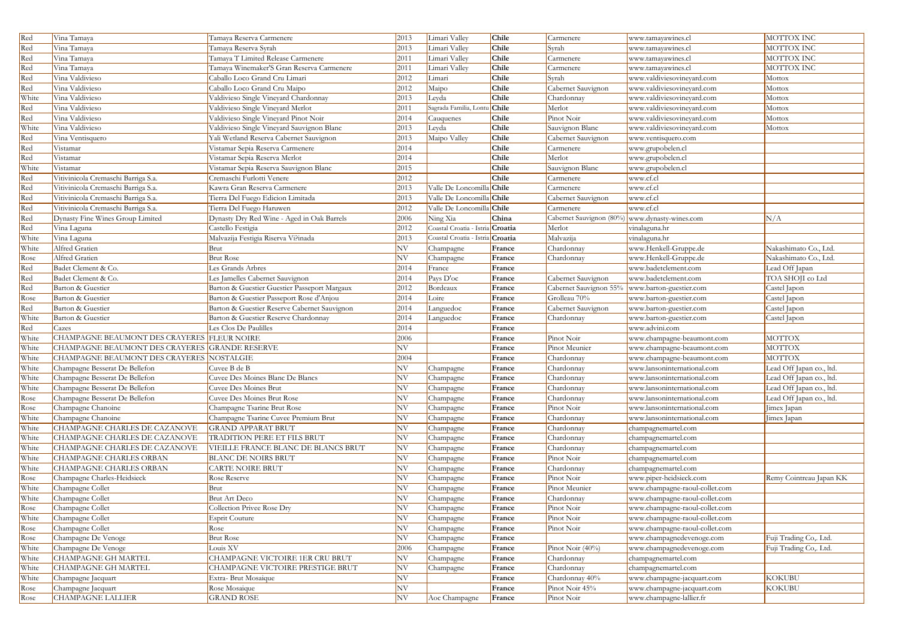| Red   | Vina Tamaya                                    | Tamaya Reserva Carmenere                     | 2013 | Limari Valley                    | Chile  | Carmenere               | www.tamayawines.cl             | MOTTOX INC               |
|-------|------------------------------------------------|----------------------------------------------|------|----------------------------------|--------|-------------------------|--------------------------------|--------------------------|
| Red   | Vina Tamaya                                    | Tamaya Reserva Syrah                         | 2013 | Limari Valley                    | Chile  | Syrah                   | www.tamayawines.cl             | MOTTOX INC               |
| Red   | Vina Tamaya                                    | Tamaya T Limited Release Carmenere           | 2011 | imari Valley                     | Chile  | Carmenere               | www.tamayawines.cl             | MOTTOX INC               |
| Red   | Vina Tamaya                                    | Tamaya Winemaker'S Gran Reserva Carmenere    | 2011 | imari Valley                     | Chile  | Carmenere               | www.tamayawines.cl             | MOTTOX INC               |
| Red   | Vina Valdivieso                                | Caballo Loco Grand Cru Limari                | 2012 | Limari                           | Chile  | Syrah                   | www.valdiviesovineyard.com     | Mottox                   |
| Red   | Vina Valdivieso                                | Caballo Loco Grand Cru Maipo                 | 2012 | Maipo                            | Chile  | Cabernet Sauvignon      | www.valdiviesovineyard.com     | Mottox                   |
| White | Vina Valdivieso                                | Valdivieso Single Vineyard Chardonnay        | 2013 | Leyda                            | Chile  | Chardonnay              | www.valdiviesovineyard.com     | Mottox                   |
| Red   | Vina Valdivieso                                | Valdivieso Single Vineyard Merlot            | 2011 | Sagrada Familia, Lont            | Chile  | Merlot                  | www.valdiviesovineyard.com     | Mottox                   |
| Red   | Vina Valdivieso                                | Valdivieso Single Vineyard Pinot Noir        | 2014 | Cauquenes                        | Chile  | Pinot Noir              | www.valdiviesovineyard.com     | Mottox                   |
| White | Vina Valdivieso                                | Valdivieso Single Vineyard Sauvignon Blanc   | 2013 | Leyda                            | Chile  | Sauvignon Blanc         | www.valdiviesovineyard.com     | Mottox                   |
| Red   | Vina Ventisquero                               | Yali Wetland Reserva Cabernet Sauvignon      | 2013 | Maipo Valley                     | Chile  | Cabernet Sauvignon      | www.ventisquero.com            |                          |
| Red   | Vistamar                                       | Vistamar Sepia Reserva Carmenere             | 2014 |                                  | Chile  | Carmenere               | www.grupobelen.cl              |                          |
| Red   | Vistamar                                       | Vistamar Sepia Reserva Merlot                | 2014 |                                  | Chile  | Merlot                  | www.grupobelen.cl              |                          |
| White | Vistamar                                       | Vistamar Sepia Reserva Sauvignon Blanc       | 2015 |                                  | Chile  | Sauvignon Blanc         | www.grupobelen.cl              |                          |
| Red   | Vitivinicola Cremaschi Barriga S.a.            | Cremaschi Furlotti Venere                    | 2012 |                                  | Chile  | Carmenere               | www.cf.cl                      |                          |
| Red   | Vitivinicola Cremaschi Barriga S.a.            | Kawra Gran Reserva Carmenere                 | 2013 | Valle De Loncomilla Chile        |        | Carmenere               | www.cf.cl                      |                          |
| Red   | Vitivinicola Cremaschi Barriga S.a.            | Tierra Del Fuego Edicion Limitada            | 2013 | Valle De Loncomilla Chile        |        | Cabernet Sauvignon      | www.cf.cl                      |                          |
| Red   | Vitivinicola Cremaschi Barriga S.a.            | Tierra Del Fuego Haruwen                     | 2012 | Valle De Loncomilla Chile        |        | Carmenere               | www.cf.cl                      |                          |
| Red   | Dynasty Fine Wines Group Limited               | Dynasty Dry Red Wine - Aged in Oak Barrels   | 2006 | Ning Xia                         | China  | Cabernet Sauvignon (80% | www.dynasty-wines.com          | N/A                      |
| Red   | Vina Laguna                                    | Castello Festigia                            | 2012 | Coastal Croatia - Istria Croatia |        | Merlot                  | vinalaguna.hr                  |                          |
| White | Vina Laguna                                    | Malvazija Festigia Riserva Vi?inada          | 2013 | Coastal Croatia - Istria Croatia |        | Malvazija               | vinalaguna.hr                  |                          |
| White | Alfred Gratien                                 | Brut                                         | NV   | Champagne                        | France | Chardonnay              | www.Henkell-Gruppe.de          | Nakashimato Co., Ltd.    |
| Rose  | Alfred Gratien                                 | <b>Brut Rose</b>                             | NV   | Champagne                        | France | Chardonnay              | www.Henkell-Gruppe.de          | Nakashimato Co., Ltd.    |
| Red   | Badet Clement & Co.                            | Les Grands Arbres                            | 2014 | France                           | France |                         | www.badetclement.com           | Lead Off Japan           |
| Red   | Badet Clement & Co.                            | Les Jamelles Cabernet Sauvignon              | 2014 | Pays D'oc                        | France | Cabernet Sauvignon      | www.badetclement.com           | TOA SHOJI co Ltd         |
| Red   | Barton & Guestier                              | Barton & Guestier Guestier Passeport Margaux | 2012 | Bordeaux                         | France | Cabernet Sauvignon 55%  | www.barton-guestier.com        | Castel Japon             |
| Rose  | Barton & Guestier                              | Barton & Guestier Passeport Rose d'Anjou     | 2014 | Loire                            | France | Grolleau 70%            | www.barton-guestier.com        | Castel Japon             |
| Red   | Barton & Guestier                              | Barton & Guestier Reserve Cabernet Sauvignon | 2014 | anguedoc                         | France | Cabernet Sauvignon      | www.barton-guestier.com        | Castel Japon             |
| White | Barton & Guestier                              | Barton & Guestier Reserve Chardonnay         | 2014 | Languedoc                        | France | Chardonnay              | www.barton-guestier.com        | Castel Japon             |
| Red   | Cazes                                          | Les Clos De Paulilles                        | 2014 |                                  | France |                         | www.advini.com                 |                          |
| White | CHAMPAGNE BEAUMONT DES CRAYERES FLEUR NOIRE    |                                              | 2006 |                                  | France | Pinot Noir              | www.champagne-beaumont.com     | <b>MOTTOX</b>            |
| White | CHAMPAGNE BEAUMONT DES CRAYERES GRANDE RESERVE |                                              | NV   |                                  | France | Pinot Meunier           | www.champagne-beaumont.com     | <b>MOTTOX</b>            |
| White | CHAMPAGNE BEAUMONT DES CRAYERES NOSTALGIE      |                                              | 2004 |                                  | France | Chardonnay              | www.champagne-beaumont.com     | <b>MOTTOX</b>            |
| White | Champagne Besserat De Bellefon                 | Cuvee B de B                                 | NV   | Champagne                        | France | Chardonnay              | www.lansoninternational.com    | Lead Off Japan co., ltd. |
| White | Champagne Besserat De Bellefon                 | Cuvee Des Moines Blanc De Blancs             | NV   | Champagne                        | France | Chardonnay              | www.lansoninternational.com    | Lead Off Japan co., ltd. |
| White | Champagne Besserat De Bellefon                 | Cuvee Des Moines Brut                        | NV   | Champagne                        | France | Chardonnay              | www.lansoninternational.com    | Lead Off Japan co., ltd. |
| Rose  | Champagne Besserat De Bellefon                 | Cuvee Des Moines Brut Rose                   | NV   | Champagne                        | France | Chardonnay              | www.lansoninternational.com    | Lead Off Japan co., ltd. |
| Rose  | Champagne Chanoine                             | Champagne Tsarine Brut Rose                  | NV   | Champagne                        | France | Pinot Noir              | www.lansoninternational.com    | Jimex Japan              |
| White | Champagne Chanoine                             | Champagne Tsarine Cuvee Premium Brut         | NV   | Champagne                        | France | Chardonnay              | www.lansoninternational.com    | Jimex Japan              |
| White | CHAMPAGNE CHARLES DE CAZANOVE                  | <b>GRAND APPARAT BRUT</b>                    | NV   | Champagne                        | France | Chardonnay              | champagnemartel.com            |                          |
| White | CHAMPAGNE CHARLES DE CAZANOVE                  | TRADITION PERE ET FILS BRUT                  | NV   | Champagne                        | France | Chardonnay              | champagnemartel.com            |                          |
| White | CHAMPAGNE CHARLES DE CAZANOVE                  | VIEILLE FRANCE BLANC DE BLANCS BRUT          | NV   | Champagne                        | France | Chardonnay              | champagnemartel.com            |                          |
| White | CHAMPAGNE CHARLES ORBAN                        | <b>BLANC DE NOIRS BRUT</b>                   | NV   | Champagne                        | France | Pinot Noir              | champagnemartel.com            |                          |
| White | <b>CHAMPAGNE CHARLES ORBAN</b>                 | <b>CARTE NOIRE BRUT</b>                      | NV   | Champagne                        | France | Chardonnay              | champagnemartel.com            |                          |
| Rose  | Champagne Charles-Heidsieck                    | Rose Reserve                                 | NV   | Champagne                        | France | Pinot Noir              | www.piper-heidsieck.com        | Remy Cointreau Japan KK  |
| White | Champagne Collet                               | Brut                                         | NV   | Champagne                        | France | Pinot Meunier           | www.champagne-raoul-collet.com |                          |
| White | Champagne Collet                               | <b>Brut Art Deco</b>                         | NV   | Champagne                        | France | Chardonnay              | www.champagne-raoul-collet.com |                          |
| Rose  | Champagne Collet                               | Collection Privee Rose Dry                   | NV   | Champagne                        | France | Pinot Noir              | www.champagne-raoul-collet.com |                          |
| White | Champagne Collet                               | <b>Esprit Couture</b>                        | NV   | Champagne                        | France | Pinot Noir              | www.champagne-raoul-collet.com |                          |
| Rose  | Champagne Collet                               | Rose                                         | NV   | Champagne                        | France | Pinot Noir              | www.champagne-raoul-collet.com |                          |
| Rose  | Champagne De Venoge                            | <b>Brut Rose</b>                             | NV   | Champagne                        | France |                         | www.champagnedevenoge.com      | Fuji Trading Co,. Ltd.   |
| White | Champagne De Venoge                            | Louis XV                                     | 2006 | Champagne                        | France | Pinot Noir (40%)        | www.champagnedevenoge.com      | Fuji Trading Co,. Ltd.   |
| White | <b>CHAMPAGNE GH MARTEL</b>                     | CHAMPAGNE VICTOIRE 1ER CRU BRUT              | NV   | Champagne                        | France | Chardonnay              | champagnemartel.com            |                          |
| White | CHAMPAGNE GH MARTEL                            | CHAMPAGNE VICTOIRE PRESTIGE BRUT             | NV   | Champagne                        | France | Chardonnay              | champagnemartel.com            |                          |
| White | Champagne Jacquart                             | Extra-Brut Mosaique                          | NV   |                                  | France | Chardonnay 40%          | www.champagne-jacquart.com     | <b>KOKUBU</b>            |
| Rose  | Champagne Jacquart                             | Rose Mosaique                                | NV   |                                  | France | Pinot Noir 45%          | www.champagne-jacquart.com     | <b>KOKUBU</b>            |
| Rose  | <b>CHAMPAGNE LALLIER</b>                       | <b>GRAND ROSE</b>                            | NV   | Aoc Champagne                    | France | Pinot Noir              | www.champagne-lallier.fr       |                          |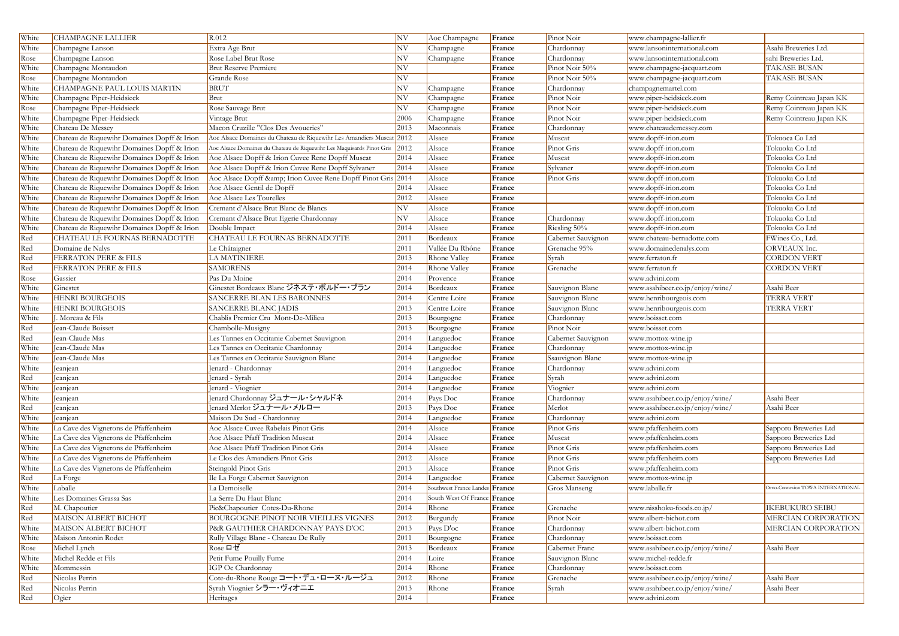| White | <b>CHAMPAGNE LALLIER</b>                    | R.012                                                                      | NV   | Aoc Champagne                  | France | Pinot Noir         | www.champagne-lallier.fr        |                                   |
|-------|---------------------------------------------|----------------------------------------------------------------------------|------|--------------------------------|--------|--------------------|---------------------------------|-----------------------------------|
| White | Champagne Lanson                            | Extra Age Brut                                                             | NV   | Champagne                      | France | Chardonnay         | www.lansoninternational.com     | Asahi Breweries Ltd.              |
| Rose  | Champagne Lanson                            | Rose Label Brut Rose                                                       | NV   | Champagne                      | France | Chardonnay         | www.lansoninternational.com     | sahi Breweries Ltd.               |
| White | Champagne Montaudon                         | <b>Brut Reserve Premiere</b>                                               | NV   |                                | France | Pinot Noir 50%     | www.champagne-jacquart.com      | <b>TAKASE BUSAN</b>               |
| Rose  | Champagne Montaudon                         | Grande Rose                                                                | NV   |                                | France | Pinot Noir 50%     | www.champagne-jacquart.com      | <b>TAKASE BUSAN</b>               |
| White | CHAMPAGNE PAUL LOUIS MARTIN                 | <b>BRUT</b>                                                                | NV   | Champagne                      | France | Chardonnay         | champagnemartel.com             |                                   |
| White | Champagne Piper-Heidsieck                   | Brut                                                                       | NV   | Champagne                      | France | Pinot Noir         | www.piper-heidsieck.com         | Remy Cointreau Japan KK           |
| Rose  | Champagne Piper-Heidsieck                   | Rose Sauvage Brut                                                          | NV   | Champagne                      | France | Pinot Noir         | www.piper-heidsieck.com         | Remy Cointreau Japan KK           |
| White | Champagne Piper-Heidsieck                   | Vintage Brut                                                               | 2006 | Champagne                      | France | Pinot Noir         | www.piper-heidsieck.com         | Remy Cointreau Japan KK           |
| White | Chateau De Messey                           | Macon Cruzille "Clos Des Avoueries"                                        | 2013 | Maconnais                      | France | Chardonnay         | www.chateaudemessey.com         |                                   |
| White | Chateau de Riquewihr Domaines Dopff & Irion | Aoc Alsace Domaines du Chateau de Riquewihr Les Amandiers Muscat 2012      |      | Alsace                         | France | Muscat             | www.dopff-irion.com             | Tokuoca Co Ltd                    |
| White | Chateau de Riquewihr Domaines Dopff & Irion | Aoc Alsace Domaines du Chateau de Riquewihr Les Maquisards Pinot Gris 2012 |      | Alsace                         | France | Pinot Gris         | www.dopff-irion.com             | Tokuoka Co Ltd                    |
| White | Chateau de Riquewihr Domaines Dopff & Irion | Aoc Alsace Dopff & Irion Cuvee Rene Dopff Muscat                           | 2014 | Alsace                         | France | Muscat             | www.dopff-irion.com             | Tokuoka Co Ltd                    |
| White | Chateau de Riquewihr Domaines Dopff & Irion | Aoc Alsace Dopff & Irion Cuvee Rene Dopff Sylvaner                         | 2014 | Alsace                         | France | Sylvaner           | www.dopff-irion.com             | Tokuoka Co Ltd                    |
| White | Chateau de Riquewihr Domaines Dopff & Irion | Aoc Alsace Dopff & Irion Cuvee Rene Dopff Pinot Gris 2014                  |      | Alsace                         | France | Pinot Gris         | www.dopff-irion.com             | Tokuoka Co Ltd                    |
| White | Chateau de Riquewihr Domaines Dopff & Irion | Aoc Alsace Gentil de Dopff                                                 | 2014 | Alsace                         | France |                    | www.dopff-irion.com             | Tokuoka Co Ltd                    |
| White | Chateau de Riquewihr Domaines Dopff & Irion | Aoc Alsace Les Tourelles                                                   | 2012 | Alsace                         | France |                    | www.dopff-irion.com             | Tokuoka Co Ltd                    |
| White | Chateau de Riquewihr Domaines Dopff & Irion | Cremant d'Alsace Brut Blanc de Blancs                                      | NV   | Alsace                         | France |                    | www.dopff-irion.com             | Tokuoka Co Ltd                    |
| White | Chateau de Riquewihr Domaines Dopff & Irion | Cremant d'Alsace Brut Egerie Chardonnay                                    | NV   | Alsace                         | France | Chardonnay         | www.dopff-irion.com             | Tokuoka Co Ltd                    |
| White | Chateau de Riquewihr Domaines Dopff & Irion | Double Impact                                                              | 2014 | Alsace                         | France | Riesling 50%       | www.dopff-irion.com             | Tokuoka Co Ltd                    |
| Red   | CHATEAU LE FOURNAS BERNADOTTE               | CHATEAU LE FOURNAS BERNADOTTE                                              | 2011 | Bordeaux                       | France | Cabernet Sauvignon | www.chateau-bernadotte.com      | FWines Co., Ltd.                  |
| Red   | Domaine de Nalys                            | Le Châtaigner                                                              | 2011 | Vallée Du Rhône                | France | Grenache 95%       | www.domainedenalys.com          | ORVEAUX Inc.                      |
| Red   | <b>FERRATON PERE &amp; FILS</b>             | <b>LA MATINIERE</b>                                                        | 2013 | Rhone Valley                   | France | Syrah              | www.ferraton.fr                 | <b>CORDON VERT</b>                |
| Red   | FERRATON PERE & FILS                        | <b>SAMORENS</b>                                                            | 2014 | Rhone Valley                   | France | Grenache           | www.ferraton.fr                 | <b>CORDON VERT</b>                |
| Rose  | Gassier                                     | Pas Du Moine                                                               | 2014 | Provence                       | France |                    | www.advini.com                  |                                   |
| White | Ginestet                                    | Ginestet Bordeaux Blanc ジネステ・ボルドー・ブラン                                      | 2014 | Bordeaux                       | France | Sauvignon Blanc    | www.asahibeer.co.jp/enjoy/wine/ | Asahi Beer                        |
| White | <b>HENRI BOURGEOIS</b>                      | SANCERRE BLAN LES BARONNES                                                 | 2014 | Centre Loire                   | France | Sauvignon Blanc    | www.henribourgeois.com          | <b>TERRA VERT</b>                 |
| White | HENRI BOURGEOIS                             | SANCERRE BLANC JADIS                                                       | 2013 | Centre Loire                   | France | Sauvignon Blanc    | www.henribourgeois.com          | <b>TERRA VERT</b>                 |
| White | I. Moreau & Fils                            | Chablis Premier Cru Mont-De-Milieu                                         | 2013 | Bourgogne                      | France | Chardonnay         | www.boisset.com                 |                                   |
| Red   | Jean-Claude Boisset                         | Chambolle-Musigny                                                          | 2013 | Bourgogne                      | France | Pinot Noir         | www.boisset.com                 |                                   |
| Red   | Jean-Claude Mas                             | Les Tannes en Occitanie Cabernet Sauvignon                                 | 2014 | Languedoc                      | France | Cabernet Sauvignon | www.mottox-wine.jp              |                                   |
| White | Jean-Claude Mas                             | Les Tannes en Occitanie Chardonnay                                         | 2014 | Languedoc                      | France | Chardonnay         | www.mottox-wine.jp              |                                   |
| White | Jean-Claude Mas                             | Les Tannes en Occitanie Sauvignon Blanc                                    | 2014 | Languedoc                      | France | Ssauvignon Blanc   | www.mottox-wine.jp              |                                   |
| White | Jeanjean                                    | Jenard - Chardonnay                                                        | 2014 | Languedoc                      | France | Chardonnay         | www.advini.com                  |                                   |
| Red   | Jeanjean                                    | Jenard - Syrah                                                             | 2014 | Languedoc                      | France | Syrah              | www.advini.com                  |                                   |
| White | Jeanjean                                    | Jenard - Viognier                                                          | 2014 | Languedoc                      | France | Viognier           | www.advini.com                  |                                   |
| White | Jeanjean                                    | Jenard Chardonnay ジュナール・シャルドネ                                              | 2014 | Pays Doc                       | France | Chardonnay         | www.asahibeer.co.jp/enjoy/wine/ | Asahi Beer                        |
| Red   | Jeanjean                                    | Jenard Merlot ジュナール・メルロー                                                   | 2013 | Pays Doc                       | France | Merlot             | www.asahibeer.co.jp/enjoy/wine/ | Asahi Beer                        |
| White | Jeanjean                                    | Maison Du Sud - Chardonnay                                                 | 2014 | Languedoc                      | France | Chardonnay         | www.advini.com                  |                                   |
| White | La Cave des Vignerons de Pfaffenheim        | Aoc Alsace Cuvee Rabelais Pinot Gris                                       | 2014 | Alsace                         | France | Pinot Gris         | www.pfaffenheim.com             | Sapporo Breweries Ltd             |
| White | La Cave des Vignerons de Pfaffenheim        | Aoc Alsace Pfaff Tradition Muscat                                          | 2014 | Alsace                         | France | Muscat             | www.pfaffenheim.com             | Sapporo Breweries Ltd             |
| White | La Cave des Vignerons de Pfaffenheim        | Aoc Alsace Pfaff Tradition Pinot Gris                                      | 2014 | Alsace                         | France | Pinot Gris         | www.pfaffenheim.com             | Sapporo Breweries Ltd             |
| White | La Cave des Vignerons de Pfaffenheim        | Le Clos des Amandiers Pinot Gris                                           | 2012 | Alsace                         | France | Pinot Gris         | www.pfaffenheim.com             | Sapporo Breweries Ltd             |
| White | La Cave des Vignerons de Pfaffenheim        | Steingold Pinot Gris                                                       | 2013 | Alsace                         | France | Pinot Gris         | www.pfaffenheim.com             |                                   |
| Red   | La Forge                                    | Ile La Forge Cabernet Sauvignon                                            | 2014 | Languedoc                      | France | Cabernet Sauvignon | www.mottox-wine.jp              |                                   |
| White | Laballe                                     | La Demoiselle                                                              | 2014 | Southwest France Landes France |        | Gros Manseng       | www.laballe.fr                  | Deno-Connexion TOWA INTERNATIONAL |
| White | Les Domaines Grassa Sas                     | La Serre Du Haut Blanc                                                     | 2014 | South West Of France France    |        |                    |                                 |                                   |
| Red   | M. Chapoutier                               | Pic&Chapoutier Cotes-Du-Rhone                                              | 2014 | Rhone                          | France | Grenache           | www.nisshoku-foods.co.jp/       | <b>IKEBUKURO SEIBU</b>            |
| Red   | MAISON ALBERT BICHOT                        | BOURGOGNE PINOT NOIR VIEILLES VIGNES                                       | 2012 | Burgundy                       | France | Pinot Noir         | www.albert-bichot.com           | MERCIAN CORPORATION               |
| White | MAISON ALBERT BICHOT                        | P&R GAUTHIER CHARDONNAY PAYS D'OC                                          | 2013 | Pays D'oc                      | France | Chardonnay         | www.albert-bichot.com           | MERCIAN CORPORATION               |
| White | Maison Antonin Rodet                        | Rully Village Blanc - Chateau De Rully                                     | 2011 | Bourgogne                      | France | Chardonnay         | www.boisset.com                 |                                   |
| Rose  | Michel Lynch                                | Rose ロゼ                                                                    | 2013 | Bordeaux                       | France | Cabernet Franc     | www.asahibeer.co.jp/enjoy/wine/ | Asahi Beer                        |
| White | Michel Redde et Fils                        | Petit Fume Pouilly Fume                                                    | 2014 | Loire                          | France | Sauvignon Blanc    | www.michel-redde.fr             |                                   |
| White | Mommessin                                   | IGP Oc Chardonnay                                                          | 2014 | Rhone                          | France | Chardonnay         | www.boisset.com                 |                                   |
| Red   | Nicolas Perrin                              | Cote-du-Rhone Rouge コート・デュ・ローヌ・ルージュ                                        | 2012 | Rhone                          | France | Grenache           | www.asahibeer.co.jp/enjoy/wine/ | Asahi Beer                        |
| Red   | Nicolas Perrin                              | Syrah Viognier シラー・ヴィオニエ                                                   | 2013 | Rhone                          | France | Syrah              | www.asahibeer.co.jp/enjoy/wine/ | Asahi Beer                        |
| Red   | Ogier                                       | Heritages                                                                  | 2014 |                                | France |                    | www.advini.com                  |                                   |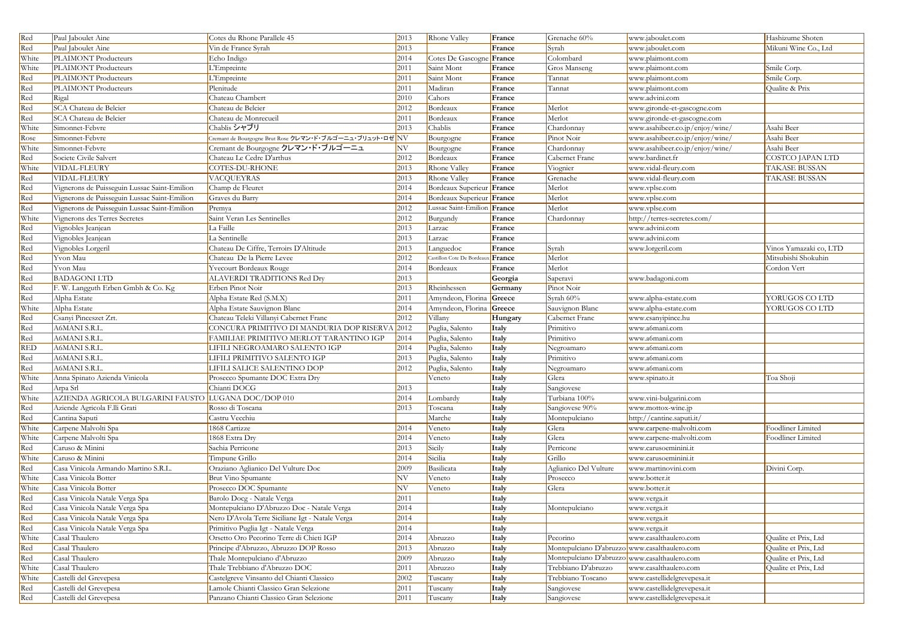| Red        | Paul Jaboulet Aine                                   | Cotes du Rhone Parallele 45                              | 2013 | Rhone Valley                | France  | Grenache 60%                                  | www.jaboulet.com                | Hashizume Shoten        |
|------------|------------------------------------------------------|----------------------------------------------------------|------|-----------------------------|---------|-----------------------------------------------|---------------------------------|-------------------------|
| Red        | Paul Jaboulet Aine                                   | Vin de France Syrah                                      | 2013 |                             | France  | Syrah                                         | www.jaboulet.com                | Mikuni Wine Co., Ltd    |
| White      | PLAIMONT Producteurs                                 | Echo Indigo                                              | 2014 | Cotes De Gascogne           | France  | Colombard                                     | www.plaimont.com                |                         |
| White      | PLAIMONT Producteurs                                 | L'Empreinte                                              | 2011 | Saint Mont                  | France  | Gros Manseng                                  | www.plaimont.com                | Smile Corp.             |
| Red        | PLAIMONT Producteurs                                 | L'Empreinte                                              | 2011 | Saint Mont                  | France  | Tannat                                        | www.plaimont.com                | Smile Corp.             |
| Red        | PLAIMONT Producteurs                                 | Plenitude                                                | 2011 | Madiran                     | France  | Tannat                                        | www.plaimont.com                | Qualite & Prix          |
| Red        | Rigal                                                | Chateau Chambert                                         | 2010 | Cahors                      | France  |                                               | www.advini.com                  |                         |
| Red        | SCA Chateau de Belcier                               | Chateau de Belcier                                       | 2012 | Bordeaux                    | France  | Merlot                                        | www.gironde-et-gascogne.com     |                         |
| Red        | <b>SCA</b> Chateau de Belcier                        | Chateau de Monrecueil                                    | 2011 | Bordeaux                    | France  | Merlot                                        | www.gironde-et-gascogne.com     |                         |
| White      | Simonnet-Febvre                                      | Chablis シャブリ                                             | 2013 | Chablis                     | France  | Chardonnay                                    | www.asahibeer.co.jp/enjoy/wine/ | Asahi Beer              |
| Rose       | Simonnet-Febvre                                      | Cremant de Bourgogne Brut Rose クレマン・ド・ブルゴーニュ・ブリュット・ロゼ NV |      | Bourgogne                   | France  | Pinot Noir                                    | www.asahibeer.co.jp/enjoy/wine/ | Asahi Beer              |
| White      | Simonnet-Febvre                                      | Cremant de Bourgogne クレマン・ド・ブルゴーニュ                       | NV   | Bourgogne                   | France  | Chardonnay                                    | www.asahibeer.co.jp/enjoy/wine/ | Asahi Beer              |
| Red        | Societe Civile Salvert                               | Chateau Le Cedre D'arthus                                | 2012 | Bordeaux                    | France  | Cabernet Franc                                | www.bardinet.fr                 | <b>COSTCO JAPAN LTD</b> |
| White      | VIDAL-FLEURY                                         | COTES-DU-RHONE                                           | 2013 | Rhone Valley                | France  | Viognier                                      | www.vidal-fleury.com            | <b>TAKASE BUSSAN</b>    |
| Red        | VIDAL-FLEURY                                         | VACQUEYRAS                                               | 2013 | Rhone Valley                | France  | Grenache                                      | www.vidal-fleury.com            | <b>TAKASE BUSSAN</b>    |
| Red        | Vignerons de Puisseguin Lussac Saint-Emilion         | Champ de Fleuret                                         | 2014 | Bordeaux Superieur France   |         | Merlot                                        | www.vplse.com                   |                         |
| Red        | Vignerons de Puisseguin Lussac Saint-Emilion         | Graves du Barry                                          | 2014 | Bordeaux Superieur France   |         | Merlot                                        | www.vplse.com                   |                         |
| Red        | Vignerons de Puisseguin Lussac Saint-Emilion         | Premya                                                   | 2012 | Lussac Saint-Emilion France |         | Merlot                                        | www.vplse.com                   |                         |
| White      | Vignerons des Terres Secretes                        | Saint Veran Les Sentinelles                              | 2012 | Burgundy                    | France  | Chardonnay                                    | http://terres-secretes.com/     |                         |
| Red        | Vignobles Jeanjean                                   | La Faille                                                | 2013 | Larzac                      | France  |                                               | www.advini.com                  |                         |
| Red        | Vignobles Jeanjean                                   | La Sentinelle                                            | 2013 | arzac                       | France  |                                               | www.advini.com                  |                         |
| Red        | Vignobles Lorgeril                                   | Chateau De Ciffre, Terroirs D'Altitude                   | 2013 | Languedoc                   | France  | Syrah                                         | www.lorgeril.com                | Vinos Yamazaki co, LTD  |
| Red        | Yvon Mau                                             | Chateau De la Pierre Levee                               | 2012 | Castillon Cote De Bordea    | France  | Merlot                                        |                                 | Mitsubishi Shokuhin     |
| Red        | Yvon Mau                                             | <b>Yvecourt Bordeaux Rouge</b>                           | 2014 | Bordeaux                    | France  | Merlot                                        |                                 | Cordon Vert             |
| Red        | <b>BADAGONI LTD</b>                                  | ALAVERDI TRADITIONS Red Dry                              | 2013 |                             | Georgia | Saperavi                                      | www.badagoni.com                |                         |
| Red        | F. W. Langguth Erben Gmbh & Co. Kg                   | Erben Pinot Noir                                         | 2013 | Rheinhessen                 | Germany | Pinot Noir                                    |                                 |                         |
| Red        | Alpha Estate                                         | Alpha Estate Red (S.M.X)                                 | 2011 | Amyndeon, Florina Greece    |         | Syrah 60%                                     | www.alpha-estate.com            | YORUGOS CO LTD          |
| White      | Alpha Estate                                         | Alpha Estate Sauvignon Blanc                             | 2014 | Amyndeon, Florina           | Greece  | Sauvignon Blanc                               | www.alpha-estate.com            | YORUGOS CO LTD          |
| Red        | Csanyi Pinceszet Zrt.                                | Chateau Teleki Villanyi Cabernet Franc                   | 2012 | Villany                     | Hungary | Cabernet Franc                                | www.csanyipince.hu              |                         |
| Red        | A6MANI S.R.L                                         | CONCURA PRIMITIVO DI MANDURIA DOP RISERVA 2012           |      | Puglia, Salento             | Italy   | Primitivo                                     | www.a6mani.com                  |                         |
| Red        | A6MANI S.R.L                                         | FAMILIAE PRIMITIVO MERLOT TARANTINO IGP                  | 2014 | Puglia, Salento             | Italy   | Primitivo                                     | www.a6mani.com                  |                         |
| <b>RED</b> | A6MANI S.R.L                                         | LIFILI NEGROAMARO SALENTO IGP                            | 2014 | Puglia, Salento             | Italy   | Negroamaro                                    | www.a6mani.com                  |                         |
| Red        | A6MANI S.R.L.                                        | LIFILI PRIMITIVO SALENTO IGP                             | 2013 | Puglia, Salento             | Italy   | Primitivo                                     | www.a6mani.com                  |                         |
| Red        | A6MANI S.R.L.                                        | LIFILI SALICE SALENTINO DOP                              | 2012 | Puglia, Salento             | Italy   | Negroamaro                                    | www.a6mani.com                  |                         |
| White      | Anna Spinato Azienda Vinicola                        | Prosecco Spumante DOC Extra Dry                          |      | Veneto                      | Italy   | Glera                                         | www.spinato.it                  | Toa Shoji               |
| Red        | Arpa Srl                                             | Chianti DOCG                                             | 2013 |                             | Italy   | Sangiovese                                    |                                 |                         |
| White      | AZIENDA AGRICOLA BULGARINI FAUSTO LUGANA DOC/DOP 010 |                                                          | 2014 | Lombardy                    | Italy   | Turbiana 100%                                 | www.vini-bulgarini.com          |                         |
| Red        | Aziende Agricola F.lli Grati                         | Rosso di Toscana                                         | 2013 | Toscana                     | Italy   | Sangiovese 90%                                | www.mottox-wine.jp              |                         |
| Red        | Cantina Saputi                                       | Castru Vecchiu                                           |      | Marche                      | Italy   | Montepulciano                                 | http://cantine.saputi.it/       |                         |
| White      | Carpene Malvolti Spa                                 | 1868 Cartizze                                            | 2014 | Veneto                      | Italy   | Glera                                         | www.carpene-malvolti.com        | Foodliner Limited       |
| White      | Carpene Malvolti Spa                                 | 1868 Extra Dry                                           | 2014 | Veneto                      | Italy   | Glera                                         | www.carpene-malvolti.com        | Foodliner Limited       |
| Red        | Caruso & Minini                                      | Sachia Perricone                                         | 2013 | Sicily                      | Italy   | Perricone                                     | www.carusoeminini.it            |                         |
| White      | Caruso & Minini                                      | Timpune Grillo                                           | 2014 | Sicilia                     | Italy   | Grillo                                        | www.carusoeminini.it            |                         |
| Red        | Casa Vinicola Armando Martino S.R.L                  | Oraziano Aglianico Del Vulture Doc                       | 2009 | Basilicata                  | Italy   | Aglianico Del Vulture                         | www.martinovini.com             | Divini Corp.            |
| White      | Casa Vinicola Botter                                 | Brut Vino Spumante                                       | NV   | Veneto                      | Italy   | Prosecco                                      | www.botter.it                   |                         |
| White      | Casa Vinicola Botter                                 | Prosecco DOC Spumante                                    | NV   | Veneto                      | Italy   | Glera                                         | www.botter.it                   |                         |
| Red        | Casa Vinicola Natale Verga Spa                       | Barolo Docg - Natale Verga                               | 2011 |                             | Italy   |                                               | www.verga.it                    |                         |
| Red        | Casa Vinicola Natale Verga Spa                       | Montepulciano D'Abruzzo Doc - Natale Verga               | 2014 |                             | Italy   | Montepulciano                                 | www.verga.it                    |                         |
| Red        | Casa Vinicola Natale Verga Spa                       | Nero D'Avola Terre Siciliane Igt - Natale Verga          | 2014 |                             | Italy   |                                               | www.verga.it                    |                         |
| Red        | Casa Vinicola Natale Verga Spa                       | Primitivo Puglia Igt - Natale Verga                      | 2014 |                             | Italy   |                                               | www.verga.it                    |                         |
| White      | Casal Thaulero                                       | Orsetto Oro Pecorino Terre di Chieti IGP                 | 2014 | Abruzzo                     | Italy   | Pecorino                                      | www.casalthaulero.com           | Qualite et Prix, Ltd    |
| Red        | Casal Thaulero                                       | Principe d'Abruzzo, Abruzzo DOP Rosso                    | 2013 | Abruzzo                     | Italy   | Montepulciano D'abruzzo www.casalthaulero.com |                                 | Qualite et Prix, Ltd    |
| Red        | Casal Thaulero                                       | Thale Montepulciano d'Abruzzo                            | 2009 | Abruzzo                     | Italy   | Montepulciano D'abruzzo www.casalthaulero.com |                                 | Qualite et Prix, Ltd    |
| White      | Casal Thaulero                                       | Thale Trebbiano d'Abruzzo DOC                            | 2011 | Abruzzo                     | Italy   | Trebbiano D'abruzzo                           | www.casalthaulero.com           | Qualite et Prix, Ltd    |
| White      | Castelli del Grevepesa                               | Castelgreve Vinsanto del Chianti Classico                | 2002 | Tuscany                     | Italy   | Trebbiano Toscano                             | www.castellidelgrevepesa.it     |                         |
| Red        | Castelli del Grevepesa                               | Lamole Chianti Classico Gran Selezione                   | 2011 | Tuscany                     | Italy   | Sangiovese                                    | www.castellidelgrevepesa.it     |                         |
| Red        | Castelli del Grevepesa                               | Panzano Chianti Classico Gran Selezione                  | 2011 | Tuscany                     | Italy   | Sangiovese                                    | www.castellidelgrevepesa.it     |                         |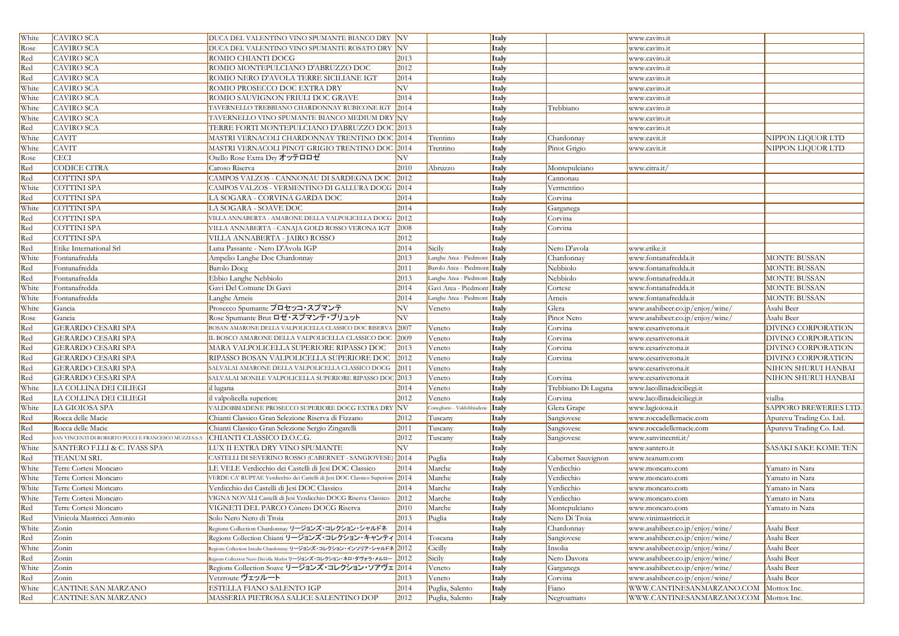| White | <b>CAVIRO SCA</b>                                    | DUCA DEL VALENTINO VINO SPUMANTE BIANCO DRY NV                               |                 |                              | Italy          |                     | www.caviro.it                         |                           |
|-------|------------------------------------------------------|------------------------------------------------------------------------------|-----------------|------------------------------|----------------|---------------------|---------------------------------------|---------------------------|
| Rose  | <b>CAVIRO SCA</b>                                    | DUCA DEL VALENTINO VINO SPUMANTE ROSATO DRY NV                               |                 |                              | Italy          |                     | www.caviro.it                         |                           |
| Red   | <b>CAVIRO SCA</b>                                    | ROMIO CHIANTI DOCG                                                           | 2013            |                              | Italy          |                     | www.caviro.it                         |                           |
| Red   | <b>CAVIRO SCA</b>                                    | ROMIO MONTEPULCIANO D'ABRUZZO DOC                                            | 2012            |                              | Italy          |                     | www.caviro.it                         |                           |
| Red   | <b>CAVIRO SCA</b>                                    | ROMIO NERO D'AVOLA TERRE SICILIANE IGT                                       | 2014            |                              | Italy          |                     | www.caviro.it                         |                           |
| White | <b>CAVIRO SCA</b>                                    | ROMIO PROSECCO DOC EXTRA DRY                                                 | NV              |                              | Italy          |                     | www.caviro.it                         |                           |
| White | <b>CAVIRO SCA</b>                                    | ROMIO SAUVIGNON FRIULI DOC GRAVE                                             | 2014            |                              | Italy          |                     | www.caviro.it                         |                           |
| White | <b>CAVIRO SCA</b>                                    | TAVERNELLO TREBBIANO CHARDONNAY RUBICONE IGT 2014                            |                 |                              | Italy          | Trebbiano           | www.caviro.it                         |                           |
| White | <b>CAVIRO SCA</b>                                    | TAVERNELLO VINO SPUMANTE BIANCO MEDIUM DRY NV                                |                 |                              | Italy          |                     | www.caviro.it                         |                           |
| Red   | <b>CAVIRO SCA</b>                                    | TERRE FORTI MONTEPULCIANO D'ABRUZZO DOC 2013                                 |                 |                              | Italy          |                     | www.caviro.it                         |                           |
| White | <b>CAVIT</b>                                         | MASTRI VERNACOLI CHARDONNAY TRENTINO DOC 2014                                |                 |                              |                | Chardonnay          |                                       | NIPPON LIQUOR LTD         |
| White | <b>CAVIT</b>                                         | MASTRI VERNACOLI PINOT GRIGIO TRENTINO DOC 2014                              |                 | Trentino                     | Italy<br>Italy |                     | www.cavit.it                          | NIPPON LIQUOR LTD         |
|       |                                                      |                                                                              | NV <sub>.</sub> | Trentino                     |                | Pinot Grigio        | www.cavit.it                          |                           |
| Rose  | <b>CECI</b>                                          | Otello Rose Extra Dry オッテロロゼ                                                 |                 |                              | Italy          |                     |                                       |                           |
| Red   | <b>CODICE CITRA</b>                                  | Caroso Riserva                                                               | 2010            | Abruzzo                      | Italy          | Montepulciano       | www.citra.it/                         |                           |
| Red   | <b>COTTINI SPA</b>                                   | CAMPOS VALZOS - CANNONAU DI SARDEGNA DOC 2012                                |                 |                              | Italy          | Cannonau            |                                       |                           |
| White | <b>COTTINI SPA</b>                                   | CAMPOS VALZOS - VERMENTINO DI GALLURA DOCG 2014                              |                 |                              | Italy          | Vermentino          |                                       |                           |
| Red   | <b>COTTINI SPA</b>                                   | LA SOGARA - CORVINA GARDA DOC                                                | 2014            |                              | Italy          | Corvina             |                                       |                           |
| White | <b>COTTINI SPA</b>                                   | LA SOGARA - SOAVE DOC                                                        | 2014            |                              | Italy          | Garganega           |                                       |                           |
| Red   | <b>COTTINI SPA</b>                                   | VILLA ANNABERTA - AMARONE DELLA VALPOLICELLA DOCG 2012                       |                 |                              | Italy          | Corvina             |                                       |                           |
| Red   | <b>COTTINI SPA</b>                                   | VILLA ANNABERTA - CANAJA GOLD ROSSO VERONA IGT                               | 2008            |                              | Italy          | Corvina             |                                       |                           |
| Red   | <b>COTTINI SPA</b>                                   | VILLA ANNABERTA - JAIRO ROSSO                                                | 2012            |                              | Italy          |                     |                                       |                           |
| Red   | Etike International Srl                              | Luna Passante - Nero D'Avola IGP                                             | 2014            | Sicily                       | Italy          | Nero D'avola        | www.etike.it                          |                           |
| White | Fontanafredda                                        | Ampelio Langhe Doc Chardonnay                                                | 2013            | Langhe Area - Piedmont Italy |                | Chardonnay          | www.fontanafredda.it                  | <b>MONTE BUSSAN</b>       |
| Red   | Fontanafredda                                        | <b>Barolo Docg</b>                                                           | 2011            | Barolo Area - Piedmont Italy |                | Nebbiolo            | www.fontanafredda.it                  | <b>MONTE BUSSAN</b>       |
| Red   | Fontanafredda                                        | Ebbio Langhe Nebbiolo                                                        | 2013            | Langhe Area - Piedmont Italy |                | Nebbiolo            | www.fontanafredda.it                  | <b>MONTE BUSSAN</b>       |
| White | Fontanafredda                                        | Gavi Del Comune Di Gavi                                                      | 2014            | Gavi Area - Piedmont Italy   |                | Cortese             | www.fontanafredda.it                  | <b>MONTE BUSSAN</b>       |
| White | Fontanafredda                                        | Langhe Arneis                                                                | 2014            | anghe Area - Piedmont Italy  |                | Arneis              | www.fontanafredda.it                  | <b>MONTE BUSSAN</b>       |
| White | Gancia                                               | Prosecco Spumante プロセッコ・スプマンテ                                                | NV              | Veneto                       | Italy          | Glera               | www.asahibeer.co.jp/enjoy/wine/       | Asahi Beer                |
| Rose  | Gancia                                               | Rose Spumante Brut ロゼ・スプマンテ・ブリュット                                            | NV              |                              | Italy          | Pinot Nero          | www.asahibeer.co.jp/enjoy/wine/       | Asahi Beer                |
| Red   | <b>GERARDO CESARI SPA</b>                            | BOSAN AMARONE DELLA VALPOLICELLA CLASSICO DOC RISERVA 2007                   |                 | Veneto                       | Italy          | Corvina             | www.cesariverona.it                   | DIVINO CORPORATION        |
| Red   | <b>GERARDO CESARI SPA</b>                            | IL BOSCO AMARONE DELLA VALPOLICELLA CLASSICO DOC 2009                        |                 | Veneto                       | Italy          | Corvina             | www.cesariverona.it                   | <b>DIVINO CORPORATION</b> |
| Red   | <b>GERARDO CESARI SPA</b>                            | MARA VALPOLICELLA SUPERIORE RIPASSO DOC                                      | $\boxed{2013}$  | Veneto                       | Italy          | Corvina             | www.cesariverona.it                   | DIVINO CORPORATION        |
| Red   | <b>GERARDO CESARI SPA</b>                            | RIPASSO BOSAN VALPOLICELLA SUPERIORE DOC 2012                                |                 | Veneto                       | Italy          | Corvina             | www.cesariverona.it                   | DIVINO CORPORATION        |
| Red   | <b>GERARDO CESARI SPA</b>                            | SALVALAI AMARONE DELLA VALPOLICELLA CLASSICO DOCG 2011                       |                 | Veneto                       | Italy          |                     | www.cesariverona.it                   | NIHON SHURUI HANBAI       |
| Red   | <b>GERARDO CESARI SPA</b>                            | SALVALAI MONILE VALPOLICELLA SUPERIORE RIPASSO DOC 2013                      |                 | Veneto                       | Italy          | Corvina             | www.cesariverona.it                   | NIHON SHURUI HANBAI       |
| White | LA COLLINA DEI CILIEGI                               | il lugana                                                                    | 2014            | Veneto                       | Italy          | Trebbiano Di Lugana | www.lacollinadeiciliegi.it            |                           |
| Red   | LA COLLINA DEI CILIEGI                               | il valpolicella superiore                                                    | 2012            | Veneto                       | Italy          | Corvina             | www.lacollinadeiciliegi.it            | vialba                    |
| White | LA GIOIOSA SPA                                       | VALDOBBIADENE PROSECCO SUPERIORE DOCG EXTRA DRY NV                           |                 | Conegliano - Valdobbiade     | <i>I</i> Italy | Glera Grape         | www.lagioiosa.it                      | SAPPORO BREWERIES LTD.    |
| Red   | Rocca delle Macie                                    | Chianti Classico Gran Selezione Riserva di Fizzano                           | 2012            | Tuscany                      | Italy          | Sangiovese          | www.roccadellemacie.com               | Apurevu Trading Co. Ltd.  |
| Red   | Rocca delle Macie                                    | Chianti Classico Gran Selezione Sergio Zingarelli                            | 2011            | Tuscany                      | Italy          | Sangiovese          | www.roccadellemacie.com               | Apurevu Trading Co. Ltd.  |
| Red   | SAN VINCENTI DI ROBERTO PUCCI E FRANCESCO MUZZI S.S. | CHIANTI CLASSICO D.O.C.G.                                                    | 2012            | Tuscany                      | Italy          | Sangiovese          | www.sanvincenti.it/                   |                           |
| White | SANTERO F.LLI & C. IVASS SPA                         | LUX II EXTRA DRY VINO SPUMANTE                                               | NV              |                              | Italy          |                     | www.santero.it                        | SASAKI SAKE KOME TEN      |
| Red   | <b>TEANUM SRL</b>                                    | CASTELLI DI SEVERINO ROSSO (CABERNET - SANGIOVESE) 2014                      |                 | Puglia                       | Italy          | Cabernet Sauvignon  | www.teanum.com                        |                           |
| White | Terre Cortesi Moncaro                                | LE VELE Verdicchio dei Castelli di Jesi DOC Classico                         | 2014            | Marche                       | Italy          | Verdicchio          | www.moncaro.com                       | Yamato in Nara            |
| White | Terre Cortesi Moncaro                                | VERDE CA' RUPTAE Verdicchio dei Castelli di Jesi DOC Classico Superiore 2014 |                 | Marche                       | Italy          | Verdicchio          | www.moncaro.com                       | Yamato in Nara            |
| White | Terre Cortesi Moncaro                                | Verdicchio dei Castelli di Jesi DOC Classico                                 | 2014            | Marche                       | Italy          | Verdicchio          |                                       | Yamato in Nara            |
| White | Terre Cortesi Moncaro                                | VIGNA NOVALI Castelli di Jesi Verdicchio DOCG Riserva Classico               | 2012            | Marche                       | Italy          | Verdicchio          | www.moncaro.com                       | Yamato in Nara            |
|       | Terre Cortesi Moncaro                                | VIGNETI DEL PARCO Cònero DOCG Riserva                                        | 2010            | Marche                       |                |                     | www.moncaro.com                       | Yamato in Nara            |
| Red   |                                                      |                                                                              |                 |                              | Italy          | Montepulciano       | www.moncaro.com                       |                           |
| Red   | Vinicola Mastricci Antonio                           | Solo Nero Nero di Troia                                                      | 2013            | Puglia                       | Italy          | Nero Di Troia       | www.vinimastricci.it                  |                           |
| White | Zonin                                                | Regions Collection Chardonnay リージョンズ・コレクション・シャルドネ                            | 2014            |                              | Italy          | Chardonnay          | www.asahibeer.co.jp/enjoy/wine/       | Asahi Beer                |
| Red   | Zonin                                                | Regions Collection Chianti リージョンズ・コレクション・キャンティ 2014                          |                 | Toscana                      | Italy          | Sangiovese          | www.asahibeer.co.jp/enjoy/wine/       | Asahi Beer                |
| White | Zonin                                                | Regions Collection Insolia Chardonnay リージョンズ・コレクション・インソリア・シャルドネ2012          |                 | Cicilly                      | Italy          | Insolia             | www.asahibeer.co.jp/enjoy/wine/       | Asahi Beer                |
| Red   | Zonin                                                | Regions Collection Nero Davolla Merlot リージョンズ・コレクション・ネロ・ダヴォラ・メルロー 2012       |                 | Sicily                       | Italy          | Nero Davora         | www.asahibeer.co.jp/enjoy/wine/       | Asahi Beer                |
| White | Zonin                                                | Regions Collection Soave リージョンズ・コレクション・ソアヴェ 2014                             |                 | Veneto                       | Italy          | Garganega           | www.asahibeer.co.jp/enjoy/wine/       | Asahi Beer                |
| Red   | Zonin                                                | Vetzroute ヴェッルート                                                             | 2013            | Veneto                       | Italy          | Corvina             | www.asahibeer.co.jp/enjoy/wine/       | Asahi Beer                |
| White | <b>CANTINE SAN MARZANO</b>                           | ESTELLA FIANO SALENTO IGP                                                    | 2014            | Puglia, Salento              | Italy          | Fiano               | WWW.CANTINESANMARZANO.COM             | Mottox Inc.               |
| Red   | <b>CANTINE SAN MARZANO</b>                           | MASSERIA PIETROSA SALICE SALENTINO DOP                                       | 2012            | Puglia, Salento              | <b>Italy</b>   | Negroamaro          | WWW.CANTINESANMARZANO.COM Mottox Inc. |                           |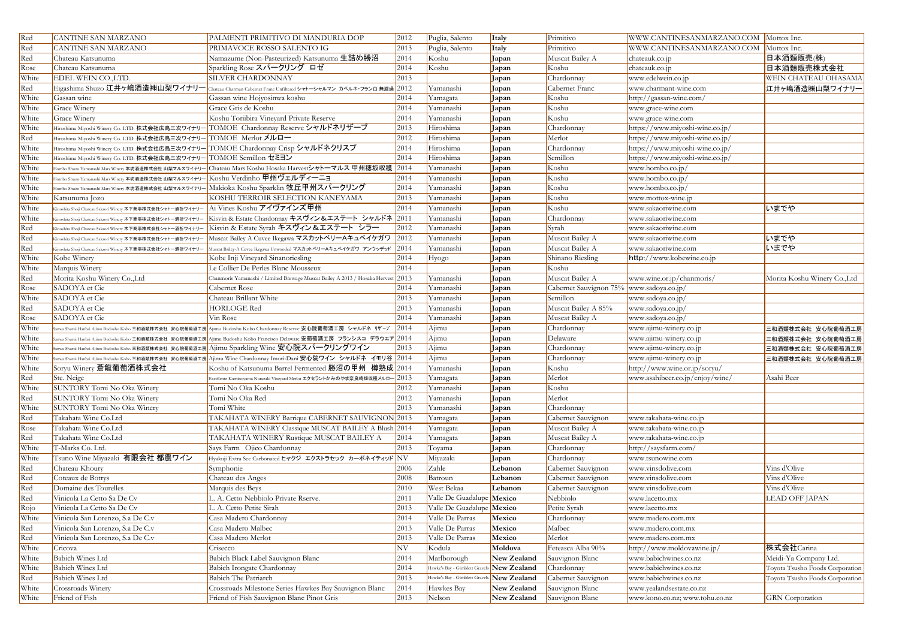| Red   | <b>CANTINE SAN MARZANO</b>                                                                   | PALMENTI PRIMITIVO DI MANDURIA DOP                                                                                                        | 2012               | Puglia, Salento                | Italy              | Primitivo              | WWW.CANTINESANMARZANO.COM Mottox Inc. |                                 |
|-------|----------------------------------------------------------------------------------------------|-------------------------------------------------------------------------------------------------------------------------------------------|--------------------|--------------------------------|--------------------|------------------------|---------------------------------------|---------------------------------|
| Red   | <b>CANTINE SAN MARZANO</b>                                                                   | PRIMAVOCE ROSSO SALENTO IG                                                                                                                | 2013               | Puglia, Salento                | Italy              | Primitivo              | WWW.CANTINESANMARZANO.COM Mottox Inc. |                                 |
| Red   | Chateau Katsunuma                                                                            | Namazume (Non-Pasteurized) Katsunuma 生詰め勝沼                                                                                                | 2014               | Koshu                          | Japan              | Muscat Bailey A        | chateauk.co.jp                        | 日本酒類販売(株)                       |
| Rose  | Chateau Katsunuma                                                                            | Sparkling Rose スパークリング ロゼ                                                                                                                 | 2014               | Koshu                          | Japan              | Koshu                  | chateauk.co.jp                        | 日本酒類販売株式会社                      |
| White | EDEL WEIN CO.,LTD.                                                                           | SILVER CHARDONNAY                                                                                                                         | 2013               |                                | Japan              | Chardonnay             | www.edelwein.co.jp                    | WEIN CHATEAU OHASAMA            |
| Red   | Eigashima Shuzo 江井ヶ嶋酒造㈱山梨ワイナリー                                                               | Chateau Charman Cabernet Franc Unfiltered シャトーシャルマン カベルネ・フラン白 無濾過                                                                         | 2012               | Yamanashi                      | Japan              | Cabernet Franc         | www.charmant-wine.com                 | 江井ヶ嶋酒造㈱山梨ワイナリー                  |
| White | Gassan wine                                                                                  | Gassan wine Hojyosinwa koshu                                                                                                              | 2014               | Yamagata                       | Japan              | Koshu                  | http://gassan-wine.com/               |                                 |
| White | Grace Winery                                                                                 | Grace Gris de Koshu                                                                                                                       | 2014               | Yamanashi                      | Japan              | Koshu                  | www.grace-wine.com                    |                                 |
| White | Grace Winery                                                                                 | Koshu Toriibira Vineyard Private Reserve                                                                                                  | 2014               | Yamanashi                      | Japan              | Koshu                  | www.grace-wine.com                    |                                 |
| White | Hiroshima Miyoshi Winery Co. LTD. 株式会社広島三次ワイナリー                                              | TOMOE Chardonnay Reserve シャルドネリザーブ                                                                                                        | 2013               | Hiroshima                      | Japan              | Chardonnay             | https://www.miyoshi-wine.co.jp/       |                                 |
| Red   | Hiroshima Miyoshi Winery Co. LTD. 株式会社広島三次ワイナリー                                              | TOMOE Merlot メルロー                                                                                                                         | 2012               | Hiroshima                      | Japan              | Merlot                 | https://www.miyoshi-wine.co.jp/       |                                 |
| White | Hiroshima Miyoshi Winery Co. LTD. 株式会社広島三次ワイナリー                                              | TOMOE Chardonnay Crisp シャルドネクリスプ                                                                                                          | 2014               | Hiroshima                      | Japan              | Chardonnay             | https://www.miyoshi-wine.co.jp/       |                                 |
| White | Hiroshima Miyoshi Winery Co. LTD. 株式会社広島三次ワイナリー                                              | TOMOE Semillon セミヨン                                                                                                                       | 2014               | Hiroshima                      | Japan              | Semillon               | https://www.miyoshi-wine.co.jp/       |                                 |
| White |                                                                                              | Hombo Shuzo Yamanashi Mars Winery 本坊酒造株式会社 山梨マルスワイナリー <mark> </mark> Chateau Mars Koshu Hosaka Harvest <b>シャトーマルス 甲州穂坂収</b> 穫             | $2014$             | Yamanashi                      | Japan              | Koshu                  | www.hombo.co.jp/                      |                                 |
| White | <sup>:</sup> Jombo Shuzo Yamanashi Mars Winery 本坊酒造株式会社 山梨マルスワイナリー KOShu VerdinhO 甲州ヴェルディーニョ |                                                                                                                                           | 2014               | Yamanashi                      | Japan              | Koshu                  | www.hombo.co.jp/                      |                                 |
| White | -<br>Hombo Shuzo Yamanashi Mars Winery 本坊酒造株式会社 山梨マルスワイナリ                                    | Makioka Koshu Sparklin 牧丘甲州スパークリング                                                                                                        | 2014               | Yamanashi                      | Japan              | Koshu                  | www.hombo.co.jp/                      |                                 |
| White | Katsunuma Jozo                                                                               | KOSHU TERROIR SELECTION KANEYAMA                                                                                                          | 2013               | Yamanashi                      | Japan              | Koshu                  | www.mottox-wine.jp                    |                                 |
| White | Kinoshita Shoji Chateau Sakaori Winery 木下商事株式会社シャトー酒折ワイナリー                                   | Ai Vines Koshu アイヴァインズ甲州                                                                                                                  | 2014               | Yamanashi                      | Japan              | Koshu                  | www.sakaoriwine.com                   | いまでや                            |
| White | Kinoshita Shoji Chateau Sakaori Winery 木下商事株式会社シャトー酒折ワイナリー                                   | Kisvin & Estate Chardonnay キスヴィン&エステート シャルドネ 2011                                                                                         |                    | Yamanashi                      | Japan              | Chardonnay             | www.sakaoriwine.com                   |                                 |
| Red   | Kinoshita Shoji Chateau Sakaori Winery 木下商事株式会社シャトー酒折ワイナリー                                   | Kisvin & Estate Syrah キスヴィン&エステート シラー                                                                                                     | 2012               | Yamanashi                      | Japan              | Syrah                  | www.sakaoriwine.com                   |                                 |
| Red   | Kinoshita Shoji Chateau Sakaori Winery 木下商事株式会社シャトー酒折ワイナリー                                   | Muscat Bailey A Cuvee Ikegawa マスカットベリーAキュベイケガワ 2012                                                                                       |                    | Yamanashi                      | Japan              | Muscat Bailey A        | www.sakaoriwine.com                   | いまでや                            |
| Red   | Kinoshita Shoji Chateau Sakaori Winery 木下商事株式会社シャトー酒折ワイナリー                                   | Muscat Bailey-A Cuvee Ikegawa Unwooded マスカットベリーAキュベイケガワ アンウッデッド                                                                           | 2014               | Yamanashi                      | Japan              | Muscat Bailey A        | www.sakaoriwine.com                   | いまでや                            |
| White | Kobe Winery                                                                                  | Kobe Inji Vineyard Sinanoriesling                                                                                                         | 2014               | Hyogo                          | Japan              | Shinano Riesling       | http://www.kobewine.co.jp             |                                 |
| White | Marquis Winery                                                                               | Le Collier De Perles Blanc Mousseux                                                                                                       | 2014               |                                | Japan              | Koshu                  |                                       |                                 |
| Red   | Morita Koshu Winery Co.,Ltd                                                                  | Chanmoris Yamanashi / Limited Brewage Muscat Bailey A 2013 / Hosaka Hervest 2013                                                          |                    | Yamanashi                      | Japan              | Muscat Bailey A        | www.wine.or.jp/chanmoris/             | Morita Koshu Winery Co.,Ltd     |
| Rose  | SADOYA et Cie                                                                                | Cabernet Rose                                                                                                                             | 2014               | Yamanashi                      | Japan              | Cabernet Sauvignon 75% | www.sadoya.co.jp/                     |                                 |
| White | SADOYA et Cie                                                                                | Chateau Brillant White                                                                                                                    | 2013               | Yamanashi                      | Japan              | Semillon               | www.sadoya.co.jp/                     |                                 |
| Red   | SADOYA et Cie                                                                                | <b>HORLOGE Red</b>                                                                                                                        | 2013               | Yamanashi                      | Japan              | Muscat Bailey A 85%    | www.sadoya.co.jp/                     |                                 |
| Rose  | SADOYA et Cie                                                                                | Vin Rose                                                                                                                                  | 2014               | Yamanashi                      | Japan              | Muscat Bailey A        | www.sadoya.co.jp/                     |                                 |
| White | Sanwa Shurui Hanbai Ajimu Budoshu Kobo <b>三和酒類株式会社 安心院葡萄酒工房</b>                              | Ajimu Budoshu Kobo Chardonnay Reserve 安心院葡萄酒工房 シャルドネ リザーブ                                                                                 | $\vert 2014 \vert$ | Ajimu                          | Japan              | Chardonnay             | www.ajimu-winery.co.jp                | 三和酒類株式会社 安心院葡萄酒工房               |
| White |                                                                                              | <sub>Sanwa Shurui Hanbai Ajimu Budoshu Kobo <b>三和酒類株式会社 安心院葡萄酒工房 Ajimu Budoshu Kobo Francisco Delaware 安葡萄酒工房 フランシスコ デラウエア 2014</b></sub> |                    | Ajimu                          | Japan              | Delaware               | www.ajimu-winery.co.jp                | 三和酒類株式会社 安心院葡萄酒工房               |
| White |                                                                                              | sanwa Shurui Hanbai Ajimu Budoshu Kobo 三和酒類株式会社 安心院葡萄酒工房  Ajimu Sparkling Wine 安心院スパークリングワイン                                              | 2013               | Ajimu                          | Japan              | Chardonnay             | www.ajimu-winery.co.jp                | <mark></mark> 三和酒類株式会社 安心院葡萄酒工房 |
| White |                                                                                              | <sub>Sanwa Shurui Hanbai Ajimu Budoshu Kobo 三和酒類株式会社 安心院葡萄酒工房 Ajimu Wine Chardonnay Imori-Dani 安心院ワイン シャルドネ イモリ谷 2014</sub>               |                    | Ajimu                          | Japan              | Chardonnay             | www.ajimu-winery.co.jp                | 三和酒類株式会社 安心院葡萄酒工房               |
| White | Soryu Winery 蒼龍葡萄酒株式会社                                                                       | Koshu of Katsunuma Barrel Fermented 勝沼の甲州 樽熟成 2014                                                                                        |                    | Yamanashi                      | Japan              | Koshu                  | http://www.wine.or.jp/soryu/          |                                 |
| Red   | Ste. Neige                                                                                   | ∃xcellente Kaminoyama Narazaki Vineyard Merlot エクセラントかみのやま奈良崎畑収穫メルロー│ $2013\,$                                                            |                    | Yamagata                       | Japan              | Merlot                 | www.asahibeer.co.jp/enjoy/wine/       | Asahi Beer                      |
| White | SUNTORY Tomi No Oka Winery                                                                   | Tomi No Oka Koshu                                                                                                                         | 2012               | Yamanashi                      | Japan              | Koshu                  |                                       |                                 |
| Red   | SUNTORY Tomi No Oka Winery                                                                   | Tomi No Oka Red                                                                                                                           | 2012               | Yamanashi                      | Japan              | Merlot                 |                                       |                                 |
| White | SUNTORY Tomi No Oka Winery                                                                   | Tomi White                                                                                                                                | 2013               | Yamanashi                      | Japan              | Chardonnay             |                                       |                                 |
| Red   | Takahata Wine Co.Ltd                                                                         | TAKAHATA WINERY Barrique CABERNET SAUVIGNON 2013                                                                                          |                    | Yamagata                       | Japan              | Cabernet Sauvignon     | www.takahata-wine.co.jp               |                                 |
| Rose  | Takahata Wine Co.Ltd                                                                         | TAKAHATA WINERY Classique MUSCAT BAILEY A Blush 2014                                                                                      |                    | Yamagata                       | Japan              | Muscat Bailey A        | www.takahata-wine.co.jp               |                                 |
| Red   | Takahata Wine Co.Ltd                                                                         | TAKAHATA WINERY Rustique MUSCAT BAILEY A                                                                                                  | 2014               | Yamagata                       | Japan              | Muscat Bailey A        | www.takahata-wine.co.jp               |                                 |
| White | T-Marks Co. Ltd.                                                                             | Says Farm Ojico Chardonnay                                                                                                                | 2013               | Toyama                         | Japan              | Chardonnay             | http://saysfarm.com/                  |                                 |
| White | Tsuno Wine Miyazaki 有限会社 都農ワイン                                                               | Hyakuji Extra Sec Carbonated ヒャクジ エクストラセック カーボネイティッド NV                                                                                   |                    | Miyazaki                       | Japan              | Chardonnay             | www.tsunowine.com                     |                                 |
| Red   | Chateau Khoury                                                                               | Symphonie                                                                                                                                 | 2006               | Zahle                          | Lebanon            | Cabernet Sauvignon     | www.vinsdolive.com                    | Vins d'Olive                    |
| Red   | Coteaux de Botrys                                                                            | Chateau des Anges                                                                                                                         | 2008               | Batroun                        | Lebanon            | Cabernet Sauvignon     | www.vinsdolive.com                    | Vins d'Olive                    |
| Red   | Domaine des Tourelles                                                                        | Marquis des Beys                                                                                                                          | 2010               | West Bekaa                     | Lebanon            | Cabernet Sauvignon     | www.vinsdolive.com                    | Vins d'Olive                    |
| Red   | Vinicola La Cetto Sa De Cv                                                                   | L. A. Cetto Nebbiolo Private Rserve.                                                                                                      | 2011               | Valle De Guadalupe Mexico      |                    | Nebbiolo               | www.lacetto.mx                        | LEAD OFF JAPAN                  |
| Rojo  | Vinicola La Cetto Sa De Cv                                                                   | L. A. Cetto Petite Sirah                                                                                                                  | 2013               | Valle De Guadalupe Mexico      |                    | Petite Syrah           | www.lacetto.mx                        |                                 |
| White | Vinicola San Lorenzo, S.a De C.v                                                             | Casa Madero Chardonnay                                                                                                                    | 2014               | Valle De Parras                | Mexico             | Chardonnay             | www.madero.com.mx                     |                                 |
| Red   | Vinicola San Lorenzo, S.a De C.v                                                             | Casa Madero Malbec                                                                                                                        | 2013               | Valle De Parras                | Mexico             | Malbec                 | www.madero.com.mx                     |                                 |
| Red   | Vinicola San Lorenzo, S.a De C.v                                                             | Casa Madero Merlot                                                                                                                        | 2013               | Valle De Parras                | Mexico             | Merlot                 | www.madero.com.mx                     |                                 |
| White | Cricova                                                                                      | Crisecco                                                                                                                                  | NV                 | Kodula                         | Moldova            | Feteasca Alba 90%      | http://www.moldovawine.jp/            | 株式会社Carina                      |
| White | <b>Babich Wines Ltd</b>                                                                      | Babich Black Label Sauvignon Blanc                                                                                                        | 2014               | Marlborough                    | New Zealand        | Sauvignon Blanc        | www.babichwines.co.nz                 | Meidi-Ya Company Ltd.           |
| White | <b>Babich Wines Ltd</b>                                                                      | Babich Irongate Chardonnay                                                                                                                | 2014               | Hawke's Bay - Gimblett Gravel  | New Zealand        | Chardonnay             | www.babichwines.co.nz                 | Toyota Tsusho Foods Corporation |
| Red   | <b>Babich Wines Ltd</b>                                                                      | <b>Babich The Patriarch</b>                                                                                                               | 2013               | Hawke's Bay - Gimblett Gravel: | <b>New Zealand</b> | Cabernet Sauvignon     | www.babichwines.co.nz                 | Toyota Tsusho Foods Corporation |
| White | Crossroads Winery                                                                            | Crossroads Milestone Series Hawkes Bay Sauvignon Blanc                                                                                    | 2014               | Hawkes Bay                     | New Zealand        | Sauvignon Blanc        | www.yealandsestate.co.nz              |                                 |
| White | Friend of Fish                                                                               | Friend of Fish Sauvignon Blanc Pinot Gris                                                                                                 | 2013               | Nelson                         | New Zealand        | Sauvignon Blanc        | www.kono.co.nz; www.tohu.co.nz        | <b>GRN</b> Corporation          |
|       |                                                                                              |                                                                                                                                           |                    |                                |                    |                        |                                       |                                 |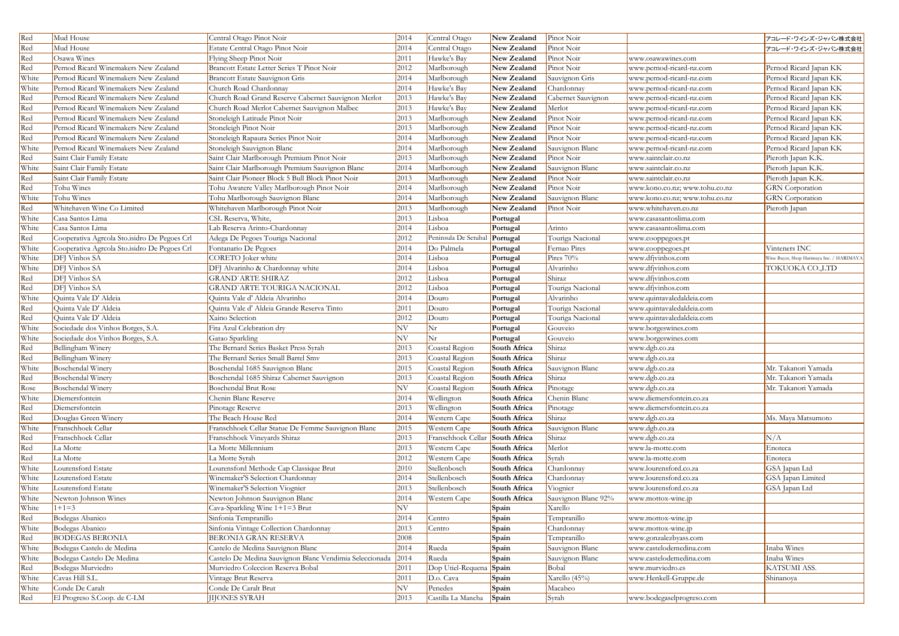| Red   | Mud House                                    | Central Otago Pinot Noir                                | 2014 | Central Otago        | New Zealand  | Pinot Noir          |                                | アコレード・ワインズ・ジャパン株式会社                       |
|-------|----------------------------------------------|---------------------------------------------------------|------|----------------------|--------------|---------------------|--------------------------------|-------------------------------------------|
| Red   | Mud House                                    | Estate Central Otago Pinot Noir                         | 2014 | Central Otago        | New Zealand  | Pinot Noir          |                                | フコレード・ワインズ・ジャパン株式会社                       |
| Red   | Osawa Wines                                  | Flying Sheep Pinot Noir                                 | 2011 | Hawke's Bay          | New Zealand  | Pinot Noir          | www.osawawines.com             |                                           |
| Red   | Pernod Ricard Winemakers New Zealand         | Brancott Estate Letter Series T Pinot Noir              | 2012 | Marlborough          | New Zealand  | Pinot Noir          | www.pernod-ricard-nz.com       | Pernod Ricard Japan KK                    |
| White | Pernod Ricard Winemakers New Zealand         | Brancott Estate Sauvignon Gris                          | 2014 | Marlborough          | New Zealand  | Sauvignon Gris      | www.pernod-ricard-nz.com       | Pernod Ricard Japan KK                    |
| White | Pernod Ricard Winemakers New Zealand         | Church Road Chardonnay                                  | 2014 | Hawke's Bay          | New Zealand  | Chardonnay          | www.pernod-ricard-nz.com       | Pernod Ricard Japan KK                    |
| Red   | Pernod Ricard Winemakers New Zealand         | Church Road Grand Reserve Cabernet Sauvignon Merlot     | 2013 | Hawke's Bay          | New Zealand  | Cabernet Sauvignon  | www.pernod-ricard-nz.com       | Pernod Ricard Japan KK                    |
| Red   | Pernod Ricard Winemakers New Zealand         | Church Road Merlot Cabernet Sauvignon Malbec            | 2013 | Hawke's Bay          | New Zealand  | Merlot              | www.pernod-ricard-nz.com       | Pernod Ricard Japan KK                    |
| Red   | Pernod Ricard Winemakers New Zealand         | Stoneleigh Latitude Pinot Noir                          | 2013 | Marlborough          | New Zealand  | Pinot Noir          | www.pernod-ricard-nz.com       | Pernod Ricard Japan KK                    |
| Red   | Pernod Ricard Winemakers New Zealand         | Stoneleigh Pinot Noir                                   | 2013 | Marlborough          | New Zealand  | Pinot Noir          | www.pernod-ricard-nz.com       | Pernod Ricard Japan KK                    |
| Red   | Pernod Ricard Winemakers New Zealand         | Stoneleigh Rapaura Series Pinot Noir                    | 2014 | Marlborough          | New Zealand  | Pinot Noir          | www.pernod-ricard-nz.com       | Pernod Ricard Japan KK                    |
| White | Pernod Ricard Winemakers New Zealand         | Stoneleigh Sauvignon Blanc                              | 2014 | Marlborough          | New Zealand  | Sauvignon Blanc     | www.pernod-ricard-nz.com       | Pernod Ricard Japan KK                    |
| Red   | Saint Clair Family Estate                    | Saint Clair Marlborough Premium Pinot Noir              | 2013 | Marlborough          | New Zealand  | Pinot Noir          | www.saintclair.co.nz           | Pieroth Japan K.K.                        |
| White | Saint Clair Family Estate                    | Saint Clair Marlborough Premium Sauvignon Blanc         | 2014 | Marlborough          | New Zealand  | Sauvignon Blanc     | www.saintclair.co.nz           | Pieroth Japan K.K.                        |
| Red   | Saint Clair Family Estate                    | Saint Clair Pioneer Block 5 Bull Block Pinot Noir       | 2013 | Marlborough          | New Zealand  | Pinot Noir          | www.saintclair.co.nz           | Pieroth Japan K.K.                        |
| Red   | Tohu Wines                                   | Tohu Awatere Valley Marlborough Pinot Noir              | 2014 | Marlborough          | New Zealand  | Pinot Noir          | www.kono.co.nz; www.tohu.co.nz | <b>GRN</b> Corporation                    |
| White | Tohu Wines                                   | Tohu Marlborough Sauvignon Blanc                        | 2014 | Marlborough          | New Zealand  | Sauvignon Blanc     | www.kono.co.nz; www.tohu.co.nz | <b>GRN</b> Corporation                    |
| Red   | Whitehaven Wine Co Limited                   | Whitehaven Marlborough Pinot Noir                       | 2013 | Marlborough          | New Zealand  | Pinot Noir          | www.whitehaven.co.nz           | Pieroth Japan                             |
| White | Casa Santos Lima                             | CSL Reserva, White,                                     | 2013 | Lisboa               | Portugal     |                     | www.casasantoslima.com         |                                           |
| White | Casa Santos Lima                             | Lab Reserva Arinto-Chardonnay                           | 2014 | Lisboa               | Portugal     | Arinto              | www.casasantoslima.com         |                                           |
| Red   | Cooperativa Agreola Sto.isidro De Pegoes Crl | Adega De Pegoes Touriga Nacional                        | 2012 | Peninsula De Setubal | Portugal     | Touriga Nacional    | www.cooppegoes.pt              |                                           |
| White | Cooperativa Agreola Sto.isidro De Pegoes Crl | Fontanario De Pegoes                                    | 2014 | Do Palmela           | Portugal     | Fernao Pires        | www.cooppegoes.pt              | Vinteners INC                             |
| White | DFJ Vinhos SA                                | CORETO Joker white                                      | 2014 | Lisboa               | Portugal     | Pires 70%           | www.dfjvinhos.com              | Wine Buyer, Shop Harimaya Inc. / HARIMAYA |
| White | DFJ Vinhos SA                                | DFJ Alvarinho & Chardonnay white                        | 2014 | Lisboa               | Portugal     | Alvarinho           | www.dfjvinhos.com              | TOKUOKA CO.,LTD                           |
| Red   | DFJ Vinhos SA                                | <b>GRAND'ARTE SHIRAZ</b>                                | 2012 | Lisboa               | Portugal     | Shiraz              | www.dfjvinhos.com              |                                           |
| Red   | DFJ Vinhos SA                                | <b>GRAND'ARTE TOURIGA NACIONAL</b>                      | 2012 | Lisboa               | Portugal     | Touriga Nacional    | www.dfjvinhos.com              |                                           |
| White | Quinta Vale D' Aldeia                        | Quinta Vale d' Aldeia Alvarinho                         | 2014 | Douro                | Portugal     | Alvarinho           | www.quintavaledaldeia.com      |                                           |
| Red   | Quinta Vale D' Aldeia                        | Quinta Vale d'Aldeia Grande Reserva Tinto               | 2011 | Douro                | Portugal     | Touriga Nacional    | www.quintavaledaldeia.com      |                                           |
| Red   | Quinta Vale D' Aldeia                        | Xaino Selection                                         | 2012 | Douro                | Portugal     | Touriga Nacional    | www.quintavaledaldeia.com      |                                           |
| White | Sociedade dos Vinhos Borges, S.A.            | Fita Azul Celebration dry                               | NV   | Nr                   | Portugal     | Gouveio             | www.borgeswines.com            |                                           |
| White | Sociedade dos Vinhos Borges, S.A.            | Gatao Sparkling                                         | NV   | Nr                   | Portugal     | Gouveio             | www.borgeswines.com            |                                           |
| Red   | Bellingham Winery                            | The Bernard Series Basket Press Syrah                   | 2013 | Coastal Region       | South Africa | Shiraz              | www.dgb.co.za                  |                                           |
| Red   | Bellingham Winery                            | The Bernard Series Small Barrel Smv                     | 2013 | Coastal Region       | South Africa | Shiraz              | www.dgb.co.za                  |                                           |
| White | <b>Boschendal Winery</b>                     | Boschendal 1685 Sauvignon Blanc                         | 2015 | Coastal Region       | South Africa | Sauvignon Blanc     | www.dgb.co.za                  | Mr. Takanori Yamada                       |
| Red   | <b>Boschendal Winery</b>                     | Boschendal 1685 Shiraz Cabernet Sauvignon               | 2013 | Coastal Region       | South Africa | Shiraz              | www.dgb.co.za                  | Mr. Takanori Yamada                       |
| Rose  | <b>Boschendal Winery</b>                     | <b>Boschendal Brut Rose</b>                             | NV   | Coastal Region       | South Africa | Pinotage            | www.dgb.co.za                  | Mr. Takanori Yamada                       |
| White | Diemersfontein                               | Chenin Blanc Reserve                                    | 2014 | Wellington           | South Africa | Chenin Blanc        | www.diemersfontein.co.za       |                                           |
| Red   | Diemersfontein                               | Pinotage Reserve                                        | 2013 | Wellington           | South Africa | Pinotage            | www.diemersfontein.co.za       |                                           |
| Red   | Douglas Green Winery                         | The Beach House Red                                     | 2014 | Western Cape         | South Africa | Shiraz              | www.dgb.co.za                  | Ms. Maya Matsumoto                        |
| White | Franschhoek Cellar                           | Franschhoek Cellar Statue De Femme Sauvignon Blanc      | 2015 | Western Cape         | South Africa | Sauvignon Blanc     | www.dgb.co.za                  |                                           |
| Red   | Franschhoek Cellar                           | Franschhoek Vineyards Shiraz                            | 2013 | Franschhoek Cellar   | South Africa | Shiraz              | www.dgb.co.za                  | N/A                                       |
| Red   | La Motte                                     | La Motte Millennium                                     | 2013 | Western Cape         | South Africa | Merlot              | www.la-motte.com               | Enoteca                                   |
| Red   | La Motte                                     | La Motte Syrah                                          | 2012 | Western Cape         | South Africa | Syrah               | www.la-motte.com               | Enoteca                                   |
| White | Lourensford Estate                           | Lourensford Methode Cap Classique Brut                  | 2010 | Stellenbosch         | South Africa | Chardonnay          | www.lourensford.co.za          | GSA Japan Ltd                             |
| White | Lourensford Estate                           | Winemaker'S Selection Chardonnay                        | 2014 | Stellenbosch         | South Africa | Chardonnay          | www.lourensford.co.za          | GSA Japan Limited                         |
| White | Lourensford Estate                           | Winemaker'S Selection Viognier                          | 2013 | Stellenbosch         | South Africa | Viognier            | www.lourensford.co.za          | GSA Japan Ltd                             |
| White | Newton Johnson Wines                         | Newton Johnson Sauvignon Blanc                          | 2014 | Western Cape         | South Africa | Sauvignon Blanc 92% | www.mottox-wine.jp             |                                           |
| White | $1+1=3$                                      | Cava-Sparkling Wine 1+1=3 Brut                          | NV   |                      | Spain        | Xarello             |                                |                                           |
| Red   | Bodegas Abanico                              | Sinfonia Tempranillo                                    | 2014 | Centro               | Spain        | Tempranillo         | www.mottox-wine.jp             |                                           |
| White | Bodegas Abanico                              | Sinfonia Vintage Collection Chardonnay                  | 2013 | Centro               | Spain        | Chardonnay          | www.mottox-wine.jp             |                                           |
| Red   | <b>BODEGAS BERONIA</b>                       | <b>BERONIA GRAN RESERVA</b>                             | 2008 |                      | Spain        | Tempranillo         | www.gonzalezbyass.com          |                                           |
| White | Bodegas Castelo de Medina                    | Castelo de Medina Sauvignon Blanc                       | 2014 | Rueda                | Spain        | Sauvignon Blanc     | www.castelodemedina.com        | Inaba Wines                               |
| White | Bodegas Castelo De Medina                    | Castelo De Medina Sauvignon Blanc Vendimia Seleccionada | 2014 | Rueda                | Spain        | Sauvignon Blanc     | www.castelodemedina.com        | Inaba Wines                               |
| Red   | Bodegas Murviedro                            | Murviedro Coleccion Reserva Bobal                       | 2011 | Dop Utiel-Requena    | Spain        | Bobal               | www.murviedro.es               | KATSUMI ASS.                              |
| White | Cavas Hill S.L.                              | Vintage Brut Reserva                                    | 2011 | D.o. Cava            | Spain        | Xarello (45%)       | www.Henkell-Gruppe.de          | Shinanoya                                 |
| White | Conde De Caralt                              | Conde De Caralt Brut                                    | NV   | Penedes              | Spain        | Macabeo             |                                |                                           |
| Red   | El Progreso S.Coop. de C-LM                  | <b>IIJONES SYRAH</b>                                    | 2013 | Castilla La Mancha   | Spain        | Syrah               | www.bodegaselprogreso.com      |                                           |
|       |                                              |                                                         |      |                      |              |                     |                                |                                           |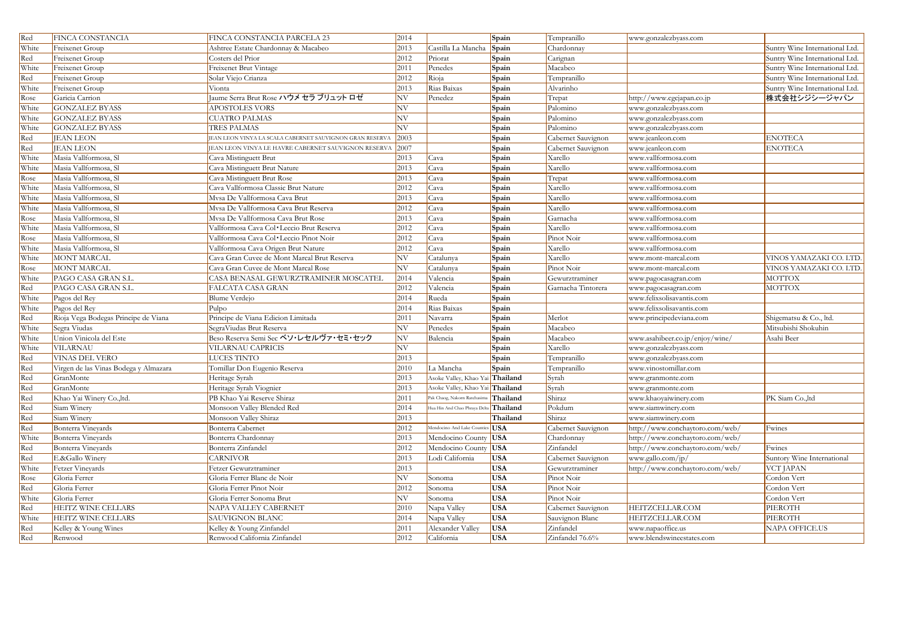| Red   | FINCA CONSTANCIA                      | FINCA CONSTANCIA PARCELA 23                              | 2014                     |                                 | Spain      | Tempranillo        | www.gonzalezbyass.com           |                                |
|-------|---------------------------------------|----------------------------------------------------------|--------------------------|---------------------------------|------------|--------------------|---------------------------------|--------------------------------|
| White | Freixenet Group                       | Ashtree Estate Chardonnay & Macabeo                      | 2013                     | Castilla La Mancha              | Spain      | Chardonnay         |                                 | Suntry Wine International Ltd. |
| Red   | Freixenet Group                       | Costers del Prior                                        | 2012                     | Priorat                         | Spain      | Carignan           |                                 | Suntry Wine International Ltd. |
| White | Freixenet Group                       | <b>Freixenet Brut Vintage</b>                            | 2011                     | Penedes                         | Spain      | Macabeo            |                                 | Suntry Wine International Ltd. |
| Red   | Freixenet Group                       | Solar Viejo Crianza                                      | 2012                     | Rioja                           | Spain      | Tempranillo        |                                 | Suntry Wine International Ltd. |
| White | Freixenet Group                       | Vionta                                                   | 2013                     | Rias Baixas                     | Spain      | Alvarinho          |                                 | Suntry Wine International Ltd. |
| Rose  | Garicia Carrion                       | Jaume Serra Brut Rose ハウメ セラ ブリュット ロゼ                    | $\ensuremath{\text{NV}}$ | Penedez                         | Spain      | Trepat             | http://www.cgcjapan.co.jp       | 株式会社シジシージャパン                   |
| White | <b>GONZALEZ BYASS</b>                 | <b>APOSTOLES VORS</b>                                    | $\ensuremath{\text{NV}}$ |                                 | Spain      | Palomino           | www.gonzalezbyass.com           |                                |
| White | <b>GONZALEZ BYASS</b>                 | <b>CUATRO PALMAS</b>                                     | $\ensuremath{\text{NV}}$ |                                 | Spain      | Palomino           | www.gonzalezbyass.com           |                                |
| White | <b>GONZALEZ BYASS</b>                 | TRES PALMAS                                              | NV                       |                                 | Spain      | Palomino           | www.gonzalezbyass.com           |                                |
| Red   | <b>JEAN LEON</b>                      | JEAN LEON VINYA LA SCALA CABERNET SAUVIGNON GRAN RESERVA | 2003                     |                                 | Spain      | Cabernet Sauvignon | www.jeanleon.com                | <b>ENOTECA</b>                 |
| Red   | <b>JEAN LEON</b>                      | JEAN LEON VINYA LE HAVRE CABERNET SAUVIGNON RESERVA      | 2007                     |                                 | Spain      | Cabernet Sauvignon | www.jeanleon.com                | <b>ENOTECA</b>                 |
| White | Masia Vallformosa, Sl                 | Cava Mistinguett Brut                                    | 2013                     | Cava                            | Spain      | Xarello            | www.vallformosa.com             |                                |
| White | Masia Vallformosa, Sl                 | Cava Mistinguett Brut Nature                             | 2013                     | Cava                            | Spain      | Xarello            | www.vallformosa.com             |                                |
| Rose  | Masia Vallformosa, Sl                 | Cava Mistinguett Brut Rose                               | 2013                     | Cava                            | Spain      | Trepat             | www.vallformosa.com             |                                |
| White | Masia Vallformosa, Sl                 | Cava Vallformosa Classic Brut Nature                     | 2012                     | Cava                            | Spain      | Xarello            | www.vallformosa.com             |                                |
| White | Masia Vallformosa, Sl                 | Mvsa De Vallformosa Cava Brut                            | 2013                     | Cava                            | Spain      | Xarello            | www.vallformosa.com             |                                |
| White | Masia Vallformosa, Sl                 | Mysa De Vallformosa Cava Brut Reserva                    | 2012                     | Cava                            | Spain      | Xarello            | www.vallformosa.com             |                                |
| Rose  | Masia Vallformosa, Sl                 | Mvsa De Vallformosa Cava Brut Rose                       | 2013                     | Cava                            | Spain      | Garnacha           | www.vallformosa.com             |                                |
| White | Masia Vallformosa, Sl                 | Vallformosa Cava Col·Leccio Brut Reserva                 | 2012                     | Cava                            | Spain      | Xarello            | www.vallformosa.com             |                                |
| Rose  | Masia Vallformosa, Sl                 | Vallformosa Cava Col·Leccio Pinot Noir                   | 2012                     | Cava                            | Spain      | Pinot Noir         | www.vallformosa.com             |                                |
| White | Masia Vallformosa, Sl                 | Vallformosa Cava Origen Brut Nature                      | 2012                     | Cava                            | Spain      | Xarello            | www.vallformosa.com             |                                |
| White | MONT MARCAL                           | Cava Gran Cuvee de Mont Marcal Brut Reserva              | N V                      | Catalunya                       | Spain      | Xarello            | www.mont-marcal.com             | VINOS YAMAZAKI CO. LTD.        |
| Rose  | MONT MARCAL                           | Cava Gran Cuvee de Mont Marcal Rose                      | NV                       | Catalunya                       | Spain      | Pinot Noir         | www.mont-marcal.com             | VINOS YAMAZAKI CO. LTD.        |
| White | PAGO CASA GRAN S.L                    | CASA BENASAL GEWURZTRAMINER MOSCATEI                     | 2014                     | Valencia                        | Spain      | Gewurztraminer     | www.pagocasagran.com            | MOTTOX                         |
| Red   | PAGO CASA GRAN S.L                    | FALCATA CASA GRAN                                        | 2012                     | Valencia                        | Spain      | Garnacha Tintorera | www.pagocasagran.com            | MOTTOX                         |
| White | Pagos del Rey                         | Blume Verdejo                                            | 2014                     | Rueda                           | Spain      |                    | www.felixsolisavantis.com       |                                |
| White | Pagos del Rey                         | Pulpo                                                    | 2014                     | Rias Baixas                     | Spain      |                    | www.felixsolisavantis.com       |                                |
| Red   | Rioja Vega Bodegas Principe de Viana  | Principe de Viana Edicion Limitada                       | 2011                     | Navarra                         | Spain      | Merlot             | www.principedeviana.com         | Shigematsu & Co., ltd.         |
| White | Segra Viudas                          | SegraViudas Brut Reserva                                 | NV                       | Penedes                         | Spain      | Macabeo            |                                 | Mitsubishi Shokuhin            |
| White | Union Vinicola del Este               | Beso Reserva Semi Sec ベソ・レセルヴァ・セミ・セック                    | $\ensuremath{\text{NV}}$ | Balencia                        | Spain      | Macabeo            | www.asahibeer.co.jp/enjoy/wine/ | Asahi Beer                     |
| White | <b>VILARNAU</b>                       | VILARNAU CAPRICIS                                        | NV                       |                                 | Spain      | Xarello            | www.gonzalezbyass.com           |                                |
| Red   | <b>VINAS DEL VERO</b>                 | <b>LUCES TINTO</b>                                       | 2013                     |                                 | Spain      | Tempranillo        | www.gonzalezbyass.com           |                                |
| Red   | Virgen de las Vinas Bodega y Almazara | Tomillar Don Eugenio Reserva                             | 2010                     | La Mancha                       | Spain      | Tempranillo        | www.vinostomillar.com           |                                |
| Red   | GranMonte                             | Heritage Syrah                                           | 2013                     | Asoke Valley, Khao Yai Thailand |            | Syrah              | www.granmonte.com               |                                |
| Red   | GranMonte                             | Heritage Syrah Viognier                                  | 2013                     | Asoke Valley, Khao Yai Thailand |            | Syrah              | www.granmonte.com               |                                |
| Red   | Khao Yai Winery Co., ltd.             | PB Khao Yai Reserve Shiraz                               | 2011                     | Pak Chaog, Nakorn Ratchasima    | Thailand   | Shiraz             | www.khaoyaiwinery.com           | PK Siam Co.,ltd                |
| Red   | Siam Winery                           | Monsoon Valley Blended Red                               | 2014                     | Hua Hin And Chao Phraya Del     | Thailand   | Pokdum             | www.siamwinery.com              |                                |
| Red   | Siam Winery                           | Monsoon Valley Shiraz                                    | 2013                     |                                 | Thailand   | Shiraz             | www.siamwinery.com              |                                |
| Red   | Bonterra Vineyards                    | Bonterra Cabernet                                        | 2012                     | Mendocino And Lake Counties USA |            | Cabernet Sauvignon | http://www.conchaytoro.com/web/ | Fwines                         |
| White | Bonterra Vineyards                    | Bonterra Chardonnay                                      | 2013                     | Mendocino County USA            |            | Chardonnay         | http://www.conchaytoro.com/web/ |                                |
| Red   | Bonterra Vineyards                    | Bonterra Zinfandel                                       | 2012                     | Mendocino County USA            |            | Zinfandel          | http://www.conchaytoro.com/web/ | Fwines                         |
| Red   | E.&Gallo Winery                       | <b>CARNIVOR</b>                                          | 2013                     | Lodi California                 | <b>USA</b> | Cabernet Sauvignon | www.gallo.com/jp/               | Suntory Wine International     |
| White | Fetzer Vineyards                      | Fetzer Gewurztraminer                                    | 2013                     |                                 | <b>USA</b> | Gewurztraminer     | http://www.conchaytoro.com/web/ | <b>VCT JAPAN</b>               |
| Rose  | Gloria Ferrer                         | Gloria Ferrer Blanc de Noir                              | N V                      | Sonoma                          | <b>USA</b> | Pinot Noir         |                                 | Cordon Vert                    |
| Red   | Gloria Ferrer                         | Gloria Ferrer Pinot Noir                                 | 2012                     | Sonoma                          | <b>USA</b> | Pinot Noir         |                                 | Cordon Vert                    |
| White | Gloria Ferrer                         | Gloria Ferrer Sonoma Brut                                | N V                      | Sonoma                          | <b>USA</b> | Pinot Noir         |                                 | Cordon Vert                    |
| Red   | HEITZ WINE CELLARS                    | NAPA VALLEY CABERNET                                     | 2010                     | Napa Valley                     | <b>USA</b> | Cabernet Sauvignon | HEITZCELLAR.COM                 | PIEROTH                        |
| White | HEITZ WINE CELLARS                    | <b>SAUVIGNON BLANC</b>                                   | 2014                     | Napa Valley                     | <b>USA</b> | Sauvignon Blanc    | HEITZCELLAR.COM                 | PIEROTH                        |
| Red   | Kelley & Young Wines                  | Kelley & Young Zinfandel                                 | 2011                     | Alexander Valley                | <b>USA</b> | Zinfandel          | www.napaoffice.us               | NAPA OFFICE.US                 |
| Red   | Renwood                               | Renwood California Zinfandel                             | 2012                     | California                      | <b>USA</b> | Zinfandel 76.6%    | www.blendswineestates.com       |                                |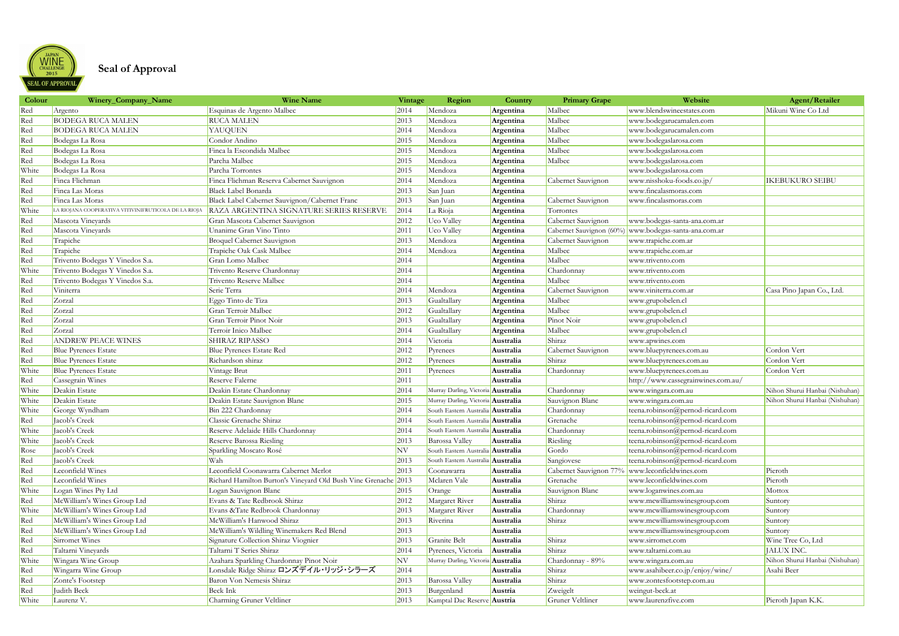

## **Seal of Approval**

| Colour | Winery_Company_Name                                 | <b>Wine Name</b>                                               | Vintage | Region                                   | Country   | <b>Primary Grape</b>   | Website                                               | Agent/Retailer                 |
|--------|-----------------------------------------------------|----------------------------------------------------------------|---------|------------------------------------------|-----------|------------------------|-------------------------------------------------------|--------------------------------|
| Red    | Argento                                             | Esquinas de Argento Malbec                                     | 2014    | Mendoza                                  | Argentina | Malbec                 | www.blendswineestates.com                             | Mikuni Wine Co Ltd             |
| Red    | <b>BODEGA RUCA MALEN</b>                            | <b>RUCA MALEN</b>                                              | 2013    | Mendoza                                  | Argentina | Malbec                 | www.bodegarucamalen.com                               |                                |
| Red    | <b>BODEGA RUCA MALEN</b>                            | <b>YAUQUEN</b>                                                 | 2014    | Mendoza                                  | Argentina | Malbec                 | www.bodegarucamalen.com                               |                                |
| Red    | Bodegas La Rosa                                     | Condor Andino                                                  | 2015    | Mendoza                                  | Argentina | Malbec                 | www.bodegaslarosa.com                                 |                                |
| Red    | Bodegas La Rosa                                     | Finca la Escondida Malbec                                      | 2015    | Mendoza                                  | Argentina | Malbec                 | www.bodegaslarosa.com                                 |                                |
| Red    | Bodegas La Rosa                                     | Parcha Malbec                                                  | 2015    | Mendoza                                  | Argentina | Malbec                 | www.bodegaslarosa.com                                 |                                |
| White  | Bodegas La Rosa                                     | Parcha Torrontes                                               | 2015    | Mendoza                                  | Argentina |                        | www.bodegaslarosa.com                                 |                                |
| Red    | Finca Flichman                                      | Finca Flichman Reserva Cabernet Sauvignon                      | 2014    | Mendoza                                  | Argentina | Cabernet Sauvignon     | www.nisshoku-foods.co.jp/                             | <b>IKEBUKURO SEIBU</b>         |
| Red    | Finca Las Moras                                     | <b>Black Label Bonarda</b>                                     | 2013    | San Juan                                 | Argentina |                        | www.fincalasmoras.com                                 |                                |
| Red    | Finca Las Moras                                     | Black Label Cabernet Sauvignon/Cabernet Franc                  | 2013    | San Juan                                 | Argentina | Cabernet Sauvignon     | www.fincalasmoras.com                                 |                                |
| White  | LA RIOJANA COOPERATIVA VITIVINIFRUTICOLA DE LA RIOJ | RAZA ARGENTINA SIGNATURE SERIES RESERVE                        | 2014    | La Rioja                                 | Argentina | Torrontes              |                                                       |                                |
| Red    | Mascota Vineyards                                   | Gran Mascota Cabernet Sauvignon                                | 2012    | Uco Valley                               | Argentina | Cabernet Sauvignon     | www.bodegas-santa-ana.com.ar                          |                                |
| Red    | Mascota Vineyards                                   | Unanime Gran Vino Tinto                                        | 2011    | Uco Valley                               | Argentina |                        | Cabernet Sauvignon (60%) www.bodegas-santa-ana.com.ar |                                |
| Red    | Trapiche                                            | <b>Broquel Cabernet Sauvignon</b>                              | 2013    | Mendoza                                  | Argentina | Cabernet Sauvignon     | www.trapiche.com.ar                                   |                                |
| Red    | Trapiche                                            | Trapiche Oak Cask Malbec                                       | 2014    | Mendoza                                  | Argentina | Malbec                 | www.trapiche.com.ar                                   |                                |
| Red    | Trivento Bodegas Y Vinedos S.a.                     | Gran Lomo Malbec                                               | 2014    |                                          | Argentina | Malbec                 | www.trivento.com                                      |                                |
| White  | Trivento Bodegas Y Vinedos S.a.                     | Trivento Reserve Chardonnay                                    | 2014    |                                          | Argentina | Chardonnay             | www.trivento.com                                      |                                |
| Red    | Trivento Bodegas Y Vinedos S.a.                     | Trivento Reserve Malbec                                        | 2014    |                                          | Argentina | Malbec                 | www.trivento.com                                      |                                |
| Red    | Viniterra                                           | Serie Terra                                                    | 2014    | Mendoza                                  | Argentina | Cabernet Sauvignon     | www.viniterra.com.ar                                  | Casa Pino Japan Co., Ltd.      |
| Red    | Zorzal                                              | Eggo Tinto de Tiza                                             | 2013    | Gualtallary                              | Argentina | Malbec                 | www.grupobelen.cl                                     |                                |
| Red    | Zorzal                                              | Gran Terroir Malbec                                            | 2012    | Gualtallary                              | Argentina | Malbec                 | www.grupobelen.cl                                     |                                |
| Red    | Zorzal                                              | Gran Terroir Pinot Noir                                        | 2013    | Gualtallary                              | Argentina | Pinot Noir             | www.grupobelen.cl                                     |                                |
| Red    | Zorzal                                              | Terroir Inico Malbec                                           | 2014    | Gualtallary                              | Argentina | Malbec                 | www.grupobelen.cl                                     |                                |
| Red    | <b>ANDREW PEACE WINES</b>                           | SHIRAZ RIPASSO                                                 | 2014    | Victoria                                 | Australia | Shiraz                 | www.apwines.com                                       |                                |
| Red    | Blue Pyrenees Estate                                | <b>Blue Pyrenees Estate Red</b>                                | 2012    | Pyrenees                                 | Australia | Cabernet Sauvignon     | www.bluepyrenees.com.au                               | Cordon Vert                    |
| Red    | <b>Blue Pyrenees Estate</b>                         | Richardson shiraz                                              | 2012    | Pyrenees                                 | Australia | Shiraz                 | www.bluepyrenees.com.au                               | Cordon Vert                    |
| White  | <b>Blue Pyrenees Estate</b>                         | Vintage Brut                                                   | 2011    | Pyrenees                                 | Australia | Chardonnay             | www.bluepyrenees.com.au                               | Cordon Vert                    |
| Red    | Cassegrain Wines                                    | Reserve Falerne                                                | 2011    |                                          | Australia |                        | http://www.cassegrainwines.com.au/                    |                                |
| White  | Deakin Estate                                       | Deakin Estate Chardonnay                                       | 2014    | Murray Darling, Victoria Australia       |           | Chardonnay             | www.wingara.com.au                                    | Nihon Shurui Hanbai (Nishuhan) |
| White  | Deakin Estate                                       | Deakin Estate Sauvignon Blanc                                  | 2015    | Murray Darling, Victoria Australia       |           | Sauvignon Blanc        | www.wingara.com.au                                    | Nihon Shurui Hanbai (Nishuhan) |
| White  | George Wyndham                                      | Bin 222 Chardonnay                                             | 2014    | South Eastern Australia <b>Australia</b> |           | Chardonnay             | teena.robinson@pernod-ricard.com                      |                                |
| Red    | Jacob's Creek                                       | Classic Grenache Shiraz                                        | 2014    | South Eastern Australia <b>Australia</b> |           | Grenache               | teena.robinson@pernod-ricard.com                      |                                |
| White  | Jacob's Creek                                       | Reserve Adelaide Hills Chardonnay                              | 2014    | South Eastern Australia <b>Australia</b> |           | Chardonnay             | teena.robinson@pernod-ricard.com                      |                                |
| White  | Jacob's Creek                                       | <b>Reserve Barossa Riesling</b>                                | 2013    | Barossa Valley                           | Australia | Riesling               | teena.robinson@pernod-ricard.com                      |                                |
| Rose   | Jacob's Creek                                       | Sparkling Moscato Rosé                                         | NV      | South Eastern Australia <b>Australia</b> |           | Gordo                  | teena.robinson@pernod-ricard.com                      |                                |
| Red    | Jacob's Creek                                       | Wah                                                            | 2013    | South Eastern Australia <b>Australia</b> |           | Sangiovese             | teena.robinson@pernod-ricard.com                      |                                |
| Red    | Leconfield Wines                                    | Leconfield Coonawarra Cabernet Merlot                          | 2013    | Coonawarra                               | Australia | Cabernet Sauvignon 77% | www.leconfieldwines.com                               | Pieroth                        |
| Red    | Leconfield Wines                                    | Richard Hamilton Burton's Vineyard Old Bush Vine Grenache 2013 |         | Mclaren Vale                             | Australia | Grenache               | www.leconfieldwines.com                               | Pieroth                        |
| White  | Logan Wines Pty Ltd                                 | Logan Sauvignon Blanc                                          | 2015    | Orange                                   | Australia | Sauvignon Blanc        | www.loganwines.com.au                                 | Mottox                         |
| Red    | McWilliam's Wines Group Ltd                         | Evans & Tate Redbrook Shiraz                                   | 2012    | Margaret River                           | Australia | Shiraz                 | www.mcwilliamswinesgroup.com                          | Suntory                        |
| White  | McWilliam's Wines Group Ltd                         | Evans & Tate Redbrook Chardonnay                               | 2013    | Margaret River                           | Australia | Chardonnay             | www.mcwilliamswinesgroup.com                          | Suntory                        |
| Red    | McWilliam's Wines Group Ltd                         | McWilliam's Hanwood Shiraz                                     | 2013    | Riverina                                 | Australia | Shiraz                 | www.mcwilliamswinesgroup.com                          | Suntory                        |
| Red    | McWilliam's Wines Group Ltd                         | McWilliam's Wildling Winemakers Red Blend                      | 2013    |                                          | Australia |                        | www.mcwilliamswinesgroup.com                          | Suntory                        |
| Red    | Sirromet Wines                                      | Signature Collection Shiraz Viognier                           | 2013    | Granite Belt                             | Australia | Shiraz                 | www.sirromet.com                                      | Wine Tree Co, Ltd              |
| Red    | Taltarni Vineyards                                  | Taltarni T Series Shiraz                                       | 2014    | Pyrenees, Victoria                       | Australia | Shiraz                 | www.taltarni.com.au                                   | JALUX INC.                     |
| White  | Wingara Wine Group                                  | Azahara Sparkling Chardonnay Pinot Noir                        | NV      | Murray Darling, Victoria Australia       |           | Chardonnay - 89%       | www.wingara.com.au                                    | Nihon Shurui Hanbai (Nishuhan) |
| Red    | Wingarra Wine Group                                 | Lonsdale Ridge Shiraz ロンズデイル・リッジ・シラーズ                          | 2014    |                                          | Australia | Shiraz                 | www.asahibeer.co.jp/enjoy/wine/                       | Asahi Beer                     |
| Red    | Zonte's Footstep                                    | Baron Von Nemesis Shiraz                                       | 2013    | Barossa Valley                           | Australia | Shiraz                 | www.zontesfootstep.com.au                             |                                |
| Red    | Judith Beck                                         | Beck Ink                                                       | 2013    | Burgenland                               | Austria   | Zweigelt               | weingut-beck.at                                       |                                |
| White  | Laurenz V.                                          | Charming Gruner Veltliner                                      | 2013    | Kamptal Dac Reserve Austria              |           | Gruner Veltliner       | www.laurenzfive.com                                   | Pieroth Japan K.K.             |
|        |                                                     |                                                                |         |                                          |           |                        |                                                       |                                |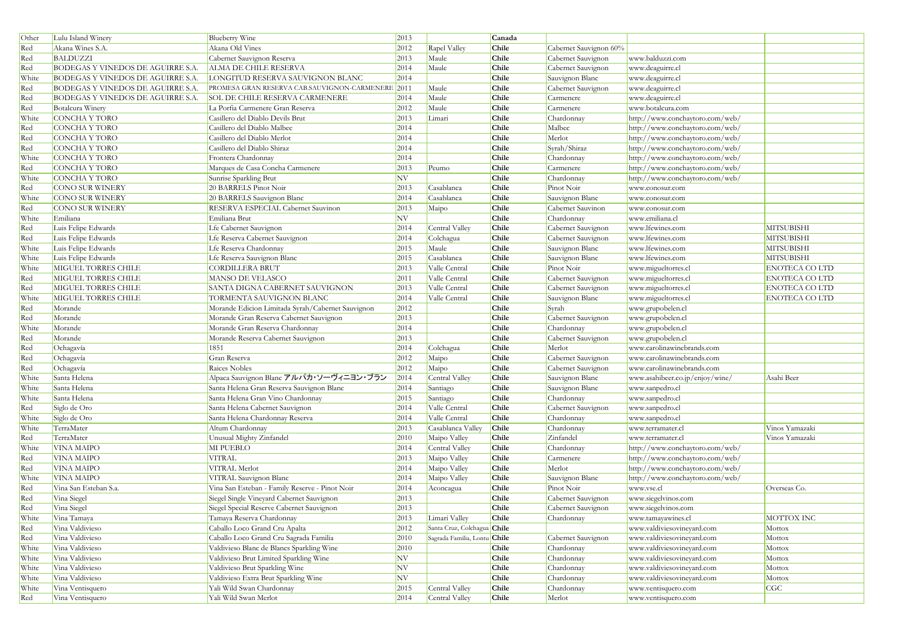| Other        | Lulu Island Winery                       | <b>Blueberry Wine</b>                             | 2013 |                              | Canada |                        |                                                                    |                       |
|--------------|------------------------------------------|---------------------------------------------------|------|------------------------------|--------|------------------------|--------------------------------------------------------------------|-----------------------|
| Red          | Akana Wines S.A.                         | Akana Old Vines                                   | 2012 | Rapel Valley                 | Chile  | Cabernet Sauvignon 60% |                                                                    |                       |
| Red          | BALDUZZI                                 | Cabernet Sauvignon Reserva                        | 2013 | Maule                        | Chile  | Cabernet Sauvignon     | www.balduzzi.com                                                   |                       |
| Red          | BODEGAS Y VINEDOS DE AGUIRRE S.A.        | ALMA DE CHILE RESERVA                             | 2014 | Maule                        | Chile  | Cabernet Sauvignon     | www.deaguirre.cl                                                   |                       |
| White        | BODEGAS Y VINEDOS DE AGUIRRE S.A.        | LONGITUD RESERVA SAUVIGNON BLANC                  | 2014 |                              | Chile  | Sauvignon Blanc        | www.deaguirre.cl                                                   |                       |
| Red          | <b>BODEGAS Y VINEDOS DE AGUIRRE S.A.</b> | PROMESA GRAN RESERVA CAB.SAUVIGNON-CARMENERE 2011 |      | Maule                        | Chile  | Cabernet Sauvignon     | www.deaguirre.cl                                                   |                       |
| Red          | <b>BODEGAS Y VINEDOS DE AGUIRRE S.A.</b> | <b>SOL DE CHILE RESERVA CARMENERE</b>             | 2014 | Maule                        | Chile  | Carmenere              | www.deaguirre.cl                                                   |                       |
| Red          | Botalcura Winery                         | La Porfia Carmenere Gran Reserva                  | 2012 | Maule                        | Chile  | Carmenere              | www.botalcura.com                                                  |                       |
| White        | CONCHA Y TORO                            | Casillero del Diablo Devils Brut                  | 2013 | Limari                       | Chile  | Chardonnay             | http://www.conchaytoro.com/web/                                    |                       |
| Red          | CONCHA Y TORO                            | Casillero del Diablo Malbec                       | 2014 |                              | Chile  | Malbec                 | http://www.conchaytoro.com/web/                                    |                       |
| Red          | CONCHA Y TORO                            | Casillero del Diablo Merlot                       | 2014 |                              | Chile  | Merlot                 | http://www.conchaytoro.com/web/                                    |                       |
| Red          | CONCHA Y TORO                            | Casillero del Diablo Shiraz                       | 2014 |                              | Chile  | Syrah/Shiraz           | http://www.conchaytoro.com/web/                                    |                       |
| White        | CONCHA Y TORO                            | Frontera Chardonnay                               | 2014 |                              | Chile  | Chardonnay             | http://www.conchaytoro.com/web/                                    |                       |
| Red          | CONCHA Y TORO                            | Marques de Casa Concha Carmenere                  | 2013 | Peumo                        | Chile  | Carmenere              | http://www.conchaytoro.com/web/                                    |                       |
| White        | CONCHA Y TORO                            | Sunrise Sparkling Brut                            | NV   |                              | Chile  | Chardonnay             | http://www.conchaytoro.com/web/                                    |                       |
| Red          | <b>CONO SUR WINERY</b>                   | 20 BARRELS Pinot Noir                             | 2013 | Casablanca                   | Chile  | Pinot Noir             | www.conosur.com                                                    |                       |
| White        | CONO SUR WINERY                          | 20 BARRELS Sauvignon Blanc                        | 2014 | Casablanca                   | Chile  | Sauvignon Blanc        | www.conosur.com                                                    |                       |
| Red          | <b>CONO SUR WINERY</b>                   | RESERVA ESPECIAL Cabernet Sauvinon                | 2013 | Maipo                        | Chile  | Cabernet Sauvinon      | www.conosur.com                                                    |                       |
| White        | Emiliana                                 | Emiliana Brut                                     | NV   |                              | Chile  | Chardonnay             | www.emiliana.cl                                                    |                       |
| Red          | Luis Felipe Edwards                      | Lfe Cabernet Sauvignon                            | 2014 | Central Valley               | Chile  | Cabernet Sauvignon     | www.lfewines.com                                                   | <b>MITSUBISHI</b>     |
| Red          | Luis Felipe Edwards                      | Lfe Reserva Cabernet Sauvignon                    | 2014 | Colchagua                    | Chile  | Cabernet Sauvignon     | www.lfewines.com                                                   | <b>MITSUBISHI</b>     |
| White        | Luis Felipe Edwards                      | Lfe Reserva Chardonnay                            | 2015 | Maule                        | Chile  | Sauvignon Blanc        | www.lfewines.com                                                   | <b>MITSUBISHI</b>     |
| White        | Luis Felipe Edwards                      | Lfe Reserva Sauvignon Blanc                       | 2015 | Casablanca                   | Chile  | Sauvignon Blanc        | www.lfewines.com                                                   | <b>MITSUBISHI</b>     |
| White        | MIGUEL TORRES CHILE                      | <b>CORDILLERA BRUT</b>                            | 2013 | Valle Central                | Chile  | Pinot Noir             | www.migueltorres.cl                                                | <b>ENOTECA CO LTD</b> |
| Red          | <b>MIGUEL TORRES CHILE</b>               | MANSO DE VELASCO                                  | 2011 | Valle Central                | Chile  | Cabernet Sauvignon     | www.migueltorres.cl                                                | <b>ENOTECA CO LTD</b> |
| Red          | <b>MIGUEL TORRES CHILE</b>               | SANTA DIGNA CABERNET SAUVIGNON                    | 2013 | Valle Central                | Chile  | Cabernet Sauvignon     | www.migueltorres.cl                                                | <b>ENOTECA CO LTD</b> |
| White        | MIGUEL TORRES CHILE                      | TORMENTA SAUVIGNON BLANC                          | 2014 | Valle Central                | Chile  | Sauvignon Blanc        | www.migueltorres.cl                                                | <b>ENOTECA CO LTD</b> |
| Red          | Morande                                  | Morande Edicion Limitada Syrah/Cabernet Sauvignon | 2012 |                              | Chile  | Syrah                  | www.grupobelen.cl                                                  |                       |
| Red          | Morande                                  | Morande Gran Reserva Cabernet Sauvignon           | 2013 |                              | Chile  | Cabernet Sauvignon     | www.grupobelen.cl                                                  |                       |
| White        | Morande                                  | Morande Gran Reserva Chardonnay                   | 2014 |                              | Chile  | Chardonnay             | www.grupobelen.cl                                                  |                       |
| Red          | Morande                                  | Morande Reserva Cabernet Sauvignon                | 2013 |                              | Chile  | Cabernet Sauvignon     | www.grupobelen.cl                                                  |                       |
| Red          | Ochagavía                                | 1851                                              | 2014 | Colchagua                    | Chile  | Merlot                 | www.carolinawinebrands.com                                         |                       |
| Red          | Ochagavía                                | Gran Reserva                                      | 2012 | Maipo                        | Chile  | Cabernet Sauvignon     | www.carolinawinebrands.com                                         |                       |
| Red          | Ochagavía                                | Raices Nobles                                     | 2012 | Maipo                        | Chile  | Cabernet Sauvignon     | www.carolinawinebrands.com                                         |                       |
| White        | Santa Helena                             | Alpaca Sauvignon Blanc アルパカ・ソーヴィニヨン・ブラン           | 2014 | Central Valley               | Chile  | Sauvignon Blanc        | www.asahibeer.co.jp/enjoy/wine/                                    | Asahi Beer            |
| White        | Santa Helena                             | Santa Helena Gran Reserva Sauvignon Blanc         | 2014 | Santiago                     | Chile  | Sauvignon Blanc        | www.sanpedro.cl                                                    |                       |
| White        | Santa Helena                             | Santa Helena Gran Vino Chardonnay                 | 2015 | Santiago                     | Chile  | Chardonnay             | www.sanpedro.cl                                                    |                       |
| Red          | Siglo de Oro                             | Santa Helena Cabernet Sauvignon                   | 2014 | Valle Central                | Chile  | Cabernet Sauvignon     | www.sanpedro.cl                                                    |                       |
| White        | Siglo de Oro                             | Santa Helena Chardonnay Reserva                   | 2014 | Valle Central                | Chile  | Chardonnay             | www.sanpedro.cl                                                    |                       |
| White        | TerraMater                               | Altum Chardonnay                                  | 2013 | Casablanca Valley            | Chile  | Chardonnay             | www.terramater.cl                                                  | Vinos Yamazaki        |
| Red          | TerraMater                               | Unusual Mighty Zinfandel                          | 2010 | Maipo Valley                 | Chile  | Zinfandel              | www.terramater.cl                                                  | Vinos Yamazaki        |
|              | <b>VINA MAIPO</b>                        | MI PUEBLO                                         | 2014 | Central Valley               | Chile  | Chardonnay             |                                                                    |                       |
| White<br>Red | <b>VINA MAIPO</b>                        | <b>VITRAL</b>                                     | 2013 | Maipo Valley                 | Chile  | Carmenere              | http://www.conchaytoro.com/web/<br>http://www.conchaytoro.com/web/ |                       |
| Red          | <b>VINA MAIPO</b>                        | VITRAL Merlot                                     | 2014 | Maipo Valley                 | Chile  | Merlot                 | http://www.conchaytoro.com/web/                                    |                       |
| White        | <b>VINA MAIPO</b>                        | VITRAL Sauvignon Blanc                            | 2014 | Maipo Valley                 | Chile  | Sauvignon Blanc        | http://www.conchaytoro.com/web/                                    |                       |
| Red          | Vina San Esteban S.a.                    | Vina San Esteban - Family Reserve - Pinot Noir    | 2014 | Aconcagua                    | Chile  | Pinot Noir             | www.vse.cl                                                         | Overseas Co.          |
|              |                                          | Siegel Single Vineyard Cabernet Sauvignon         |      |                              |        |                        | www.siegelvinos.com                                                |                       |
| Red          | Vina Siegel                              |                                                   | 2013 |                              | Chile  | Cabernet Sauvignon     |                                                                    |                       |
| Red          | Vina Siegel                              | Siegel Special Reserve Cabernet Sauvignon         | 2013 |                              | Chile  | Cabernet Sauvignon     | www.siegelvinos.com                                                |                       |
| White        | Vina Tamaya                              | Tamaya Reserva Chardonnay                         | 2013 | Limari Valley                | Chile  | Chardonnay             | www.tamayawines.cl                                                 | MOTTOX INC            |
| Red          | Vina Valdivieso                          | Caballo Loco Grand Cru Apalta                     | 2012 | Santa Cruz, Colchagua Chile  |        |                        | www.valdiviesovineyard.com                                         | Mottox                |
| Red          | Vina Valdivieso                          | Caballo Loco Grand Cru Sagrada Familia            | 2010 | Sagrada Familia, Lontu Chile |        | Cabernet Sauvignon     | www.valdiviesovineyard.com                                         | Mottox                |
| White        | Vina Valdivieso                          | Valdivieso Blanc de Blancs Sparkling Wine         | 2010 |                              | Chile  | Chardonnay             | www.valdiviesovineyard.com                                         | Mottox                |
| White        | Vina Valdivieso                          | Valdivieso Brut Limited Sparkling Wine            | NV   |                              | Chile  | Chardonnay             | www.valdiviesovineyard.com                                         | Mottox                |
| White        | Vina Valdivieso                          | Valdivieso Brut Sparkling Wine                    | NV   |                              | Chile  | Chardonnay             | www.valdiviesovineyard.com                                         | Mottox                |
| White        | Vina Valdivieso                          | Valdivieso Extra Brut Sparkling Wine              | NV   |                              | Chile  | Chardonnay             | www.valdiviesovineyard.com                                         | Mottox                |
| White        | Vina Ventisquero                         | Yali Wild Swan Chardonnay                         | 2015 | Central Valley               | Chile  | Chardonnay             | www.ventisquero.com                                                | CGC                   |
| Red          | Vina Ventisquero                         | Yali Wild Swan Merlot                             | 2014 | Central Valley               | Chile  | Merlot                 | www.ventisquero.com                                                |                       |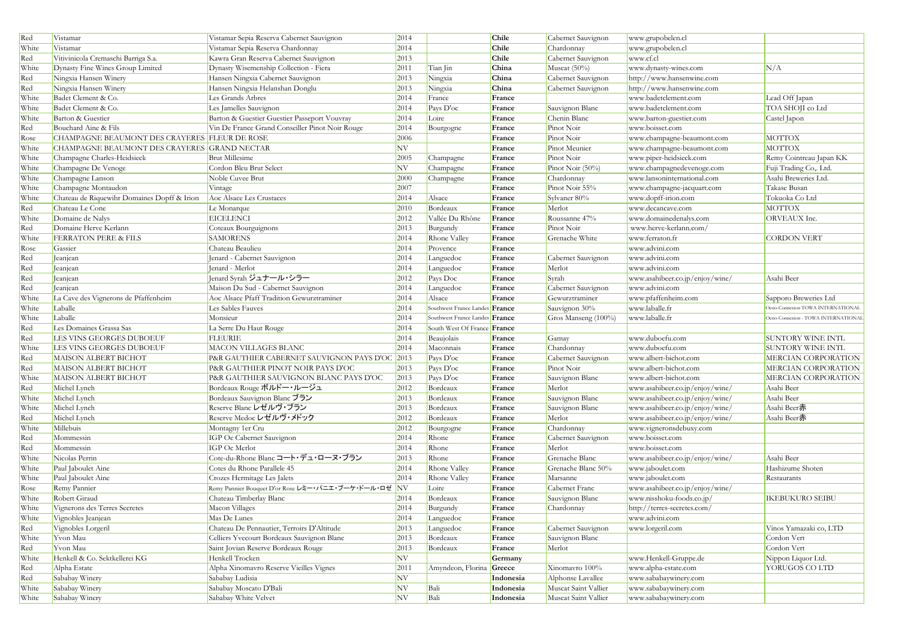| Red   | Vistamar                                      | Vistamar Sepia Reserva Cabernet Sauvignon            | 2014 |                                | Chile        | Cabernet Sauvignon   | www.grupobelen.cl               |                                     |
|-------|-----------------------------------------------|------------------------------------------------------|------|--------------------------------|--------------|----------------------|---------------------------------|-------------------------------------|
| White | Vistamar                                      | Vistamar Sepia Reserva Chardonnay                    | 2014 |                                | <b>Chile</b> | Chardonnay           | www.grupobelen.cl               |                                     |
| Red   | Vitivinicola Cremaschi Barriga S.a.           | Kawra Gran Reserva Cabernet Sauvignon                | 2013 |                                | Chile        | Cabernet Sauvignon   | www.cf.cl                       |                                     |
| White | Dynasty Fine Wines Group Limited              | Dynasty Wisemenship Collection - Fiera               | 2011 | Tian Jin                       | China        | Muscat $(50\%)$      | www.dynasty-wines.com           | N/A                                 |
| Red   | Ningxia Hansen Winery                         | Hansen Ningxia Cabernet Sauvignon                    | 2013 | Ningxia                        | China        | Cabernet Sauvignon   | http://www.hansenwine.com       |                                     |
| Red   | Ningxia Hansen Winery                         | Hansen Ningxia Helanshan Donglu                      | 2013 | Ningxia                        | China        | Cabernet Sauvignon   | http://www.hansenwine.com       |                                     |
| White | Badet Clement & Co.                           | Les Grands Arbres                                    | 2014 | France                         | France       |                      | www.badetclement.com            | Lead Off Japan                      |
| White | Badet Clement & Co.                           | Les Jamelles Sauvignon                               | 2014 | Pays D'oc                      | France       | Sauvignon Blanc      | www.badetclement.com            | TOA SHOJI co Ltd                    |
| White | Barton & Guestier                             | Barton & Guestier Guestier Passeport Vouvray         | 2014 | Loire                          | France       | Chenin Blanc         | www.barton-guestier.com         | Castel Japon                        |
| Red   | Bouchard Aine & Fils                          | Vin De France Grand Conseiller Pinot Noir Rouge      | 2014 | Bourgogne                      | France       | Pinot Noir           | www.boisset.com                 |                                     |
| Rose  | CHAMPAGNE BEAUMONT DES CRAYERES FLEUR DE ROSE |                                                      | 2006 |                                | France       | Pinot Noir           | www.champagne-beaumont.com      | <b>MOTTOX</b>                       |
| White | CHAMPAGNE BEAUMONT DES CRAYERES GRAND NECTAR  |                                                      | NV   |                                | France       | Pinot Meunier        | www.champagne-beaumont.com      | <b>MOTTOX</b>                       |
| White | Champagne Charles-Heidsieck                   | <b>Brut Millesime</b>                                | 2005 | Champagne                      | France       | Pinot Noir           | www.piper-heidsieck.com         | Remy Cointreau Japan KK             |
| White | Champagne De Venoge                           | Cordon Bleu Brut Select                              | NV   | Champagne                      | France       | Pinot Noir (50%)     | www.champagnedevenoge.com       | Fuji Trading Co,. Ltd.              |
| White | Champagne Lanson                              | Noble Cuvee Brut                                     | 2000 | Champagne                      | France       | Chardonnay           | www.lansoninternational.com     | Asahi Breweries Ltd.                |
| White | Champagne Montaudon                           | Vintage                                              | 2007 |                                | France       | Pinot Noir 55%       | www.champagne-jacquart.com      | Takase Busan                        |
| White | Chateau de Riquewihr Domaines Dopff & Irion   | Aoc Alsace Les Crustaces                             | 2014 | Alsace                         | France       | Sylvaner 80%         | www.dopff-irion.com             | Tokuoka Co Ltd                      |
| Red   | Chateau Le Cone                               | Le Monarque                                          | 2010 | Bordeaux                       | France       | Merlot               | www.decancave.com               | <b>MOTTOX</b>                       |
| White | Domaine de Nalys                              | <b>EICELENCI</b>                                     | 2012 | Vallée Du Rhône                | France       | Roussanne 47%        | www.domainedenalys.com          | ORVEAUX Inc.                        |
| Red   | Domaine Herve Kerlann                         | Coteaux Bourguignons                                 | 2013 | Burgundy                       | France       | Pinot Noir           | www.herve-kerlann.com/          |                                     |
| White | <b>FERRATON PERE &amp; FILS</b>               | <b>SAMORENS</b>                                      | 2014 | Rhone Valley                   | France       | Grenache White       | www.ferraton.fr                 | <b>CORDON VERT</b>                  |
| Rose  | Gassier                                       | Chateau Beaulieu                                     | 2014 | Provence                       | France       |                      | www.advini.com                  |                                     |
| Red   | Jeanjean                                      | Jenard - Cabernet Sauvignon                          | 2014 | Languedoc                      | France       | Cabernet Sauvignon   | www.advini.com                  |                                     |
| Red   | Jeanjean                                      | Jenard - Merlot                                      | 2014 | Languedoc                      | France       | Merlot               | www.advini.com                  |                                     |
| Red   | Jeanjean                                      | Jenard Syrah ジュナール・シラー                               | 2012 | Pays Doc                       | France       | Syrah                | www.asahibeer.co.jp/enjoy/wine/ | Asahi Beer                          |
| Red   | Jeanjean                                      | Maison Du Sud - Cabernet Sauvignon                   | 2014 | Languedoc                      | France       | Cabernet Sauvignon   | www.advini.com                  |                                     |
| White | La Cave des Vignerons de Pfaffenheim          | Aoc Alsace Pfaff Tradition Gewurztraminer            | 2014 | Alsace                         | France       | Gewurztraminer       | www.pfaffenheim.com             | Sapporo Breweries Ltd               |
| White | Laballe                                       | Les Sables Fauves                                    | 2014 | Southwest France Landes France |              | Sauvignon 30%        | www.laballe.fr                  | Deno-Connexion TOWA INTERNATIONAL   |
| White | Laballe                                       | Monsieur                                             | 2014 | Southwest France Landes France |              | Gros Manseng (100%)  | www.laballe.fr                  | Deno-Connexion - TOWA INTERNATIONAL |
| Red   | Les Domaines Grassa Sas                       | La Serre Du Haut Rouge                               | 2014 | South West Of France France    |              |                      |                                 |                                     |
| Red   | LES VINS GEORGES DUBOEUF                      | <b>FLEURIE</b>                                       | 2014 | Beaujolais                     | France       | Gamay                | www.duboefu.com                 | <b>SUNTORY WINE INTL</b>            |
| White | LES VINS GEORGES DUBOEUF                      | <b>MACON VILLAGES BLANC</b>                          | 2014 | Maconnais                      | France       | Chardonnay           | www.duboefu.com                 | SUNTORY WINE INTL                   |
| Red   | <b>MAISON ALBERT BICHOT</b>                   | P&R GAUTHIER CABERNET SAUVIGNON PAYS D'OC 2013       |      | Pays D'oc                      | France       | Cabernet Sauvignon   | www.albert-bichot.com           | MERCIAN CORPORATION                 |
| Red   | MAISON ALBERT BICHOT                          | P&R GAUTHIER PINOT NOIR PAYS D'OC                    | 2013 | Pays D'oc                      | France       | Pinot Noir           | www.albert-bichot.com           | MERCIAN CORPORATION                 |
| White | MAISON ALBERT BICHOT                          | P&R GAUTHIER SAUVIGNON BLANC PAYS D'OC               | 2013 | Pays D'oc                      | France       | Sauvignon Blanc      | www.albert-bichot.com           | MERCIAN CORPORATION                 |
| Red   | Michel Lynch                                  | Bordeaux Rouge ボルドー・ルージュ                             | 2012 | Bordeaux                       | France       | Merlot               | www.asahibeer.co.jp/enjoy/wine/ | Asahi Beer                          |
| White | Michel Lynch                                  | Bordeaux Sauvignon Blanc ブラン                         | 2013 | Bordeaux                       | France       | Sauvignon Blanc      | www.asahibeer.co.jp/enjoy/wine/ | Asahi Beer                          |
| White | Michel Lynch                                  | Reserve Blanc レゼルヴ・ブラン                               | 2013 | Bordeaux                       | France       | Sauvignon Blanc      | www.asahibeer.co.jp/enjoy/wine/ | Asahi Beer赤                         |
| Red   | Michel Lynch                                  | Reserve Medoc レゼルヴ・メドック                              | 2012 | Bordeaux                       | France       | Merlot               | www.asahibeer.co.jp/enjoy/wine/ | Asahi Beer赤                         |
| White | Millebuis                                     | Montagny 1er Cru                                     | 2012 | Bourgogne                      | France       | Chardonnay           | www.vigneronsdebuxy.com         |                                     |
| Red   | Mommessin                                     | IGP Oc Cabernet Sauvignon                            | 2014 | Rhone                          | France       | Cabernet Sauvignon   | www.boisset.com                 |                                     |
| Red   | Mommessin                                     | IGP Oc Merlot                                        | 2014 | Rhone                          | France       | Merlot               | www.boisset.com                 |                                     |
| White | Nicolas Perrin                                | Cote-du-Rhone Blanc コート・デュ・ローヌ・ブラン                   | 2013 | Rhone                          | France       | Grenache Blanc       | www.asahibeer.co.jp/enjoy/wine/ | Asahi Beer                          |
| White | Paul Jaboulet Aine                            | Cotes du Rhone Parallele 45                          | 2014 | Rhone Valley                   | France       | Grenache Blanc 50%   | www.jaboulet.com                | Hashizume Shoten                    |
| White | Paul Jaboulet Aine                            | Crozes Hermitage Les Jalets                          | 2014 | Rhone Valley                   | France       | Marsanne             | www.jaboulet.com                | Restaurants                         |
| Rose  | Remy Pannier                                  | Remy Pannier Bouquet D'or Rose レミー・パニエ・ブーケ・ドール・ロゼ NV |      | Loire                          | France       | Cabernet Franc       | www.asahibeer.co.jp/enjoy/wine/ |                                     |
| White | Robert Giraud                                 | Chateau Timberlay Blanc                              | 2014 | Bordeaux                       | France       | Sauvignon Blanc      | www.nisshoku-foods.co.jp/       | <b>IKEBUKURO SEIBU</b>              |
| White | Vignerons des Terres Secretes                 | Macon Villages                                       | 2014 | Burgundy                       | France       | Chardonnay           | http://terres-secretes.com/     |                                     |
| White | Vignobles Jeanjean                            | Mas De Lunes                                         | 2014 | Languedoc                      | France       |                      | www.advini.com                  |                                     |
| Red   | Vignobles Lorgeril                            | Chateau De Pennautier, Terroirs D'Altitude           | 2013 | Languedoc                      | France       | Cabernet Sauvignon   | www.lorgeril.com                | Vinos Yamazaki co, LTD              |
| White | Yvon Mau                                      | Celliers Yvecourt Bordeaux Sauvignon Blanc           | 2013 | Bordeaux                       | France       | Sauvignon Blanc      |                                 | Cordon Vert                         |
| Red   | Yvon Mau                                      | Saint Jovian Reserve Bordeaux Rouge                  | 2013 | Bordeaux                       | France       | Merlot               |                                 | Cordon Vert                         |
| White | Henkell & Co. Sektkellerei KG                 | Henkell Trocken                                      | NV   |                                | Germany      |                      | www.Henkell-Gruppe.de           | Nippon Liquor Ltd.                  |
| Red   | Alpha Estate                                  | Alpha Xinomavro Reserve Vieilles Vignes              | 2011 | Amyndeon, Florina Greece       |              | Xinomavro 100%       | www.alpha-estate.com            | YORUGOS CO LTD                      |
| Red   | Sababay Winery                                | Sababay Ludisia                                      | NV   |                                | Indonesia    | Alphonse Lavallee    | www.sababaywinery.com           |                                     |
| White | Sababay Winery                                | Sababay Moscato D'Bali                               | NV   | Bali                           | Indonesia    | Muscat Saint Vallier | www.sababaywinery.com           |                                     |
| White | Sababay Winery                                | Sababay White Velvet                                 | NV   | Bali                           | Indonesia    | Muscat Saint Vallier | www.sababaywinery.com           |                                     |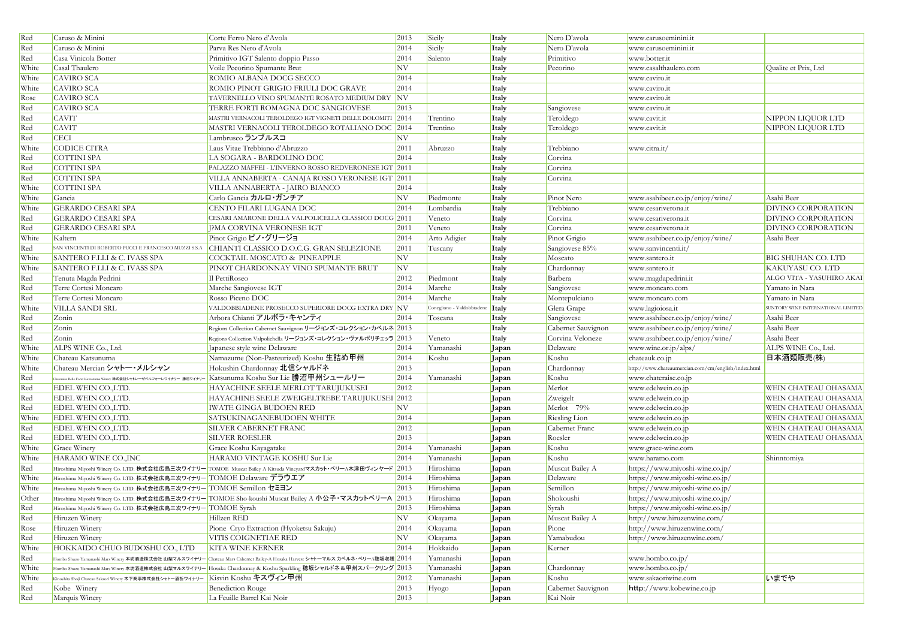| Red   | Caruso & Minini                                                      | Corte Ferro Nero d'Avola                                                                                                                    | 2013 | Sicily                     | Italy        | Nero D'avola       | www.carusoeminini.it                                |                                    |
|-------|----------------------------------------------------------------------|---------------------------------------------------------------------------------------------------------------------------------------------|------|----------------------------|--------------|--------------------|-----------------------------------------------------|------------------------------------|
| Red   | Caruso & Minini                                                      | Parva Res Nero d'Avola                                                                                                                      | 2014 | Sicily                     | Italy        | Nero D'avola       | www.carusoeminini.it                                |                                    |
| Red   | Casa Vinicola Botter                                                 | Primitivo IGT Salento doppio Passo                                                                                                          | 2014 | Salento                    | Italy        | Primitivo          | www.botter.it                                       |                                    |
| White | Casal Thaulero                                                       | Voile Pecorino Spumante Brut                                                                                                                | NV   |                            | Italy        | Pecorino           | www.casalthaulero.com                               | Qualite et Prix, Ltd               |
| White | <b>CAVIRO SCA</b>                                                    | ROMIO ALBANA DOCG SECCO                                                                                                                     | 2014 |                            | Italy        |                    | www.caviro.it                                       |                                    |
| White | <b>CAVIRO SCA</b>                                                    | ROMIO PINOT GRIGIO FRIULI DOC GRAVE                                                                                                         | 2014 |                            | Italy        |                    | www.caviro.it                                       |                                    |
| Rose  | <b>CAVIRO SCA</b>                                                    | TAVERNELLO VINO SPUMANTE ROSATO MEDIUM DRY NV                                                                                               |      |                            | Italy        |                    | www.caviro.it                                       |                                    |
| Red   | <b>CAVIRO SCA</b>                                                    | TERRE FORTI ROMAGNA DOC SANGIOVESE                                                                                                          | 2013 |                            | Italy        | Sangiovese         | www.caviro.it                                       |                                    |
| Red   | <b>CAVIT</b>                                                         | MASTRI VERNACOLI TEROLDEGO IGT VIGNETI DELLE DOLOMITI 2014                                                                                  |      | Trentino                   | Italy        | Teroldego          | www.cavit.it                                        | NIPPON LIQUOR LTD                  |
| Red   | <b>CAVIT</b>                                                         | MASTRI VERNACOLI TEROLDEGO ROTALIANO DOC 2014                                                                                               |      | Trentino                   | Italy        | Teroldego          | www.cavit.it                                        | NIPPON LIQUOR LTD                  |
| Red   | <b>CECI</b>                                                          | Lambrusco ランブルスコ                                                                                                                            | NV   |                            | Italy        |                    |                                                     |                                    |
| White | CODICE CITRA                                                         | Laus Vitae Trebbiano d'Abruzzo                                                                                                              | 2011 | Abruzzo                    | Italy        | Trebbiano          | www.citra.it/                                       |                                    |
| Red   | COTTINI SPA                                                          | LA SOGARA - BARDOLINO DOC                                                                                                                   | 2014 |                            | Italy        | Corvina            |                                                     |                                    |
| Red   | COTTINI SPA                                                          | PALAZZO MAFFEI - L'INVERNO ROSSO REDVERONESE IGT 2011                                                                                       |      |                            | Italy        | Corvina            |                                                     |                                    |
| Red   | COTTINI SPA                                                          | VILLA ANNABERTA - CANAJA ROSSO VERONESE IGT 2011                                                                                            |      |                            | Italy        | Corvina            |                                                     |                                    |
| White | COTTINI SPA                                                          | VILLA ANNABERTA - JAIRO BIANCO                                                                                                              | 2014 |                            | <i>Italy</i> |                    |                                                     |                                    |
| White | Gancia                                                               | Carlo Gancia カルロ・ガンチア                                                                                                                       | NV   | Piedmonte                  | Italy        | Pinot Nero         | www.asahibeer.co.jp/enjoy/wine/                     | Asahi Beer                         |
| White | <b>GERARDO CESARI SPA</b>                                            | CENTO FILARI LUGANA DOC                                                                                                                     | 2014 | Lombardia                  | Italy        | Trebbiano          | www.cesariverona.it                                 | <b>DIVINO CORPORATION</b>          |
| Red   | <b>GERARDO CESARI SPA</b>                                            | CESARI AMARONE DELLA VALPOLICELLA CLASSICO DOCG 2011                                                                                        |      | Veneto                     | Italy        | Corvina            | www.cesariverona.it                                 | DIVINO CORPORATION                 |
| Red   | <b>GERARDO CESARI SPA</b>                                            | J?MA CORVINA VERONESE IGT                                                                                                                   | 2011 | Veneto                     | Italy        | Corvina            | www.cesariverona.it                                 | <b>DIVINO CORPORATION</b>          |
| White | Kaltern                                                              | Pinot Grigio ピノ・グリージョ                                                                                                                       | 2014 | Arto Adigier               | Italy        | Pinot Grigio       | www.asahibeer.co.jp/enjoy/wine/                     | Asahi Beer                         |
| Red   | SAN VINCENTI DI ROBERTO PUCCI E FRANCESCO MUZZI S.S.A                | CHIANTI CLASSICO D.O.C.G. GRAN SELEZIONE                                                                                                    | 2011 | Tuscany                    | Italy        | Sangiovese 85%     | www.sanvincenti.it/                                 |                                    |
| White | SANTERO F.LLI & C. IVASS SPA                                         | COCKTAIL MOSCATO & PINEAPPLE                                                                                                                | NV   |                            | Italy        | Moscato            | www.santero.it                                      | <b>BIG SHUHAN CO. LTD</b>          |
| White | SANTERO F.LLI & C. IVASS SPA                                         | PINOT CHARDONNAY VINO SPUMANTE BRUT                                                                                                         | NV   |                            | Italy        | Chardonnay         | www.santero.it                                      | <b>KAKUYASU CO. LTD</b>            |
| Red   | Tenuta Magda Pedrini                                                 | Il PettiRoseo                                                                                                                               | 2012 | Piedmont                   | Italy        | Barbera            | www.magdapedrini.it                                 | ALGO VITA - YASUHIRO AKAI          |
| Red   | Terre Cortesi Moncaro                                                | Marche Sangiovese IGT                                                                                                                       | 2014 | Marche                     | Italy        | Sangiovese         | www.moncaro.com                                     | Yamato in Nara                     |
| Red   | Terre Cortesi Moncaro                                                | Rosso Piceno DOC                                                                                                                            | 2014 | Marche                     | Italy        | Montepulciano      | www.moncaro.com                                     | Yamato in Nara                     |
| White | VILLA SANDI SRL                                                      | VALDOBBIADENE PROSECCO SUPERIORE DOCG EXTRA DRY NV                                                                                          |      | Conegliano - Valdobbiadene | <b>Italy</b> | Glera Grape        | www.lagioiosa.it                                    | SUNTORY WINE INTERNATIONAL LIMITED |
| Red   | Zonin                                                                | Arbora Chianti アルボラ・キャンティ                                                                                                                   | 2014 | Toscana                    | Italy        | Sangiovese         | www.asahibeer.co.jp/enjoy/wine/                     | Asahi Beer                         |
| Red   | Zonin                                                                | Regions Collection Cabernet Sauvignon リージョンズ・コレクション・カベルネ 2013                                                                               |      |                            | Italy        | Cabernet Sauvignon | www.asahibeer.co.jp/enjoy/wine/                     | Asahi Beer                         |
| Red   | Zonin                                                                | Regions Collection Valpolichella リージョンズ・コレクション・ヴァルポリチェッラ 2013                                                                               |      | Veneto                     | Italy        | Corvina Veloneze   | www.asahibeer.co.jp/enjoy/wine/                     | Asahi Beer                         |
| White | ALPS WINE Co., Ltd.                                                  | Japanese style wine Delaware                                                                                                                | 2014 | Yamanashi                  | Japan        | Delaware           | www.wine.or.jp/alps/                                | ALPS WINE Co., Ltd.                |
| White | Chateau Katsunuma                                                    | Namazume (Non-Pasteurized) Koshu 生詰め甲州                                                                                                      | 2014 | Koshu                      | Japan        | Koshu              | chateauk.co.jp                                      | 日本酒類販売(株)                          |
| White | Chateau Mercian シャトー・メルシャン                                           | Hokushin Chardonnay 北信シャルドネ                                                                                                                 | 2013 |                            | Japan        | Chardonnay         | http://www.chateaumercian.com/cm/english/index.html |                                    |
| Red   | Chateraise Belle Foret Katsunuma Winery 株式会社シャトレーゼベルフォーレワイナリー 勝沼ワイナリ | Katsunuma Koshu Sur Lie 勝沼甲州シュールリー                                                                                                          | 2014 | Yamanashi                  | Japan        | Koshu              | www.chateraise.co.jp                                |                                    |
| Red   | EDEL WEIN CO., LTD.                                                  | HAYACHINE SEELE MERLOT TARUJUKUSEI                                                                                                          | 2012 |                            | Japan        | Merlot             | www.edelwein.co.jp                                  | WEIN CHATEAU OHASAMA               |
| Red   | EDEL WEIN CO.,LTD.                                                   | HAYACHINE SEELE ZWEIGELTREBE TARUJUKUSEI 2012                                                                                               |      |                            | Japan        | Zweigelt           | www.edelwein.co.jp                                  | WEIN CHATEAU OHASAMA               |
| Red   | <b>EDEL WEIN CO.,LTD.</b>                                            | <b>IWATE GINGA BUDOEN RED</b>                                                                                                               | NV   |                            | Japan        | Merlot 79%         | www.edelwein.co.jp                                  | WEIN CHATEAU OHASAMA               |
| White | <b>EDEL WEIN CO.,LTD.</b>                                            | SATSUKINAGANEBUDOEN WHITE                                                                                                                   | 2014 |                            | Japan        | Riesling Lion      | www.edelwein.co.jp                                  | WEIN CHATEAU OHASAMA               |
| Red   | EDEL WEIN CO.,LTD.                                                   | SILVER CABERNET FRANC                                                                                                                       | 2012 |                            | Japan        | Cabernet Franc     | www.edelwein.co.jp                                  | WEIN CHATEAU OHASAMA               |
| Red   | EDEL WEIN CO.,LTD.                                                   | <b>SILVER ROESLER</b>                                                                                                                       | 2013 |                            | Japan        | Roesler            | www.edelwein.co.jp                                  | WEIN CHATEAU OHASAMA               |
| White | Grace Winery                                                         | Grace Koshu Kayagatake                                                                                                                      | 2014 | Yamanashi                  | Japan        | Koshu              | www.grace-wine.com                                  |                                    |
| White | HARAMO WINE CO., INC                                                 | HARAMO VINTAGE KOSHU Sur Lie                                                                                                                | 2014 | Yamanashi                  | Japan        | Koshu              | www.haramo.com                                      | Shinntomiya                        |
| Red   |                                                                      | Hiroshima Miyoshi Winery Co. LTD. 株式会社広島三次ワイナリー TOMOE Muscat Bailey A Kitsuda Vineyardマスカット・ベリーA木津田ヴィンヤード 2013                              |      | Hiroshima                  | Japan        | Muscat Bailey A    | https://www.miyoshi-wine.co.jp/                     |                                    |
| White | Hiroshima Miyoshi Winery Co. LTD. 株式会社広島三次ワイナリー TOMOE Delaware デラウエア |                                                                                                                                             | 2014 | Hiroshima                  | Japan        | Delaware           | https://www.miyoshi-wine.co.jp/                     |                                    |
| White | Hiroshima Miyoshi Winery Co. LTD. 株式会社広島三次ワイナリー TOMOE Semillon セミヨン  |                                                                                                                                             | 2013 | Hiroshima                  | Japan        | Semillon           | https://www.miyoshi-wine.co.jp/                     |                                    |
| Other |                                                                      | Hiroshima Miyoshi Winery Co. LTD. 株式会社広島三次ワイナリー <mark>TOMOE Sho-koushi Muscat Bailey A 小公子・マスカットベリーA</mark> 2013                            |      | Hiroshima                  | Japan        | Shokoushi          | https://www.miyoshi-wine.co.jp/                     |                                    |
| Red   | Hiroshima Miyoshi Winery Co. LTD. 株式会社広島三次ワイナリー TOMOE Syrah          |                                                                                                                                             | 2013 | Hiroshima                  | Japan        | Syrah              | https://www.miyoshi-wine.co.jp/                     |                                    |
| Red   | Hiruzen Winery                                                       | Hillzen RED                                                                                                                                 | NV   | Okayama                    | Japan        | Muscat Bailey A    | http://www.hiruzenwine.com/                         |                                    |
| Rose  | Hiruzen Winery                                                       | Pione Cryo Extraction (Hyoketsu Sakuju)                                                                                                     | 2014 | Okayama                    | Japan        | Pione              | http://www.hiruzenwine.com/                         |                                    |
| Red   | Hiruzen Winery                                                       | VITIS COIGNETIAE RED                                                                                                                        | NV   | Okayama                    | Japan        | Yamabudou          | http://www.hiruzenwine.com/                         |                                    |
| White | HOKKAIDO CHUO BUDOSHU CO., LTD                                       | KITA WINE KERNER                                                                                                                            | 2014 | Hokkaido                   | Japan        | Kerner             |                                                     |                                    |
| Red   |                                                                      | Hombo Shuzo Yamanashi Mars Winery 本坊酒造株式会社 山梨マルスワイナリー <mark>Chateau Mars Cabernet Bailey-A Hosaka Harvest シャトーマルス カベルネ・ベリーA穂坂収穫 2014</mark> |      | Yamanashi                  | Japan        |                    | www.hombo.co.jp/                                    |                                    |
| White |                                                                      | Hombo Shuzo Yamanashi Mars Winery 本坊酒造株式会社 山梨マルスワイナリー Hosaka Chardonnay & Koshu Sparkling 穂坂シャルドネ&甲州スパークリング 2013                            |      | Yamanashi                  | Japan        | Chardonnay         | www.hombo.co.jp/                                    |                                    |
| White | Kinoshita Shoji Chateau Sakaori Winery 木下商事株式会社シャトー酒折ワイナリー           | Kisvin Koshu キスヴィン甲州                                                                                                                        | 2012 | Yamanashi                  | Japan        | Koshu              | www.sakaoriwine.com                                 | いまでや                               |
| Red   | Kobe Winery                                                          | <b>Benediction Rouge</b>                                                                                                                    | 2013 | Hyogo                      | Japan        | Cabernet Sauvignon | http://www.kobewine.co.jp                           |                                    |
| Red   | Marquis Winery                                                       | La Feuille Barrel Kai Noir                                                                                                                  | 2013 |                            | Japan        | Kai Noir           |                                                     |                                    |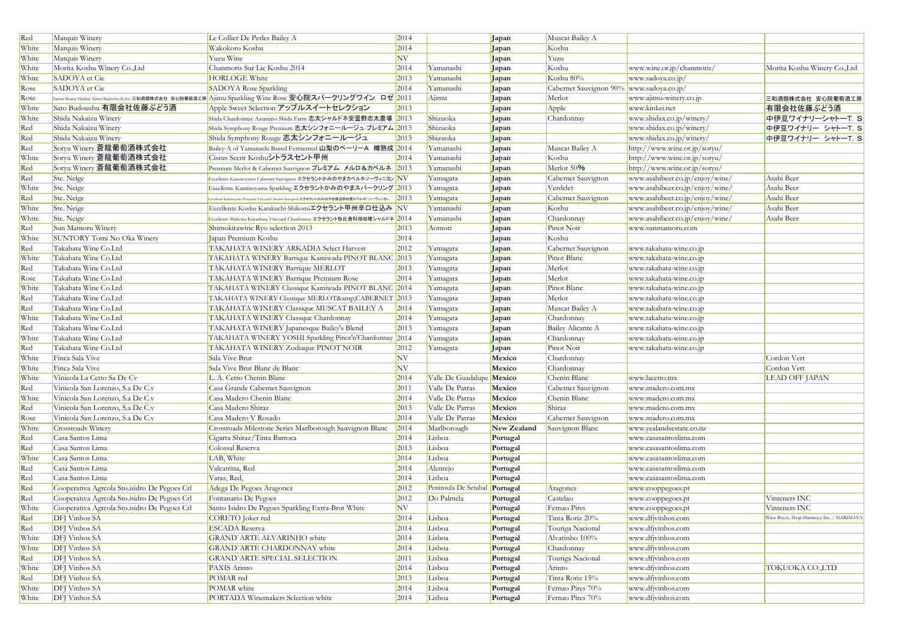| Red   | Marquis Winery                               | Le Collier De Perles Bailey A                                                                               | 2014                     |                               | Japan       | Muscat Bailey A                          |                                 |                                           |
|-------|----------------------------------------------|-------------------------------------------------------------------------------------------------------------|--------------------------|-------------------------------|-------------|------------------------------------------|---------------------------------|-------------------------------------------|
| White | Marquis Winery                               | Wakokoro Koshu                                                                                              | 2014                     |                               | Japan       | Koshu                                    |                                 |                                           |
| White | Marquis Winery                               | Yuzu Wine                                                                                                   | NV <sub></sub>           |                               | Japan       | Yuzu                                     |                                 |                                           |
| White | Morita Koshu Winery Co.,Ltd                  | Chanmons Sur Lie Koshu 2014                                                                                 | 2014                     | Yamanashi                     | Japan       | Koshu                                    | www.wine.or.jp/chanmoris/       | Morita Koshu Winery Co., Ltd              |
| White | SADOYA et Cie                                | <b>HORLOGE White</b>                                                                                        | 2013                     | Yamanashi                     | Japan       | Koshu 80%                                | www.sadoya.co.jp/               |                                           |
| Rose  | SADOYA et Cie                                | SADOYA Rose Sparkling                                                                                       | 2014                     | Yamanashi                     | Japan       | Cabernet Sauvignon 90% www.sadoya.co.jp/ |                                 |                                           |
| Rose  |                                              | Sanwa Shurui Hanbai Ajimu Budoshu Kobo 三和酒類株式会社 安心院葡萄酒工房  Ajimu Sparkling Wine Rose 安心院スパークリングワイン ロゼ   2011 |                          | Ajimu                         | Japan       | Merlot                                   | www.ajimu-winery.co.jp          | 三和酒類株式会社 安心院葡萄酒工房                         |
| White | Sato Budoushu 有限会社佐藤ぶどう酒                     | Apple Sweet Selection アップルスイートセレクション                                                                        | 2013                     |                               | Japan       | Apple                                    | www.kinkei.net                  | 有限会社佐藤ぶどう酒                                |
| White | Shida Nakaizu Winery                         | Shida Chardonnay Azumino Shida Farm 志太シャルドネ安曇野志太農場 2013                                                     |                          | Shizuoka                      | Japan       | Chardonnay                               | www.shidax.co.jp/winery/        | 中伊豆ワイナリーシャトーT.S                           |
| Red   | Shida Nakaizu Winery                         | Shida Symphony Rouge Premium 志太シンフォニールージュ-プレミアム 2013                                                        |                          | Shizuoka                      | Japan       |                                          | www.shidax.co.jp/winery/        | 中伊豆ワイナリー シャトーT. S                         |
| Red   | Shida Nakaizu Winery                         | Shida Symphony Rouge 志太シンフォニールージュ                                                                           | 2013                     | Shizuoka                      | Japan       |                                          | www.shidax.co.jp/winery/        | 中伊豆ワイナリー シャトーT. S                         |
| Red   | Soryu Winery 蒼龍葡萄酒株式会社                       | Bailey-A of Yamanashi Barrel Fermented 山梨のベーリーA 樽熟成 2014                                                    |                          | Yamanashi                     | Japan       | Muscat Bailey A                          | http://www.wine.or.jp/soryu/    |                                           |
| White | Soryu Winery 蒼龍葡萄酒株式会社                       | Cisrus Scent Koshuシトラスセント甲州                                                                                 | 2014                     | Yamanashi                     | Japan       | Koshu                                    | http://www.wine.or.jp/soryu/    |                                           |
| Red   | Soryu Winery 蒼龍葡萄酒株式会社                       | Premium Merlot & Cabernet Sauvignon プレミアム メルロ&カベルネ 2013                                                     |                          | Yamanashi                     | Japan       | Merlot 50%                               | http://www.wine.or.jp/soryu/    |                                           |
| Red   | Ste. Neige                                   | Excellente Kaminoyama Cabernet Sauvignon エクセラントかみのやまカベルネソーヴィニヨン $\rm \left NV\right.$                       |                          | Yamagata                      | Japan       | Cabernet Sauvignon                       | www.asahibeer.co.jp/enjoy/wine/ | Asahi Beer                                |
| White | Ste. Neige                                   | Excellente Kaminoyama Sparkling エクセラントかみのやまスパークリング 2013                                                     |                          | Yamagata                      | Japan       | Verdelet                                 | www.asahibeer.co.jp/enjoy/wine/ | Asahi Beer                                |
| Red   | Ste. Neige                                   | .<br>scellente Kaminoyama Watanabe Vineyard Cabernet Sauvignon <b>エクセラントかみのやま渡辺畑収穫カベルネ・ソーヴィニヨン</b>          | 2013                     | Yamagata                      | Japan       | Cabernet Sauvignon                       | www.asahibeer.co.jp/enjoy/wine/ | Asahi Beer                                |
| White | Ste. Neige                                   | Excellente Koshu Karakuchi-Shikomiエクセラント甲州辛ロ仕込み NV                                                          |                          | Yamanashi                     | Japan       | Koshu                                    | www.asahibeer.co.jp/enjoy/wine/ | Asahi Beer                                |
| White | Ste. Neige                                   | Excellente Makioka Kurashina Vineyard Chardonnay エクセラント牧丘倉科畑収穫シャルドネ 2014                                    |                          | Yamanashi                     | Japan       | Chardonnay                               | www.asahibeer.co.jp/enjoy/wine/ | Asahi Beer                                |
| Red   | Sun Mamoru Winery                            | Shimokitawine Ryo selection 2013                                                                            | 2013                     | Aomori                        | Japan       | Pinot Noir                               | www.sunmamoru.com               |                                           |
| White | SUNTORY Tomi No Oka Winery                   | Japan Premium Koshu                                                                                         | 2014                     |                               | Japan       | Koshu                                    |                                 |                                           |
| Red   | Takahata Wine Co.Ltd                         | TAKAHATA WINERY ARKADIA Select Harvest                                                                      | 2012                     | Yamagata                      | Japan       | Cabernet Sauvignon                       | www.takahata-wine.co.jp         |                                           |
| White | Takahata Wine Co.Ltd                         | TAKAHATA WINERY Barrique Kamiwada PINOT BLANC 2013                                                          |                          | Yamagata                      | Japan       | Pinot Blanc                              | www.takahata-wine.co.jp         |                                           |
| Red   | Takahata Wine Co.Ltd                         | TAKAHATA WINERY Barrique MERLOT                                                                             | 2013                     | Yamagata                      | Japan       | Merlot                                   | www.takahata-wine.co.jp         |                                           |
| Rose  | Takahata Wine Co.Ltd                         | TAKAHATA WINERY Barrique Premium Rose                                                                       | 2014                     | Yamagata                      | Japan       | Merlot                                   | www.takahata-wine.co.jp         |                                           |
| White | Takahata Wine Co.Ltd                         | TAKAHATA WINERY Classique Kamiwada PINOT BLANC 2014                                                         |                          | Yamagata                      | Japan       | Pinot Blanc                              | www.takahata-wine.co.jp         |                                           |
| Red   | Takahata Wine Co.Ltd                         | TAKAHATA WINERY Classique MERLOT&CABERNET 2013                                                              |                          | Yamagata                      | Japan       | Merlot                                   | www.takahata-wine.co.jp         |                                           |
| Red   | Takahata Wine Co.Ltd                         | TAKAHATA WINERY Classique MUSCAT BAILEY A                                                                   | 2014                     | Yamagata                      | Japan       | Muscat Bailey A                          | www.takahata-wine.co.jp         |                                           |
| White | Takahata Wine Co.Ltd                         | TAKAHATA WINERY Classque Chardonnay                                                                         | 2014                     | Yamagata                      | Japan       | Chardonnay                               | www.takahata-wine.co.jp         |                                           |
| Red   | Takahata Wine Co.Ltd                         | TAKAHATA WINERY Japanesque Bailey's Blend                                                                   | 2013                     | Yamagata                      | Japan       | Bailey Alicante A                        | www.takahata-wine.co.jp         |                                           |
| White | Takahata Wine Co.Ltd                         | TAKAHATA WINERY YOSHI Sparkling Pinot'n'Chardonnay 2014                                                     |                          | Yamagata                      | Japan       | Chardonnay                               | www.takahata-wine.co.jp         |                                           |
| Red   | Takahata Wine Co.Ltd                         | TAKAHATA WINERY Zodiaque PINOT NOIR                                                                         | 2012                     | Yamagata                      | Japan       | Pinot Noir                               | www.takahata-wine.co.jp         |                                           |
| White | Finca Sala Vive                              | Sala Vive Brut                                                                                              | $\ensuremath{\text{NV}}$ |                               | Mexico      | Chardonnay                               |                                 | Cordon Vert                               |
| White | Finca Sala Vive                              | Sala Vive Brut Blanc de Blanc                                                                               | $\ensuremath{\text{NV}}$ |                               | Mexico      | Chardonnay                               |                                 | Cordon Vert                               |
| White | Vinicola La Cetto Sa De Cv                   | L. A. Cetto Chenin Blanc                                                                                    | 2014                     | Valle De Guadalupe Mexico     |             | Chenin Blanc                             | www.lacetto.mx                  | LEAD OFF JAPAN                            |
| Red   | Vinicola San Lorenzo, S.a De C.v             | Casa Grande Cabernet Sauvignon                                                                              | 2011                     | Valle De Parras               | Mexico      | Cabernet Sauvignon                       | www.madero.com.mx               |                                           |
| White | Vinicola San Lorenzo, S.a De C.v             | Casa Madero Chenin Blanc                                                                                    | 2014                     | Valle De Parras               | Mexico      | Chenin Blanc                             | www.madero.com.mx               |                                           |
| Red   | Vinicola San Lorenzo, S.a De C.v             | Casa Madero Shiraz                                                                                          | 2013                     | Valle De Parras               | Mexico      | Shiraz                                   | www.madero.com.mx               |                                           |
| Rose  | Vinicola San Lorenzo, S.a De C.v             | Casa Madero V Rosado                                                                                        | 2014                     | Valle De Parras               | Mexico      | Cabernet Sauvignon                       | www.madero.com.mx               |                                           |
| White | Crossroads Winery                            | Crossroads Milestone Series Marlborough Sauvignon Blanc                                                     | 2014                     | Marlborough                   | New Zealand | Sauvignon Blanc                          | www.yealandsestate.co.nz        |                                           |
| Red   | Casa Santos Lima                             | Cigarra Shiraz/Tinta Barroca                                                                                | 2014                     | Lisboa                        | Portugal    |                                          | www.casasantoslima.com          |                                           |
| Red   | Casa Santos Lima                             | Colossal Reserva                                                                                            | 2013                     | Lisboa                        | Portugal    |                                          | www.casasantoslima.com          |                                           |
| White | Casa Santos Lima                             | LAB, White                                                                                                  | 2014                     | Lisboa                        | Portugal    |                                          | www.casasantoslima.com          |                                           |
| Red   | Casa Santos Lima                             | Valcatrina, Red                                                                                             | 2014                     | Alentejo                      | Portugal    |                                          | www.casasantoslima.com          |                                           |
| Red   | Casa Santos Lima                             | Varas, Red,                                                                                                 | 2014                     | Lisboa                        | Portugal    |                                          | www.casasantoslima.com          |                                           |
| Red   | Cooperativa Agreola Sto.isidro De Pegoes Crl | Adega De Pegoes Aragonez                                                                                    | 2012                     | Peninsula De Setubal Portugal |             | Aragonez                                 | www.cooppegoes.pt               |                                           |
| Red   | Cooperativa Agreola Sto.isidro De Pegoes Crl | Fontanario De Pegoes                                                                                        | 2012                     | Do Palmela                    | Portugal    | Castelao                                 | www.cooppegoes.pt               | Vinteners INC                             |
| White | Cooperativa Agreola Sto.isidro De Pegoes Crl | Santo Isidro De Pegoes Sparkling Extra-Brut White                                                           | NV                       |                               | Portugal    | Fernao Pires                             | www.cooppegoes.pt               | Vinteners INC                             |
| Red   | DFJ Vinhos SA                                | CORETO Joker red                                                                                            | 2014                     | Lisboa                        | Portugal    | Tinta Roriz 20%                          | www.dfjvinhos.com               | Wine Buyer, Shop Harimaya Inc. / HARIMAYA |
| Red   | DFJ Vinhos SA                                | <b>ESCADA</b> Reserva                                                                                       | 2014                     | Lisboa                        | Portugal    | Touriga Nacional                         | www.dfjvinhos.com               |                                           |
| White | DFJ Vinhos SA                                | GRAND'ARTE ALVARINHO white                                                                                  | 2014                     | Lisboa                        | Portugal    | Alvarinho 100%                           | www.dfjvinhos.com               |                                           |
| White | DFJ Vinhos SA                                | GRAND'ARTE CHARDONNAY white                                                                                 | 2014                     | Lisboa                        | Portugal    | Chardonnay                               | www.dfjvinhos.com               |                                           |
| Red   | DFJ Vinhos SA                                | <b>GRAND ARTE SPECIAL SELECTION</b>                                                                         | 2011                     | Lisboa                        | Portugal    | Touriga Nacional                         | www.dfjvinhos.com               |                                           |
| White | DFJ Vinhos SA                                | PAXIS Arinto                                                                                                | 2014                     | Lisboa                        | Portugal    | Arinto                                   | www.dfjvinhos.com               | TOKUOKA CO.,LTD                           |
| Red   | DFJ Vinhos SA                                | POMAR red                                                                                                   | 2013                     | Lisboa                        | Portugal    | Tinta Roriz 15%                          | www.dfjvinhos.com               |                                           |
| White | DFJ Vinhos SA                                | POMAR white                                                                                                 | 2014                     | Lisboa                        | Portugal    | Fernao Pires 70%                         | www.dfjvinhos.com               |                                           |
| White | <b>DFJ</b> Vinhos SA                         | PORTADA Winemakers Selection white                                                                          | 2014                     | Lisboa                        | Portugal    | Fernao Pires 70%                         | www.dfjvinhos.com               |                                           |